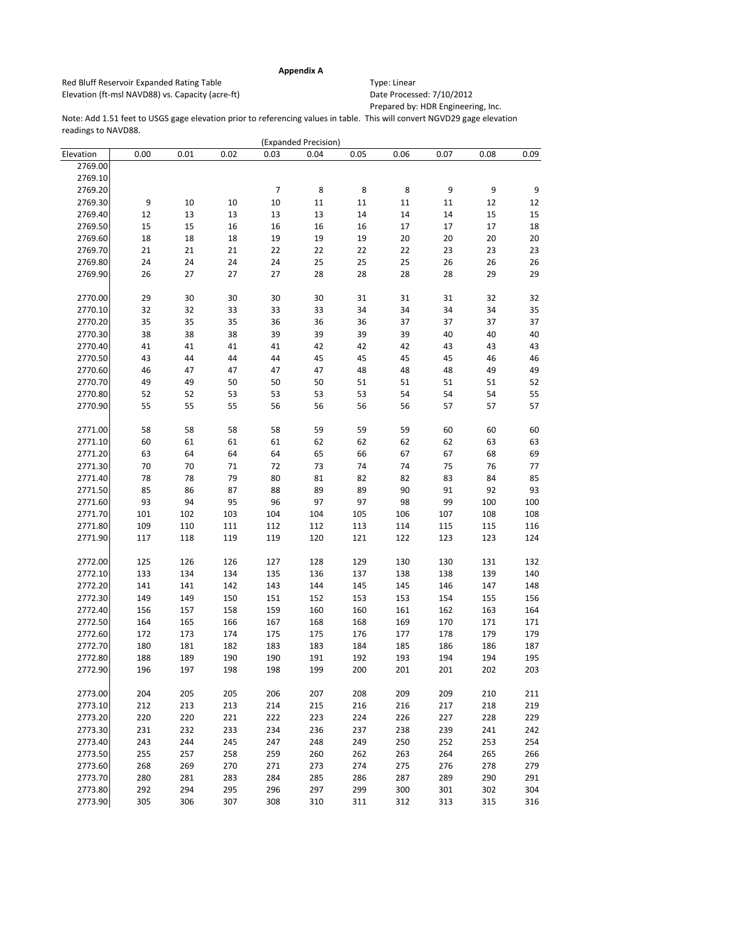## Prepared by: HDR Engineering, Inc.

|           |      |      |      |                | (Expanded Precision) |      |      |      |        |      |
|-----------|------|------|------|----------------|----------------------|------|------|------|--------|------|
| Elevation | 0.00 | 0.01 | 0.02 | 0.03           | 0.04                 | 0.05 | 0.06 | 0.07 | 0.08   | 0.09 |
| 2769.00   |      |      |      |                |                      |      |      |      |        |      |
| 2769.10   |      |      |      |                |                      |      |      |      |        |      |
| 2769.20   |      |      |      | $\overline{7}$ | $\,8\,$              | 8    | 8    | 9    | 9      | 9    |
| 2769.30   | 9    | 10   | 10   | 10             | 11                   | 11   | 11   | 11   | 12     | 12   |
| 2769.40   | 12   | 13   | 13   | 13             | 13                   | 14   | 14   | 14   | 15     | 15   |
| 2769.50   | 15   | 15   | 16   | 16             | 16                   | 16   | 17   | 17   | $17\,$ | 18   |
| 2769.60   | 18   | 18   | 18   | 19             | 19                   | 19   | 20   | 20   | 20     | 20   |
| 2769.70   | 21   | 21   | 21   | 22             | 22                   | 22   | 22   | 23   | 23     | 23   |
| 2769.80   | 24   | 24   | 24   | 24             | 25                   | 25   | 25   | 26   | 26     | 26   |
| 2769.90   | 26   | 27   | 27   | 27             | 28                   | 28   | 28   | 28   | 29     | 29   |
|           |      |      |      |                |                      |      |      |      |        |      |
| 2770.00   | 29   | 30   | 30   | 30             | 30                   | 31   | 31   | 31   | 32     | 32   |
| 2770.10   | 32   | 32   | 33   | 33             | 33                   | 34   | 34   | 34   | 34     | 35   |
| 2770.20   |      |      |      |                |                      |      |      |      |        |      |
|           | 35   | 35   | 35   | 36             | 36                   | 36   | 37   | 37   | 37     | 37   |
| 2770.30   | 38   | 38   | 38   | 39             | 39                   | 39   | 39   | 40   | 40     | 40   |
| 2770.40   | 41   | 41   | 41   | 41             | 42                   | 42   | 42   | 43   | 43     | 43   |
| 2770.50   | 43   | 44   | 44   | 44             | 45                   | 45   | 45   | 45   | 46     | 46   |
| 2770.60   | 46   | 47   | 47   | 47             | 47                   | 48   | 48   | 48   | 49     | 49   |
| 2770.70   | 49   | 49   | 50   | 50             | 50                   | 51   | 51   | 51   | 51     | 52   |
| 2770.80   | 52   | 52   | 53   | 53             | 53                   | 53   | 54   | 54   | 54     | 55   |
| 2770.90   | 55   | 55   | 55   | 56             | 56                   | 56   | 56   | 57   | 57     | 57   |
|           |      |      |      |                |                      |      |      |      |        |      |
| 2771.00   | 58   | 58   | 58   | 58             | 59                   | 59   | 59   | 60   | 60     | 60   |
| 2771.10   | 60   | 61   | 61   | 61             | 62                   | 62   | 62   | 62   | 63     | 63   |
| 2771.20   | 63   | 64   | 64   | 64             | 65                   | 66   | 67   | 67   | 68     | 69   |
| 2771.30   | 70   | 70   | 71   | 72             | 73                   | 74   | 74   | 75   | 76     | 77   |
| 2771.40   | 78   | 78   | 79   | 80             | 81                   | 82   | 82   | 83   | 84     | 85   |
| 2771.50   | 85   | 86   | 87   | 88             | 89                   | 89   | 90   | 91   | 92     | 93   |
| 2771.60   | 93   | 94   | 95   | 96             | 97                   | 97   | 98   | 99   | 100    | 100  |
| 2771.70   | 101  | 102  | 103  | 104            | 104                  | 105  | 106  | 107  | 108    | 108  |
| 2771.80   | 109  | 110  | 111  | 112            | 112                  | 113  | 114  | 115  | 115    | 116  |
| 2771.90   | 117  | 118  | 119  | 119            | 120                  | 121  | 122  | 123  | 123    | 124  |
|           |      |      |      |                |                      |      |      |      |        |      |
| 2772.00   | 125  | 126  | 126  | 127            | 128                  | 129  | 130  | 130  | 131    | 132  |
| 2772.10   | 133  | 134  | 134  | 135            | 136                  | 137  | 138  | 138  | 139    | 140  |
| 2772.20   | 141  | 141  | 142  | 143            | 144                  | 145  | 145  | 146  | 147    | 148  |
| 2772.30   | 149  | 149  | 150  | 151            | 152                  | 153  | 153  | 154  | 155    | 156  |
| 2772.40   | 156  | 157  | 158  | 159            | 160                  | 160  | 161  | 162  | 163    | 164  |
| 2772.50   | 164  | 165  | 166  | 167            | 168                  | 168  | 169  | 170  | 171    | 171  |
| 2772.60   | 172  | 173  | 174  | 175            | 175                  | 176  | 177  | 178  | 179    | 179  |
| 2772.70   | 180  | 181  | 182  | 183            | 183                  | 184  | 185  | 186  | 186    | 187  |
| 2772.80   | 188  | 189  | 190  | 190            | 191                  | 192  | 193  | 194  | 194    | 195  |
| 2772.90   | 196  | 197  | 198  | 198            | 199                  | 200  | 201  | 201  | 202    | 203  |
|           |      |      |      |                |                      |      |      |      |        |      |
| 2773.00   | 204  | 205  | 205  | 206            | 207                  | 208  | 209  | 209  | 210    | 211  |
| 2773.10   | 212  | 213  | 213  | 214            | 215                  | 216  | 216  | 217  | 218    | 219  |
| 2773.20   | 220  | 220  | 221  | 222            | 223                  | 224  | 226  | 227  | 228    | 229  |
| 2773.30   |      |      |      |                |                      |      |      |      |        |      |
|           | 231  | 232  | 233  | 234            | 236                  | 237  | 238  | 239  | 241    | 242  |
| 2773.40   | 243  | 244  | 245  | 247            | 248                  | 249  | 250  | 252  | 253    | 254  |
| 2773.50   | 255  | 257  | 258  | 259            | 260                  | 262  | 263  | 264  | 265    | 266  |
| 2773.60   | 268  | 269  | 270  | 271            | 273                  | 274  | 275  | 276  | 278    | 279  |
| 2773.70   | 280  | 281  | 283  | 284            | 285                  | 286  | 287  | 289  | 290    | 291  |
| 2773.80   | 292  | 294  | 295  | 296            | 297                  | 299  | 300  | 301  | 302    | 304  |
| 2773.90   | 305  | 306  | 307  | 308            | 310                  | 311  | 312  | 313  | 315    | 316  |
|           |      |      |      |                |                      |      |      |      |        |      |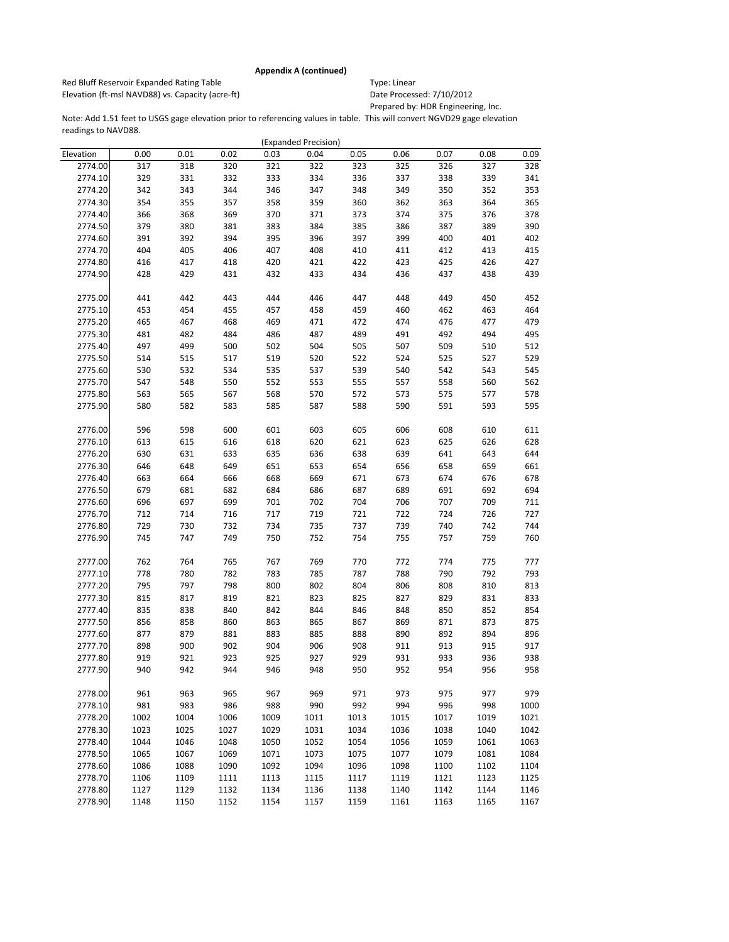Red Bluff Reservoir Expanded Rating Table Table Type: Linear Elevation (ft-msl NAVD88) vs. Capacity (acre-ft) Date Processed: 7/10/2012

Prepared by: HDR Engineering, Inc.

|           |      |      |      |      | (Expanded Precision) |      |      |      |      |      |
|-----------|------|------|------|------|----------------------|------|------|------|------|------|
| Elevation | 0.00 | 0.01 | 0.02 | 0.03 | 0.04                 | 0.05 | 0.06 | 0.07 | 0.08 | 0.09 |
| 2774.00   | 317  | 318  | 320  | 321  | 322                  | 323  | 325  | 326  | 327  | 328  |
| 2774.10   | 329  | 331  | 332  | 333  | 334                  | 336  | 337  | 338  | 339  | 341  |
| 2774.20   | 342  | 343  | 344  | 346  | 347                  | 348  | 349  | 350  | 352  | 353  |
| 2774.30   | 354  | 355  | 357  | 358  | 359                  | 360  | 362  | 363  | 364  | 365  |
| 2774.40   | 366  | 368  | 369  | 370  | 371                  | 373  | 374  | 375  | 376  | 378  |
| 2774.50   | 379  | 380  | 381  | 383  | 384                  | 385  | 386  | 387  | 389  | 390  |
| 2774.60   | 391  | 392  | 394  | 395  | 396                  | 397  | 399  | 400  | 401  | 402  |
| 2774.70   | 404  | 405  | 406  | 407  | 408                  | 410  | 411  | 412  | 413  | 415  |
| 2774.80   | 416  | 417  | 418  | 420  | 421                  | 422  | 423  | 425  | 426  | 427  |
| 2774.90   | 428  | 429  | 431  | 432  | 433                  | 434  | 436  | 437  | 438  | 439  |
|           |      |      |      |      |                      |      |      |      |      |      |
| 2775.00   | 441  | 442  | 443  | 444  | 446                  | 447  | 448  | 449  | 450  | 452  |
| 2775.10   | 453  | 454  | 455  | 457  | 458                  | 459  | 460  | 462  | 463  | 464  |
| 2775.20   | 465  | 467  | 468  | 469  | 471                  | 472  | 474  | 476  | 477  | 479  |
| 2775.30   | 481  | 482  | 484  | 486  | 487                  | 489  | 491  | 492  | 494  | 495  |
| 2775.40   | 497  | 499  | 500  | 502  | 504                  | 505  | 507  | 509  | 510  | 512  |
| 2775.50   | 514  | 515  | 517  | 519  | 520                  | 522  | 524  | 525  | 527  | 529  |
| 2775.60   | 530  | 532  | 534  | 535  | 537                  | 539  | 540  | 542  | 543  | 545  |
| 2775.70   | 547  | 548  | 550  | 552  | 553                  | 555  | 557  | 558  | 560  | 562  |
| 2775.80   | 563  | 565  | 567  | 568  | 570                  | 572  | 573  | 575  | 577  | 578  |
| 2775.90   | 580  | 582  | 583  | 585  | 587                  | 588  | 590  | 591  | 593  | 595  |
|           |      |      |      |      |                      |      |      |      |      |      |
| 2776.00   | 596  | 598  | 600  | 601  | 603                  | 605  | 606  | 608  | 610  | 611  |
| 2776.10   | 613  | 615  | 616  | 618  | 620                  | 621  | 623  | 625  | 626  | 628  |
| 2776.20   | 630  | 631  | 633  | 635  | 636                  | 638  | 639  | 641  | 643  | 644  |
| 2776.30   | 646  | 648  | 649  | 651  | 653                  | 654  | 656  | 658  | 659  | 661  |
| 2776.40   | 663  | 664  | 666  | 668  | 669                  | 671  | 673  | 674  | 676  | 678  |
| 2776.50   | 679  | 681  | 682  | 684  | 686                  | 687  | 689  | 691  | 692  | 694  |
| 2776.60   | 696  | 697  | 699  | 701  | 702                  | 704  | 706  | 707  | 709  | 711  |
| 2776.70   | 712  | 714  | 716  | 717  | 719                  | 721  | 722  | 724  | 726  | 727  |
| 2776.80   | 729  | 730  | 732  | 734  | 735                  | 737  | 739  | 740  | 742  | 744  |
| 2776.90   | 745  | 747  | 749  | 750  | 752                  | 754  | 755  | 757  | 759  | 760  |
|           |      |      |      |      |                      |      |      |      |      |      |
| 2777.00   | 762  | 764  | 765  | 767  | 769                  | 770  | 772  | 774  | 775  | 777  |
| 2777.10   | 778  | 780  | 782  | 783  | 785                  | 787  | 788  | 790  | 792  | 793  |
| 2777.20   | 795  | 797  | 798  | 800  | 802                  | 804  | 806  | 808  | 810  | 813  |
| 2777.30   | 815  | 817  | 819  | 821  | 823                  | 825  | 827  | 829  | 831  | 833  |
| 2777.40   | 835  | 838  | 840  | 842  | 844                  | 846  | 848  | 850  | 852  | 854  |
| 2777.50   | 856  | 858  | 860  | 863  | 865                  | 867  | 869  | 871  | 873  | 875  |
| 2777.60   | 877  | 879  | 881  | 883  | 885                  | 888  | 890  | 892  | 894  | 896  |
| 2777.70   | 898  | 900  | 902  | 904  | 906                  | 908  | 911  | 913  | 915  | 917  |
| 2777.80   | 919  | 921  | 923  | 925  | 927                  | 929  | 931  | 933  | 936  | 938  |
| 2777.90   | 940  | 942  | 944  | 946  | 948                  | 950  | 952  | 954  | 956  | 958  |
|           |      |      |      |      |                      |      |      |      |      |      |
| 2778.00   | 961  | 963  | 965  | 967  | 969                  | 971  | 973  | 975  | 977  | 979  |
| 2778.10   | 981  | 983  | 986  | 988  | 990                  | 992  | 994  | 996  | 998  | 1000 |
| 2778.20   | 1002 | 1004 | 1006 | 1009 | 1011                 | 1013 | 1015 | 1017 | 1019 | 1021 |
| 2778.30   | 1023 | 1025 | 1027 | 1029 | 1031                 | 1034 | 1036 | 1038 | 1040 | 1042 |
| 2778.40   | 1044 | 1046 | 1048 | 1050 | 1052                 | 1054 | 1056 | 1059 | 1061 | 1063 |
| 2778.50   | 1065 | 1067 | 1069 | 1071 | 1073                 | 1075 | 1077 | 1079 | 1081 | 1084 |
| 2778.60   | 1086 | 1088 | 1090 | 1092 | 1094                 | 1096 | 1098 | 1100 | 1102 | 1104 |
| 2778.70   | 1106 | 1109 | 1111 | 1113 | 1115                 | 1117 | 1119 | 1121 | 1123 | 1125 |
| 2778.80   | 1127 | 1129 | 1132 | 1134 | 1136                 | 1138 | 1140 | 1142 | 1144 | 1146 |
|           |      |      |      |      |                      |      |      |      |      |      |
| 2778.90   | 1148 | 1150 | 1152 | 1154 | 1157                 | 1159 | 1161 | 1163 | 1165 | 1167 |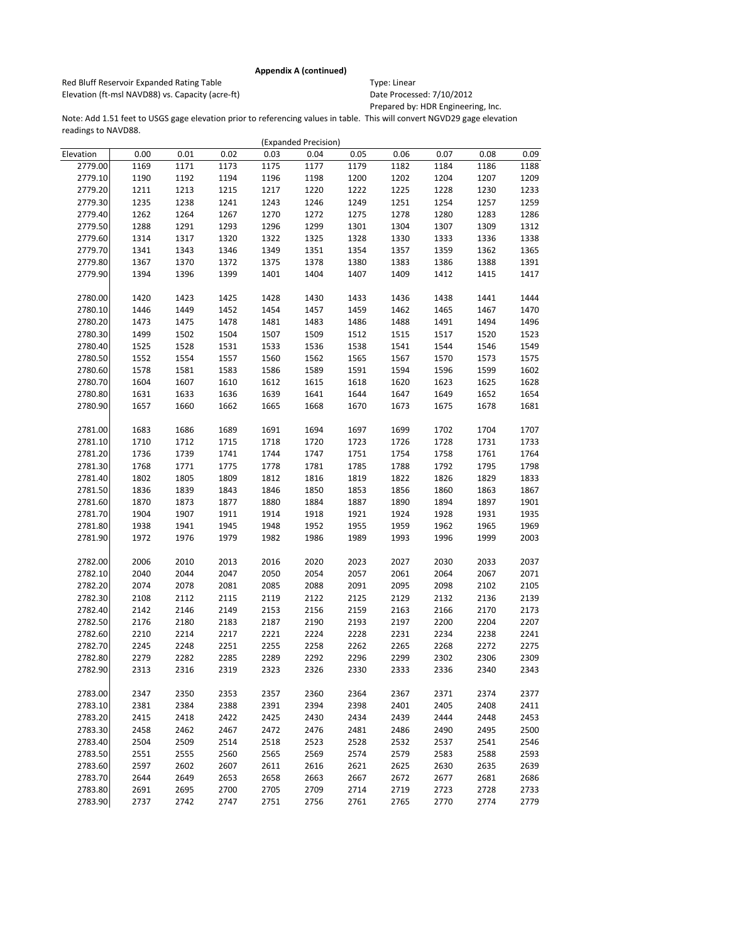Red Bluff Reservoir Expanded Rating Table Table Type: Linear Elevation (ft-msl NAVD88) vs. Capacity (acre-ft) Date Processed: 7/10/2012

Prepared by: HDR Engineering, Inc.

|           |      |      |      |      | (Expanded Precision) |      |      |      |      |      |
|-----------|------|------|------|------|----------------------|------|------|------|------|------|
| Elevation | 0.00 | 0.01 | 0.02 | 0.03 | 0.04                 | 0.05 | 0.06 | 0.07 | 0.08 | 0.09 |
| 2779.00   | 1169 | 1171 | 1173 | 1175 | 1177                 | 1179 | 1182 | 1184 | 1186 | 1188 |
| 2779.10   | 1190 | 1192 | 1194 | 1196 | 1198                 | 1200 | 1202 | 1204 | 1207 | 1209 |
| 2779.20   | 1211 | 1213 | 1215 | 1217 | 1220                 | 1222 | 1225 | 1228 | 1230 | 1233 |
| 2779.30   | 1235 | 1238 | 1241 | 1243 | 1246                 | 1249 | 1251 | 1254 | 1257 | 1259 |
| 2779.40   | 1262 | 1264 | 1267 | 1270 | 1272                 | 1275 | 1278 | 1280 | 1283 | 1286 |
| 2779.50   | 1288 | 1291 | 1293 | 1296 | 1299                 | 1301 | 1304 | 1307 | 1309 | 1312 |
| 2779.60   | 1314 | 1317 | 1320 | 1322 | 1325                 | 1328 | 1330 | 1333 | 1336 | 1338 |
| 2779.70   | 1341 | 1343 | 1346 | 1349 | 1351                 | 1354 | 1357 | 1359 | 1362 | 1365 |
| 2779.80   | 1367 | 1370 | 1372 | 1375 | 1378                 | 1380 | 1383 | 1386 | 1388 | 1391 |
| 2779.90   | 1394 | 1396 | 1399 | 1401 | 1404                 | 1407 | 1409 | 1412 | 1415 | 1417 |
|           |      |      |      |      |                      |      |      |      |      |      |
| 2780.00   | 1420 | 1423 | 1425 | 1428 | 1430                 | 1433 | 1436 | 1438 | 1441 | 1444 |
| 2780.10   | 1446 | 1449 | 1452 | 1454 | 1457                 | 1459 | 1462 | 1465 | 1467 | 1470 |
| 2780.20   | 1473 | 1475 | 1478 | 1481 | 1483                 | 1486 | 1488 | 1491 | 1494 | 1496 |
| 2780.30   | 1499 | 1502 | 1504 | 1507 | 1509                 | 1512 | 1515 | 1517 | 1520 | 1523 |
| 2780.40   | 1525 | 1528 | 1531 | 1533 | 1536                 | 1538 | 1541 | 1544 | 1546 | 1549 |
| 2780.50   | 1552 | 1554 | 1557 | 1560 | 1562                 | 1565 | 1567 | 1570 | 1573 | 1575 |
| 2780.60   | 1578 | 1581 | 1583 | 1586 | 1589                 | 1591 | 1594 | 1596 | 1599 | 1602 |
| 2780.70   | 1604 | 1607 | 1610 | 1612 | 1615                 | 1618 | 1620 | 1623 | 1625 | 1628 |
| 2780.80   | 1631 | 1633 | 1636 | 1639 | 1641                 | 1644 | 1647 | 1649 | 1652 | 1654 |
| 2780.90   | 1657 | 1660 | 1662 | 1665 | 1668                 | 1670 | 1673 | 1675 | 1678 | 1681 |
|           |      |      |      |      |                      |      |      |      |      |      |
| 2781.00   | 1683 | 1686 | 1689 | 1691 | 1694                 | 1697 | 1699 | 1702 | 1704 | 1707 |
| 2781.10   | 1710 | 1712 | 1715 | 1718 | 1720                 | 1723 | 1726 | 1728 | 1731 | 1733 |
| 2781.20   | 1736 | 1739 | 1741 | 1744 | 1747                 | 1751 | 1754 | 1758 | 1761 | 1764 |
| 2781.30   | 1768 | 1771 | 1775 | 1778 | 1781                 | 1785 | 1788 | 1792 | 1795 | 1798 |
| 2781.40   | 1802 | 1805 | 1809 | 1812 | 1816                 | 1819 | 1822 | 1826 | 1829 | 1833 |
| 2781.50   | 1836 | 1839 | 1843 | 1846 | 1850                 | 1853 | 1856 | 1860 | 1863 | 1867 |
| 2781.60   | 1870 | 1873 | 1877 | 1880 | 1884                 | 1887 | 1890 | 1894 | 1897 | 1901 |
| 2781.70   | 1904 | 1907 | 1911 | 1914 | 1918                 | 1921 | 1924 | 1928 | 1931 | 1935 |
| 2781.80   | 1938 | 1941 | 1945 | 1948 | 1952                 | 1955 | 1959 | 1962 | 1965 | 1969 |
| 2781.90   | 1972 | 1976 | 1979 | 1982 | 1986                 | 1989 | 1993 | 1996 | 1999 | 2003 |
|           |      |      |      |      |                      |      |      |      |      |      |
| 2782.00   | 2006 | 2010 | 2013 | 2016 | 2020                 | 2023 | 2027 | 2030 | 2033 | 2037 |
| 2782.10   | 2040 | 2044 | 2047 | 2050 | 2054                 | 2057 | 2061 | 2064 | 2067 | 2071 |
| 2782.20   | 2074 | 2078 | 2081 | 2085 | 2088                 | 2091 | 2095 | 2098 | 2102 | 2105 |
| 2782.30   | 2108 | 2112 | 2115 | 2119 | 2122                 | 2125 | 2129 | 2132 | 2136 | 2139 |
| 2782.40   | 2142 | 2146 | 2149 | 2153 | 2156                 | 2159 | 2163 | 2166 | 2170 | 2173 |
| 2782.50   | 2176 | 2180 | 2183 | 2187 | 2190                 | 2193 | 2197 | 2200 | 2204 | 2207 |
| 2782.60   | 2210 | 2214 | 2217 | 2221 | 2224                 | 2228 | 2231 | 2234 | 2238 | 2241 |
| 2782.70   | 2245 | 2248 | 2251 | 2255 | 2258                 | 2262 | 2265 | 2268 | 2272 | 2275 |
| 2782.80   | 2279 | 2282 | 2285 | 2289 | 2292                 | 2296 | 2299 | 2302 | 2306 | 2309 |
| 2782.90   | 2313 | 2316 | 2319 | 2323 | 2326                 | 2330 | 2333 | 2336 | 2340 | 2343 |
|           |      |      |      |      |                      |      |      |      |      |      |
| 2783.00   | 2347 | 2350 | 2353 | 2357 | 2360                 | 2364 | 2367 | 2371 | 2374 | 2377 |
| 2783.10   | 2381 | 2384 | 2388 | 2391 | 2394                 | 2398 | 2401 | 2405 | 2408 | 2411 |
| 2783.20   | 2415 | 2418 | 2422 | 2425 | 2430                 | 2434 | 2439 | 2444 | 2448 | 2453 |
| 2783.30   | 2458 | 2462 | 2467 | 2472 | 2476                 | 2481 | 2486 | 2490 | 2495 | 2500 |
| 2783.40   | 2504 | 2509 | 2514 | 2518 | 2523                 | 2528 | 2532 | 2537 | 2541 | 2546 |
| 2783.50   | 2551 | 2555 | 2560 | 2565 | 2569                 | 2574 | 2579 | 2583 | 2588 | 2593 |
| 2783.60   | 2597 | 2602 | 2607 | 2611 | 2616                 | 2621 | 2625 | 2630 | 2635 | 2639 |
| 2783.70   | 2644 | 2649 | 2653 | 2658 | 2663                 | 2667 | 2672 | 2677 | 2681 | 2686 |
| 2783.80   | 2691 | 2695 | 2700 | 2705 | 2709                 | 2714 | 2719 | 2723 | 2728 | 2733 |
| 2783.90   | 2737 | 2742 | 2747 | 2751 | 2756                 | 2761 | 2765 | 2770 | 2774 | 2779 |
|           |      |      |      |      |                      |      |      |      |      |      |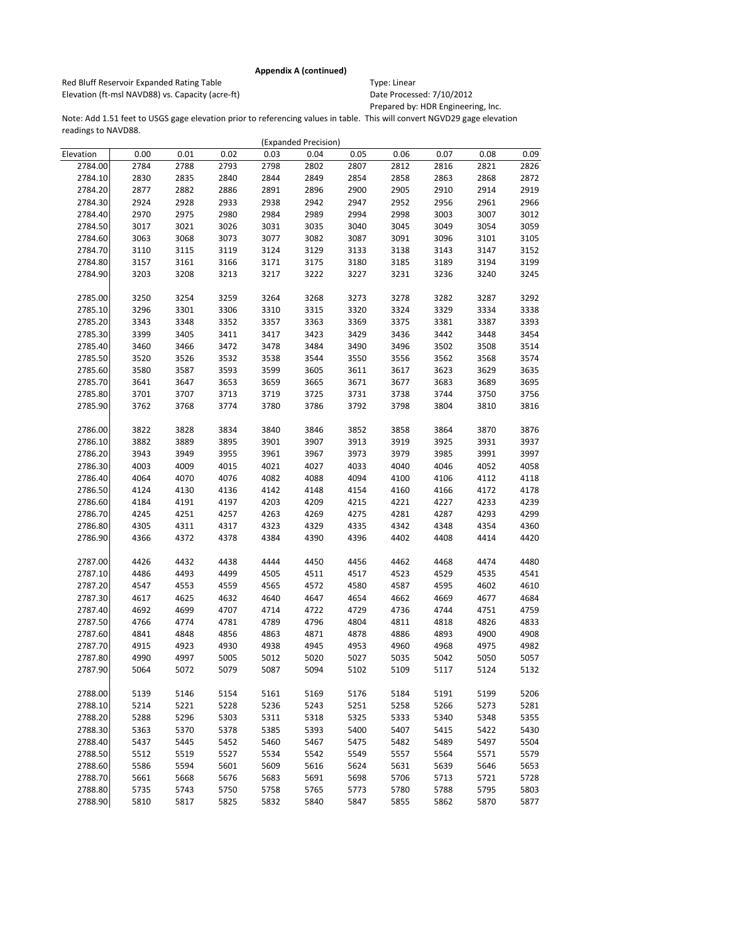Red Bluff Reservoir Expanded Rating Table Table Type: Linear Elevation (ft-msl NAVD88) vs. Capacity (acre-ft) Date Processed: 7/10/2012

Prepared by: HDR Engineering, Inc.

|           |      |      |      |      | (Expanded Precision) |      |      |      |      |      |
|-----------|------|------|------|------|----------------------|------|------|------|------|------|
| Elevation | 0.00 | 0.01 | 0.02 | 0.03 | 0.04                 | 0.05 | 0.06 | 0.07 | 0.08 | 0.09 |
| 2784.00   | 2784 | 2788 | 2793 | 2798 | 2802                 | 2807 | 2812 | 2816 | 2821 | 2826 |
| 2784.10   | 2830 | 2835 | 2840 | 2844 | 2849                 | 2854 | 2858 | 2863 | 2868 | 2872 |
| 2784.20   | 2877 | 2882 | 2886 | 2891 | 2896                 | 2900 | 2905 | 2910 | 2914 | 2919 |
| 2784.30   | 2924 | 2928 | 2933 | 2938 | 2942                 | 2947 | 2952 | 2956 | 2961 | 2966 |
| 2784.40   | 2970 | 2975 | 2980 | 2984 | 2989                 | 2994 | 2998 | 3003 | 3007 | 3012 |
| 2784.50   | 3017 | 3021 | 3026 | 3031 | 3035                 | 3040 | 3045 | 3049 | 3054 | 3059 |
| 2784.60   | 3063 | 3068 | 3073 | 3077 | 3082                 | 3087 | 3091 | 3096 | 3101 | 3105 |
| 2784.70   | 3110 | 3115 | 3119 | 3124 | 3129                 | 3133 | 3138 | 3143 | 3147 | 3152 |
| 2784.80   | 3157 | 3161 | 3166 | 3171 | 3175                 | 3180 | 3185 | 3189 | 3194 | 3199 |
| 2784.90   | 3203 | 3208 | 3213 | 3217 | 3222                 | 3227 | 3231 | 3236 | 3240 | 3245 |
|           |      |      |      |      |                      |      |      |      |      |      |
| 2785.00   | 3250 | 3254 | 3259 | 3264 | 3268                 | 3273 | 3278 | 3282 | 3287 | 3292 |
| 2785.10   | 3296 | 3301 | 3306 | 3310 | 3315                 | 3320 | 3324 | 3329 | 3334 | 3338 |
| 2785.20   | 3343 | 3348 | 3352 | 3357 | 3363                 | 3369 | 3375 | 3381 | 3387 | 3393 |
| 2785.30   | 3399 | 3405 | 3411 | 3417 | 3423                 | 3429 | 3436 | 3442 | 3448 | 3454 |
| 2785.40   | 3460 | 3466 | 3472 | 3478 | 3484                 | 3490 | 3496 | 3502 | 3508 | 3514 |
| 2785.50   | 3520 | 3526 | 3532 | 3538 | 3544                 | 3550 | 3556 | 3562 | 3568 | 3574 |
| 2785.60   | 3580 | 3587 | 3593 | 3599 | 3605                 | 3611 | 3617 | 3623 | 3629 | 3635 |
| 2785.70   | 3641 | 3647 | 3653 | 3659 | 3665                 | 3671 | 3677 | 3683 | 3689 | 3695 |
| 2785.80   | 3701 | 3707 | 3713 | 3719 | 3725                 | 3731 | 3738 | 3744 | 3750 | 3756 |
| 2785.90   | 3762 | 3768 | 3774 | 3780 | 3786                 | 3792 | 3798 | 3804 | 3810 | 3816 |
|           |      |      |      |      |                      |      |      |      |      |      |
| 2786.00   | 3822 | 3828 | 3834 | 3840 | 3846                 | 3852 | 3858 | 3864 | 3870 | 3876 |
| 2786.10   | 3882 | 3889 | 3895 | 3901 | 3907                 | 3913 | 3919 | 3925 | 3931 | 3937 |
| 2786.20   | 3943 | 3949 | 3955 | 3961 | 3967                 | 3973 | 3979 | 3985 | 3991 | 3997 |
| 2786.30   | 4003 | 4009 | 4015 | 4021 | 4027                 | 4033 | 4040 | 4046 | 4052 | 4058 |
|           |      |      |      |      |                      |      |      |      |      |      |
| 2786.40   | 4064 | 4070 | 4076 | 4082 | 4088                 | 4094 | 4100 | 4106 | 4112 | 4118 |
| 2786.50   | 4124 | 4130 | 4136 | 4142 | 4148                 | 4154 | 4160 | 4166 | 4172 | 4178 |
| 2786.60   | 4184 | 4191 | 4197 | 4203 | 4209                 | 4215 | 4221 | 4227 | 4233 | 4239 |
| 2786.70   | 4245 | 4251 | 4257 | 4263 | 4269                 | 4275 | 4281 | 4287 | 4293 | 4299 |
| 2786.80   | 4305 | 4311 | 4317 | 4323 | 4329                 | 4335 | 4342 | 4348 | 4354 | 4360 |
| 2786.90   | 4366 | 4372 | 4378 | 4384 | 4390                 | 4396 | 4402 | 4408 | 4414 | 4420 |
|           |      |      |      |      |                      |      |      |      |      |      |
| 2787.00   | 4426 | 4432 | 4438 | 4444 | 4450                 | 4456 | 4462 | 4468 | 4474 | 4480 |
| 2787.10   | 4486 | 4493 | 4499 | 4505 | 4511                 | 4517 | 4523 | 4529 | 4535 | 4541 |
| 2787.20   | 4547 | 4553 | 4559 | 4565 | 4572                 | 4580 | 4587 | 4595 | 4602 | 4610 |
| 2787.30   | 4617 | 4625 | 4632 | 4640 | 4647                 | 4654 | 4662 | 4669 | 4677 | 4684 |
| 2787.40   | 4692 | 4699 | 4707 | 4714 | 4722                 | 4729 | 4736 | 4744 | 4751 | 4759 |
| 2787.50   | 4766 | 4774 | 4781 | 4789 | 4796                 | 4804 | 4811 | 4818 | 4826 | 4833 |
| 2787.60   | 4841 | 4848 | 4856 | 4863 | 4871                 | 4878 | 4886 | 4893 | 4900 | 4908 |
| 2787.70   | 4915 | 4923 | 4930 | 4938 | 4945                 | 4953 | 4960 | 4968 | 4975 | 4982 |
| 2787.80   | 4990 | 4997 | 5005 | 5012 | 5020                 | 5027 | 5035 | 5042 | 5050 | 5057 |
| 2787.90   | 5064 | 5072 | 5079 | 5087 | 5094                 | 5102 | 5109 | 5117 | 5124 | 5132 |
|           |      |      |      |      |                      |      |      |      |      |      |
| 2788.00   | 5139 | 5146 | 5154 | 5161 | 5169                 | 5176 | 5184 | 5191 | 5199 | 5206 |
| 2788.10   | 5214 | 5221 | 5228 | 5236 | 5243                 | 5251 | 5258 | 5266 | 5273 | 5281 |
| 2788.20   | 5288 | 5296 | 5303 | 5311 | 5318                 | 5325 | 5333 | 5340 | 5348 | 5355 |
| 2788.30   | 5363 | 5370 | 5378 | 5385 | 5393                 | 5400 | 5407 | 5415 | 5422 | 5430 |
| 2788.40   | 5437 | 5445 | 5452 | 5460 | 5467                 | 5475 | 5482 | 5489 | 5497 | 5504 |
| 2788.50   | 5512 | 5519 | 5527 | 5534 | 5542                 | 5549 | 5557 | 5564 | 5571 | 5579 |
| 2788.60   | 5586 | 5594 | 5601 | 5609 | 5616                 | 5624 | 5631 | 5639 | 5646 | 5653 |
| 2788.70   | 5661 | 5668 | 5676 | 5683 | 5691                 | 5698 | 5706 | 5713 | 5721 | 5728 |
| 2788.80   | 5735 | 5743 | 5750 | 5758 | 5765                 | 5773 | 5780 | 5788 | 5795 | 5803 |
| 2788.90   | 5810 | 5817 | 5825 | 5832 | 5840                 | 5847 | 5855 | 5862 | 5870 | 5877 |
|           |      |      |      |      |                      |      |      |      |      |      |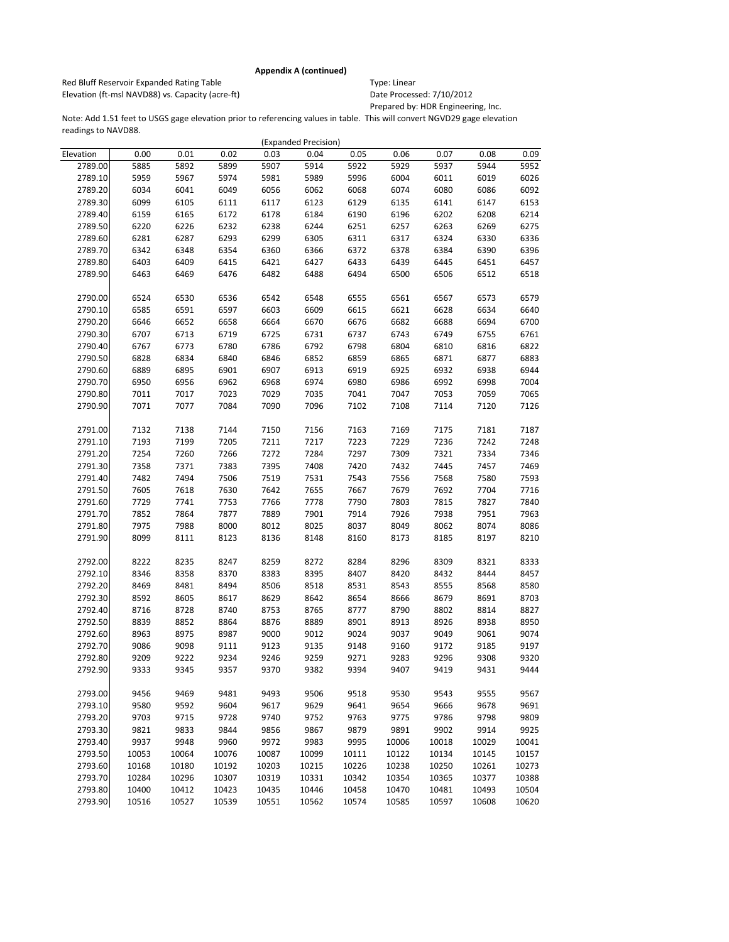Red Bluff Reservoir Expanded Rating Table Table Type: Linear Elevation (ft-msl NAVD88) vs. Capacity (acre-ft) Date Processed: 7/10/2012

Prepared by: HDR Engineering, Inc.

|           |       |       |       |       | (Expanded Precision) |              |       |       |       |       |
|-----------|-------|-------|-------|-------|----------------------|--------------|-------|-------|-------|-------|
| Elevation | 0.00  | 0.01  | 0.02  | 0.03  | 0.04                 | 0.05         | 0.06  | 0.07  | 0.08  | 0.09  |
| 2789.00   | 5885  | 5892  | 5899  | 5907  | 5914                 | 5922         | 5929  | 5937  | 5944  | 5952  |
| 2789.10   | 5959  | 5967  | 5974  | 5981  | 5989                 | 5996         | 6004  | 6011  | 6019  | 6026  |
| 2789.20   | 6034  | 6041  | 6049  | 6056  | 6062                 | 6068         | 6074  | 6080  | 6086  | 6092  |
| 2789.30   | 6099  | 6105  | 6111  | 6117  | 6123                 | 6129         | 6135  | 6141  | 6147  | 6153  |
| 2789.40   | 6159  | 6165  | 6172  | 6178  | 6184                 | 6190         | 6196  | 6202  | 6208  | 6214  |
| 2789.50   | 6220  | 6226  | 6232  | 6238  | 6244                 | 6251         | 6257  | 6263  | 6269  | 6275  |
| 2789.60   | 6281  | 6287  | 6293  | 6299  | 6305                 | 6311         | 6317  | 6324  | 6330  | 6336  |
| 2789.70   | 6342  | 6348  | 6354  | 6360  | 6366                 | 6372         | 6378  | 6384  | 6390  | 6396  |
| 2789.80   | 6403  | 6409  | 6415  | 6421  | 6427                 | 6433         | 6439  | 6445  | 6451  | 6457  |
| 2789.90   | 6463  | 6469  | 6476  | 6482  | 6488                 | 6494         | 6500  | 6506  | 6512  | 6518  |
|           |       |       |       |       |                      |              |       |       |       |       |
| 2790.00   | 6524  | 6530  | 6536  | 6542  | 6548                 | 6555         | 6561  | 6567  | 6573  | 6579  |
| 2790.10   | 6585  | 6591  | 6597  | 6603  | 6609                 | 6615         | 6621  | 6628  | 6634  | 6640  |
| 2790.20   | 6646  | 6652  | 6658  | 6664  | 6670                 | 6676         | 6682  | 6688  | 6694  | 6700  |
| 2790.30   | 6707  | 6713  | 6719  | 6725  | 6731                 | 6737         | 6743  | 6749  | 6755  | 6761  |
| 2790.40   | 6767  | 6773  | 6780  | 6786  | 6792                 | 6798         | 6804  | 6810  | 6816  | 6822  |
| 2790.50   | 6828  | 6834  | 6840  | 6846  | 6852                 | 6859         | 6865  | 6871  | 6877  | 6883  |
| 2790.60   | 6889  | 6895  | 6901  | 6907  | 6913                 | 6919         | 6925  | 6932  | 6938  | 6944  |
| 2790.70   | 6950  | 6956  | 6962  | 6968  | 6974                 | 6980         | 6986  | 6992  | 6998  | 7004  |
| 2790.80   | 7011  | 7017  | 7023  | 7029  | 7035                 | 7041         | 7047  | 7053  | 7059  | 7065  |
| 2790.90   | 7071  | 7077  | 7084  | 7090  | 7096                 | 7102         | 7108  | 7114  | 7120  | 7126  |
|           |       |       |       |       |                      |              |       |       |       |       |
| 2791.00   | 7132  | 7138  | 7144  | 7150  | 7156                 | 7163         | 7169  | 7175  | 7181  | 7187  |
| 2791.10   | 7193  | 7199  | 7205  | 7211  | 7217                 | 7223         | 7229  | 7236  | 7242  | 7248  |
| 2791.20   | 7254  | 7260  | 7266  | 7272  | 7284                 | 7297         | 7309  | 7321  | 7334  | 7346  |
| 2791.30   | 7358  | 7371  | 7383  | 7395  | 7408                 | 7420         | 7432  | 7445  | 7457  | 7469  |
| 2791.40   | 7482  | 7494  | 7506  | 7519  | 7531                 | 7543         | 7556  | 7568  | 7580  | 7593  |
| 2791.50   | 7605  | 7618  | 7630  | 7642  | 7655                 | 7667         | 7679  | 7692  | 7704  | 7716  |
| 2791.60   | 7729  | 7741  | 7753  | 7766  | 7778                 | 7790         | 7803  | 7815  | 7827  | 7840  |
| 2791.70   | 7852  | 7864  | 7877  | 7889  | 7901                 | 7914         | 7926  | 7938  | 7951  | 7963  |
| 2791.80   | 7975  | 7988  | 8000  | 8012  | 8025                 | 8037         | 8049  | 8062  | 8074  | 8086  |
| 2791.90   | 8099  | 8111  | 8123  | 8136  | 8148                 | 8160         | 8173  | 8185  | 8197  | 8210  |
|           |       |       |       |       |                      |              |       |       |       |       |
| 2792.00   | 8222  | 8235  | 8247  | 8259  | 8272                 | 8284         | 8296  | 8309  | 8321  | 8333  |
| 2792.10   | 8346  | 8358  | 8370  | 8383  | 8395                 | 8407         | 8420  | 8432  | 8444  | 8457  |
| 2792.20   | 8469  | 8481  | 8494  | 8506  | 8518                 | 8531         | 8543  | 8555  | 8568  | 8580  |
| 2792.30   | 8592  | 8605  | 8617  | 8629  | 8642                 | 8654         | 8666  | 8679  | 8691  | 8703  |
| 2792.40   | 8716  | 8728  | 8740  | 8753  | 8765                 | 8777         | 8790  | 8802  | 8814  | 8827  |
| 2792.50   | 8839  | 8852  | 8864  | 8876  | 8889                 | 8901         | 8913  | 8926  | 8938  | 8950  |
| 2792.60   | 8963  | 8975  | 8987  | 9000  | 9012                 | 9024         | 9037  | 9049  | 9061  | 9074  |
| 2792.70   | 9086  | 9098  | 9111  | 9123  | 9135                 |              | 9160  | 9172  | 9185  | 9197  |
| 2792.80   | 9209  | 9222  | 9234  | 9246  | 9259                 | 9148<br>9271 | 9283  | 9296  | 9308  | 9320  |
| 2792.90   | 9333  | 9345  | 9357  | 9370  | 9382                 | 9394         | 9407  | 9419  | 9431  | 9444  |
|           |       |       |       |       |                      |              |       |       |       |       |
| 2793.00   | 9456  | 9469  | 9481  | 9493  | 9506                 | 9518         | 9530  | 9543  | 9555  | 9567  |
| 2793.10   | 9580  | 9592  | 9604  | 9617  | 9629                 | 9641         | 9654  | 9666  | 9678  | 9691  |
| 2793.20   |       |       | 9728  |       |                      |              |       |       |       |       |
|           | 9703  | 9715  |       | 9740  | 9752                 | 9763         | 9775  | 9786  | 9798  | 9809  |
| 2793.30   | 9821  | 9833  | 9844  | 9856  | 9867                 | 9879         | 9891  | 9902  | 9914  | 9925  |
| 2793.40   | 9937  | 9948  | 9960  | 9972  | 9983                 | 9995         | 10006 | 10018 | 10029 | 10041 |
| 2793.50   | 10053 | 10064 | 10076 | 10087 | 10099                | 10111        | 10122 | 10134 | 10145 | 10157 |
| 2793.60   | 10168 | 10180 | 10192 | 10203 | 10215                | 10226        | 10238 | 10250 | 10261 | 10273 |
| 2793.70   | 10284 | 10296 | 10307 | 10319 | 10331                | 10342        | 10354 | 10365 | 10377 | 10388 |
| 2793.80   | 10400 | 10412 | 10423 | 10435 | 10446                | 10458        | 10470 | 10481 | 10493 | 10504 |
| 2793.90   | 10516 | 10527 | 10539 | 10551 | 10562                | 10574        | 10585 | 10597 | 10608 | 10620 |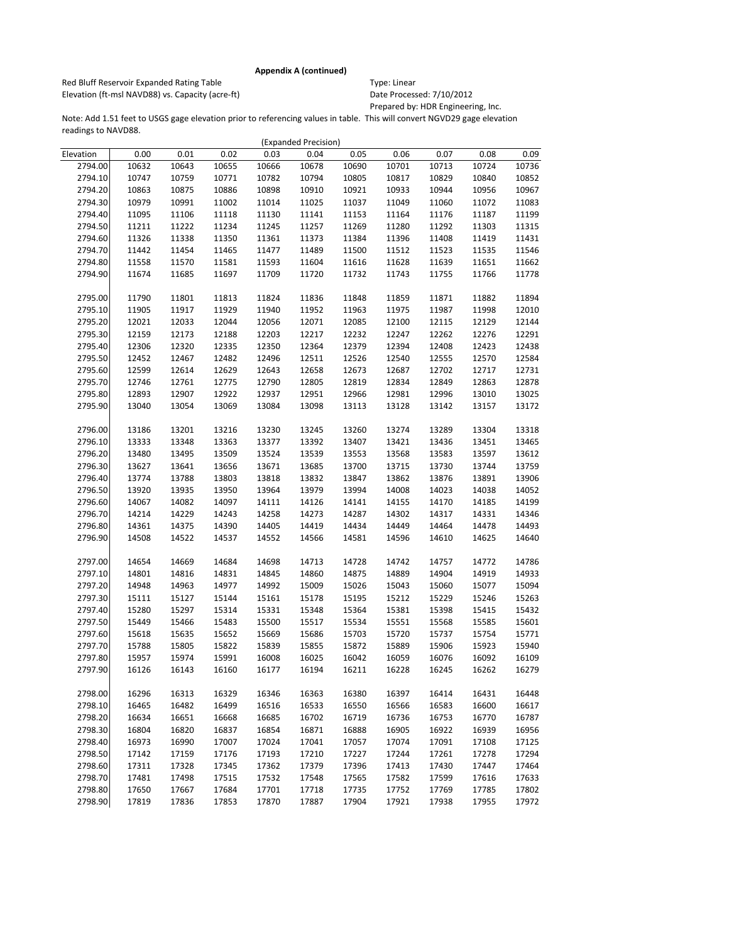Red Bluff Reservoir Expanded Rating Table Table Type: Linear Elevation (ft-msl NAVD88) vs. Capacity (acre-ft) Date Processed: 7/10/2012

Prepared by: HDR Engineering, Inc.

|           |       |       |       |       | (Expanded Precision) |       |       |       |       |       |
|-----------|-------|-------|-------|-------|----------------------|-------|-------|-------|-------|-------|
| Elevation | 0.00  | 0.01  | 0.02  | 0.03  | 0.04                 | 0.05  | 0.06  | 0.07  | 0.08  | 0.09  |
| 2794.00   | 10632 | 10643 | 10655 | 10666 | 10678                | 10690 | 10701 | 10713 | 10724 | 10736 |
| 2794.10   | 10747 | 10759 | 10771 | 10782 | 10794                | 10805 | 10817 | 10829 | 10840 | 10852 |
| 2794.20   | 10863 | 10875 | 10886 | 10898 | 10910                | 10921 | 10933 | 10944 | 10956 | 10967 |
| 2794.30   | 10979 | 10991 | 11002 | 11014 | 11025                | 11037 | 11049 | 11060 | 11072 | 11083 |
| 2794.40   | 11095 | 11106 | 11118 | 11130 | 11141                | 11153 | 11164 | 11176 | 11187 | 11199 |
| 2794.50   | 11211 | 11222 | 11234 | 11245 | 11257                | 11269 | 11280 | 11292 | 11303 | 11315 |
| 2794.60   | 11326 | 11338 | 11350 | 11361 | 11373                | 11384 | 11396 | 11408 | 11419 | 11431 |
| 2794.70   | 11442 | 11454 | 11465 | 11477 | 11489                | 11500 | 11512 | 11523 | 11535 | 11546 |
| 2794.80   | 11558 | 11570 | 11581 | 11593 | 11604                | 11616 | 11628 | 11639 | 11651 | 11662 |
| 2794.90   | 11674 | 11685 | 11697 | 11709 | 11720                | 11732 | 11743 | 11755 | 11766 | 11778 |
|           |       |       |       |       |                      |       |       |       |       |       |
| 2795.00   | 11790 | 11801 | 11813 | 11824 | 11836                | 11848 | 11859 | 11871 | 11882 | 11894 |
| 2795.10   | 11905 | 11917 | 11929 | 11940 | 11952                | 11963 | 11975 | 11987 | 11998 | 12010 |
| 2795.20   | 12021 | 12033 | 12044 | 12056 | 12071                | 12085 | 12100 | 12115 | 12129 | 12144 |
| 2795.30   | 12159 | 12173 | 12188 | 12203 | 12217                | 12232 | 12247 | 12262 | 12276 | 12291 |
| 2795.40   | 12306 | 12320 | 12335 | 12350 | 12364                | 12379 | 12394 | 12408 | 12423 | 12438 |
| 2795.50   | 12452 | 12467 | 12482 | 12496 | 12511                | 12526 | 12540 | 12555 | 12570 | 12584 |
| 2795.60   | 12599 | 12614 | 12629 | 12643 | 12658                | 12673 | 12687 | 12702 | 12717 | 12731 |
| 2795.70   | 12746 | 12761 | 12775 | 12790 | 12805                | 12819 | 12834 | 12849 | 12863 | 12878 |
| 2795.80   | 12893 | 12907 | 12922 | 12937 | 12951                | 12966 | 12981 | 12996 | 13010 | 13025 |
| 2795.90   | 13040 | 13054 | 13069 | 13084 | 13098                | 13113 | 13128 | 13142 | 13157 | 13172 |
|           |       |       |       |       |                      |       |       |       |       |       |
| 2796.00   | 13186 | 13201 | 13216 | 13230 | 13245                | 13260 | 13274 | 13289 | 13304 | 13318 |
| 2796.10   | 13333 | 13348 | 13363 | 13377 | 13392                | 13407 | 13421 | 13436 | 13451 | 13465 |
| 2796.20   | 13480 | 13495 | 13509 | 13524 | 13539                | 13553 | 13568 | 13583 | 13597 | 13612 |
| 2796.30   | 13627 | 13641 | 13656 | 13671 | 13685                | 13700 | 13715 | 13730 | 13744 | 13759 |
| 2796.40   | 13774 | 13788 | 13803 | 13818 | 13832                | 13847 | 13862 | 13876 | 13891 | 13906 |
| 2796.50   | 13920 | 13935 | 13950 | 13964 | 13979                | 13994 | 14008 | 14023 | 14038 | 14052 |
| 2796.60   | 14067 | 14082 | 14097 | 14111 | 14126                | 14141 | 14155 | 14170 | 14185 | 14199 |
| 2796.70   | 14214 | 14229 | 14243 | 14258 | 14273                | 14287 | 14302 | 14317 | 14331 | 14346 |
| 2796.80   | 14361 | 14375 | 14390 | 14405 | 14419                | 14434 | 14449 | 14464 | 14478 | 14493 |
| 2796.90   | 14508 | 14522 | 14537 | 14552 | 14566                | 14581 | 14596 | 14610 | 14625 | 14640 |
|           |       |       |       |       |                      |       |       |       |       |       |
| 2797.00   | 14654 | 14669 | 14684 | 14698 | 14713                | 14728 | 14742 | 14757 | 14772 | 14786 |
| 2797.10   | 14801 | 14816 | 14831 | 14845 | 14860                | 14875 | 14889 | 14904 | 14919 | 14933 |
| 2797.20   | 14948 | 14963 | 14977 | 14992 | 15009                | 15026 | 15043 | 15060 | 15077 | 15094 |
| 2797.30   | 15111 | 15127 | 15144 | 15161 | 15178                | 15195 | 15212 | 15229 | 15246 | 15263 |
| 2797.40   | 15280 | 15297 | 15314 | 15331 | 15348                | 15364 | 15381 | 15398 | 15415 | 15432 |
| 2797.50   | 15449 | 15466 | 15483 | 15500 | 15517                | 15534 | 15551 | 15568 | 15585 | 15601 |
| 2797.60   | 15618 | 15635 | 15652 | 15669 | 15686                | 15703 | 15720 | 15737 | 15754 | 15771 |
| 2797.70   | 15788 | 15805 | 15822 | 15839 | 15855                | 15872 | 15889 | 15906 | 15923 | 15940 |
| 2797.80   | 15957 | 15974 | 15991 | 16008 | 16025                | 16042 | 16059 | 16076 | 16092 | 16109 |
| 2797.90   | 16126 | 16143 | 16160 | 16177 | 16194                | 16211 | 16228 | 16245 | 16262 | 16279 |
|           |       |       |       |       |                      |       |       |       |       |       |
| 2798.00   | 16296 | 16313 | 16329 | 16346 | 16363                | 16380 | 16397 | 16414 | 16431 | 16448 |
| 2798.10   | 16465 | 16482 | 16499 | 16516 | 16533                | 16550 | 16566 | 16583 | 16600 | 16617 |
| 2798.20   | 16634 | 16651 | 16668 | 16685 | 16702                | 16719 | 16736 | 16753 | 16770 | 16787 |
| 2798.30   | 16804 | 16820 | 16837 | 16854 | 16871                | 16888 | 16905 | 16922 | 16939 | 16956 |
| 2798.40   | 16973 | 16990 | 17007 | 17024 | 17041                | 17057 | 17074 | 17091 | 17108 | 17125 |
| 2798.50   | 17142 | 17159 | 17176 | 17193 | 17210                | 17227 | 17244 | 17261 | 17278 | 17294 |
| 2798.60   | 17311 | 17328 | 17345 | 17362 | 17379                | 17396 | 17413 | 17430 | 17447 | 17464 |
| 2798.70   | 17481 | 17498 | 17515 | 17532 | 17548                | 17565 | 17582 | 17599 | 17616 | 17633 |
| 2798.80   | 17650 | 17667 | 17684 | 17701 | 17718                | 17735 | 17752 | 17769 | 17785 | 17802 |
| 2798.90   | 17819 | 17836 | 17853 | 17870 | 17887                | 17904 | 17921 | 17938 | 17955 | 17972 |
|           |       |       |       |       |                      |       |       |       |       |       |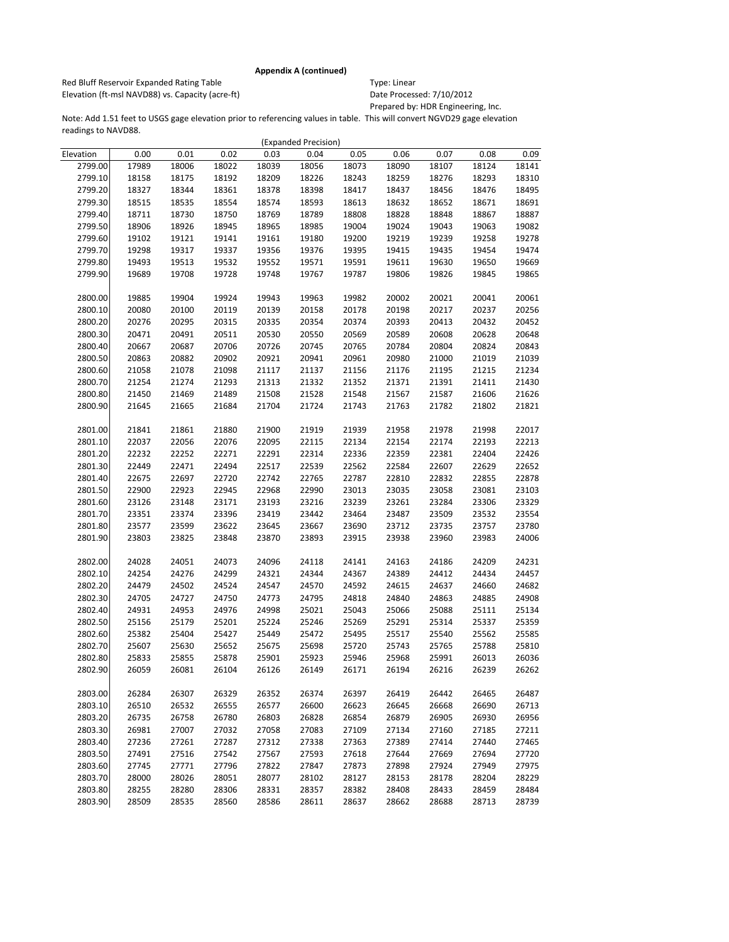Red Bluff Reservoir Expanded Rating Table Table Type: Linear Elevation (ft-msl NAVD88) vs. Capacity (acre-ft) Date Processed: 7/10/2012

Prepared by: HDR Engineering, Inc.

|           |       |       |       |       | (Expanded Precision) |       |       |       |       |       |
|-----------|-------|-------|-------|-------|----------------------|-------|-------|-------|-------|-------|
| Elevation | 0.00  | 0.01  | 0.02  | 0.03  | 0.04                 | 0.05  | 0.06  | 0.07  | 0.08  | 0.09  |
| 2799.00   | 17989 | 18006 | 18022 | 18039 | 18056                | 18073 | 18090 | 18107 | 18124 | 18141 |
| 2799.10   | 18158 | 18175 | 18192 | 18209 | 18226                | 18243 | 18259 | 18276 | 18293 | 18310 |
| 2799.20   | 18327 | 18344 | 18361 | 18378 | 18398                | 18417 | 18437 | 18456 | 18476 | 18495 |
| 2799.30   | 18515 | 18535 | 18554 | 18574 | 18593                | 18613 | 18632 | 18652 | 18671 | 18691 |
| 2799.40   | 18711 | 18730 | 18750 | 18769 | 18789                | 18808 | 18828 | 18848 | 18867 | 18887 |
| 2799.50   | 18906 | 18926 | 18945 | 18965 | 18985                | 19004 | 19024 | 19043 | 19063 | 19082 |
| 2799.60   | 19102 | 19121 | 19141 | 19161 | 19180                | 19200 | 19219 | 19239 | 19258 | 19278 |
| 2799.70   | 19298 | 19317 | 19337 | 19356 | 19376                | 19395 | 19415 | 19435 | 19454 | 19474 |
| 2799.80   | 19493 | 19513 | 19532 | 19552 | 19571                | 19591 | 19611 | 19630 | 19650 | 19669 |
| 2799.90   | 19689 | 19708 | 19728 | 19748 | 19767                | 19787 | 19806 | 19826 | 19845 | 19865 |
|           |       |       |       |       |                      |       |       |       |       |       |
| 2800.00   | 19885 | 19904 | 19924 | 19943 | 19963                | 19982 | 20002 | 20021 | 20041 | 20061 |
| 2800.10   | 20080 | 20100 | 20119 | 20139 | 20158                | 20178 | 20198 | 20217 | 20237 | 20256 |
| 2800.20   | 20276 | 20295 | 20315 | 20335 | 20354                | 20374 | 20393 | 20413 | 20432 | 20452 |
| 2800.30   | 20471 | 20491 | 20511 | 20530 | 20550                | 20569 | 20589 | 20608 | 20628 | 20648 |
| 2800.40   | 20667 | 20687 | 20706 | 20726 | 20745                | 20765 | 20784 | 20804 | 20824 | 20843 |
| 2800.50   | 20863 | 20882 | 20902 | 20921 | 20941                | 20961 | 20980 | 21000 | 21019 | 21039 |
| 2800.60   | 21058 | 21078 | 21098 | 21117 | 21137                | 21156 | 21176 | 21195 | 21215 | 21234 |
| 2800.70   | 21254 | 21274 | 21293 | 21313 | 21332                | 21352 | 21371 | 21391 | 21411 | 21430 |
| 2800.80   | 21450 | 21469 | 21489 | 21508 | 21528                | 21548 | 21567 | 21587 | 21606 | 21626 |
| 2800.90   | 21645 | 21665 | 21684 | 21704 | 21724                | 21743 | 21763 | 21782 | 21802 | 21821 |
|           |       |       |       |       |                      |       |       |       |       |       |
| 2801.00   | 21841 | 21861 | 21880 | 21900 | 21919                | 21939 | 21958 | 21978 | 21998 | 22017 |
| 2801.10   | 22037 | 22056 | 22076 | 22095 | 22115                | 22134 | 22154 | 22174 | 22193 | 22213 |
| 2801.20   | 22232 | 22252 | 22271 | 22291 | 22314                | 22336 | 22359 | 22381 | 22404 | 22426 |
| 2801.30   | 22449 | 22471 | 22494 | 22517 | 22539                | 22562 | 22584 | 22607 | 22629 | 22652 |
| 2801.40   | 22675 | 22697 | 22720 | 22742 | 22765                | 22787 | 22810 | 22832 | 22855 | 22878 |
| 2801.50   | 22900 | 22923 | 22945 | 22968 | 22990                | 23013 | 23035 | 23058 | 23081 | 23103 |
| 2801.60   | 23126 | 23148 | 23171 | 23193 | 23216                | 23239 | 23261 | 23284 | 23306 | 23329 |
| 2801.70   | 23351 | 23374 | 23396 | 23419 | 23442                | 23464 | 23487 | 23509 | 23532 | 23554 |
| 2801.80   | 23577 | 23599 | 23622 | 23645 | 23667                | 23690 | 23712 | 23735 | 23757 | 23780 |
| 2801.90   | 23803 | 23825 | 23848 | 23870 | 23893                | 23915 | 23938 | 23960 | 23983 | 24006 |
|           |       |       |       |       |                      |       |       |       |       |       |
| 2802.00   | 24028 | 24051 | 24073 | 24096 | 24118                | 24141 | 24163 | 24186 | 24209 | 24231 |
| 2802.10   | 24254 | 24276 | 24299 | 24321 | 24344                | 24367 | 24389 | 24412 | 24434 | 24457 |
| 2802.20   | 24479 | 24502 | 24524 | 24547 | 24570                | 24592 | 24615 | 24637 | 24660 | 24682 |
| 2802.30   | 24705 | 24727 | 24750 | 24773 | 24795                | 24818 | 24840 | 24863 | 24885 | 24908 |
| 2802.40   | 24931 | 24953 | 24976 | 24998 | 25021                | 25043 | 25066 | 25088 | 25111 | 25134 |
| 2802.50   | 25156 | 25179 | 25201 | 25224 | 25246                | 25269 | 25291 | 25314 | 25337 | 25359 |
| 2802.60   | 25382 | 25404 | 25427 | 25449 | 25472                | 25495 | 25517 | 25540 | 25562 | 25585 |
| 2802.70   | 25607 | 25630 | 25652 | 25675 | 25698                | 25720 | 25743 | 25765 | 25788 | 25810 |
| 2802.80   | 25833 | 25855 | 25878 | 25901 | 25923                | 25946 | 25968 | 25991 | 26013 | 26036 |
| 2802.90   | 26059 | 26081 | 26104 | 26126 | 26149                | 26171 | 26194 | 26216 | 26239 | 26262 |
|           |       |       |       |       |                      |       |       |       |       |       |
| 2803.00   | 26284 | 26307 | 26329 | 26352 | 26374                | 26397 | 26419 | 26442 | 26465 | 26487 |
| 2803.10   | 26510 | 26532 | 26555 | 26577 | 26600                | 26623 | 26645 | 26668 | 26690 | 26713 |
| 2803.20   | 26735 | 26758 | 26780 | 26803 | 26828                | 26854 | 26879 | 26905 | 26930 | 26956 |
| 2803.30   | 26981 | 27007 | 27032 | 27058 | 27083                | 27109 | 27134 | 27160 | 27185 | 27211 |
| 2803.40   | 27236 | 27261 | 27287 | 27312 | 27338                | 27363 | 27389 | 27414 | 27440 | 27465 |
| 2803.50   | 27491 | 27516 | 27542 | 27567 | 27593                | 27618 | 27644 | 27669 | 27694 | 27720 |
| 2803.60   | 27745 | 27771 | 27796 | 27822 | 27847                | 27873 | 27898 | 27924 | 27949 | 27975 |
| 2803.70   | 28000 | 28026 | 28051 | 28077 | 28102                | 28127 | 28153 | 28178 | 28204 | 28229 |
| 2803.80   | 28255 | 28280 | 28306 | 28331 | 28357                | 28382 | 28408 | 28433 | 28459 | 28484 |
| 2803.90   | 28509 | 28535 | 28560 | 28586 | 28611                | 28637 | 28662 | 28688 | 28713 | 28739 |
|           |       |       |       |       |                      |       |       |       |       |       |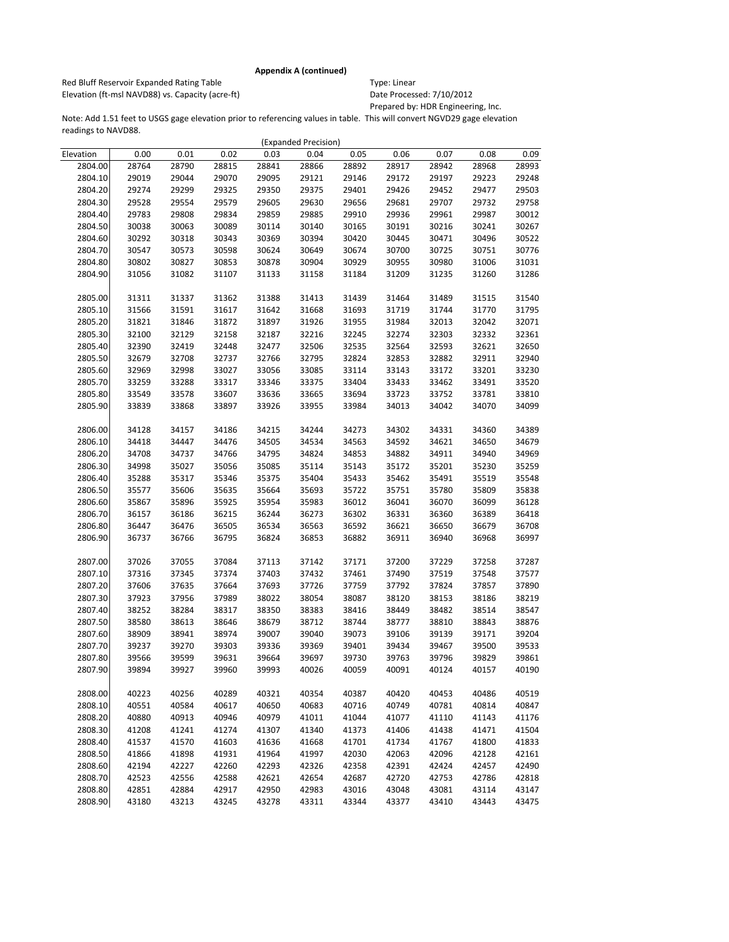Red Bluff Reservoir Expanded Rating Table Table Type: Linear Elevation (ft-msl NAVD88) vs. Capacity (acre-ft) Date Processed: 7/10/2012

Prepared by: HDR Engineering, Inc.

|                    |                |                |                |                | (Expanded Precision) |                |                |                |                |                |
|--------------------|----------------|----------------|----------------|----------------|----------------------|----------------|----------------|----------------|----------------|----------------|
| Elevation          | 0.00           | 0.01           | 0.02           | 0.03           | 0.04                 | 0.05           | 0.06           | 0.07           | 0.08           | 0.09           |
| 2804.00            | 28764          | 28790          | 28815          | 28841          | 28866                | 28892          | 28917          | 28942          | 28968          | 28993          |
| 2804.10            | 29019          | 29044          | 29070          | 29095          | 29121                | 29146          | 29172          | 29197          | 29223          | 29248          |
| 2804.20            | 29274          | 29299          | 29325          | 29350          | 29375                | 29401          | 29426          | 29452          | 29477          | 29503          |
| 2804.30            | 29528          | 29554          | 29579          | 29605          | 29630                | 29656          | 29681          | 29707          | 29732          | 29758          |
| 2804.40            | 29783          | 29808          | 29834          | 29859          | 29885                | 29910          | 29936          | 29961          | 29987          | 30012          |
| 2804.50            | 30038          | 30063          | 30089          | 30114          | 30140                | 30165          | 30191          | 30216          | 30241          | 30267          |
| 2804.60            | 30292          | 30318          | 30343          | 30369          | 30394                | 30420          | 30445          | 30471          | 30496          | 30522          |
| 2804.70            | 30547          | 30573          | 30598          | 30624          | 30649                | 30674          | 30700          | 30725          | 30751          | 30776          |
| 2804.80            | 30802          | 30827          | 30853          | 30878          | 30904                | 30929          | 30955          | 30980          | 31006          | 31031          |
| 2804.90            | 31056          | 31082          | 31107          | 31133          | 31158                | 31184          | 31209          | 31235          | 31260          | 31286          |
|                    |                |                |                |                |                      |                |                |                |                |                |
| 2805.00            | 31311          | 31337          | 31362          | 31388          | 31413                | 31439          | 31464          | 31489          | 31515          | 31540          |
| 2805.10            | 31566          | 31591          | 31617          | 31642          | 31668                | 31693          | 31719          | 31744          | 31770          | 31795          |
| 2805.20            | 31821          | 31846          | 31872          | 31897          | 31926                | 31955          | 31984          | 32013          | 32042          | 32071          |
| 2805.30            | 32100          | 32129          | 32158          | 32187          | 32216                | 32245          | 32274          | 32303          | 32332          | 32361          |
| 2805.40            | 32390          | 32419          | 32448          | 32477          | 32506                | 32535          | 32564          | 32593          | 32621          | 32650          |
| 2805.50            | 32679          | 32708          | 32737          | 32766          | 32795                | 32824          | 32853          | 32882          | 32911          | 32940          |
| 2805.60            | 32969          | 32998          | 33027          | 33056          | 33085                | 33114          | 33143          | 33172          | 33201          | 33230          |
| 2805.70            | 33259          | 33288          | 33317          | 33346          | 33375                | 33404          | 33433          | 33462          | 33491          | 33520          |
| 2805.80            | 33549          | 33578          | 33607          | 33636          | 33665                | 33694          | 33723          | 33752          | 33781          | 33810          |
| 2805.90            | 33839          | 33868          | 33897          | 33926          | 33955                | 33984          | 34013          | 34042          | 34070          | 34099          |
|                    |                |                |                |                |                      |                |                |                |                |                |
| 2806.00            | 34128          | 34157          | 34186          | 34215          | 34244                | 34273          | 34302          | 34331          | 34360          | 34389          |
| 2806.10            | 34418          | 34447          | 34476          | 34505          | 34534                | 34563          | 34592          | 34621          | 34650          | 34679          |
| 2806.20            | 34708          | 34737          | 34766          | 34795          | 34824                | 34853          | 34882          | 34911          | 34940          | 34969          |
| 2806.30            | 34998          | 35027          | 35056          | 35085          | 35114                | 35143          | 35172          | 35201          | 35230          | 35259          |
| 2806.40            | 35288          | 35317          | 35346          | 35375          | 35404                | 35433          | 35462          | 35491          | 35519          | 35548          |
| 2806.50            | 35577          | 35606          | 35635          | 35664          | 35693                | 35722          | 35751          | 35780          | 35809          | 35838          |
| 2806.60            | 35867          | 35896          | 35925          | 35954          | 35983                | 36012          | 36041          | 36070          | 36099          | 36128          |
| 2806.70            | 36157          | 36186          | 36215          | 36244          | 36273                | 36302          | 36331          | 36360          | 36389          | 36418          |
| 2806.80            | 36447          | 36476          | 36505          | 36534          | 36563                | 36592          | 36621          | 36650          | 36679          | 36708          |
| 2806.90            | 36737          | 36766          | 36795          | 36824          | 36853                | 36882          | 36911          | 36940          | 36968          | 36997          |
|                    |                |                |                |                |                      |                |                |                |                |                |
| 2807.00<br>2807.10 | 37026          | 37055          | 37084          | 37113          | 37142                | 37171          | 37200          | 37229          | 37258          | 37287          |
| 2807.20            | 37316<br>37606 | 37345<br>37635 | 37374<br>37664 | 37403<br>37693 | 37432<br>37726       | 37461<br>37759 | 37490<br>37792 | 37519<br>37824 | 37548<br>37857 | 37577<br>37890 |
| 2807.30            | 37923          | 37956          | 37989          | 38022          | 38054                | 38087          | 38120          | 38153          | 38186          | 38219          |
| 2807.40            | 38252          | 38284          | 38317          | 38350          | 38383                | 38416          | 38449          | 38482          | 38514          | 38547          |
| 2807.50            | 38580          | 38613          | 38646          | 38679          | 38712                | 38744          | 38777          | 38810          | 38843          | 38876          |
| 2807.60            | 38909          | 38941          | 38974          | 39007          | 39040                | 39073          | 39106          | 39139          | 39171          | 39204          |
| 2807.70            | 39237          | 39270          | 39303          | 39336          | 39369                | 39401          | 39434          | 39467          | 39500          | 39533          |
| 2807.80            | 39566          | 39599          | 39631          | 39664          | 39697                | 39730          | 39763          | 39796          | 39829          | 39861          |
| 2807.90            | 39894          | 39927          | 39960          | 39993          | 40026                | 40059          | 40091          | 40124          | 40157          | 40190          |
|                    |                |                |                |                |                      |                |                |                |                |                |
| 2808.00            | 40223          | 40256          | 40289          | 40321          | 40354                | 40387          | 40420          | 40453          | 40486          | 40519          |
| 2808.10            | 40551          | 40584          | 40617          | 40650          | 40683                | 40716          | 40749          | 40781          | 40814          | 40847          |
| 2808.20            | 40880          | 40913          | 40946          | 40979          | 41011                | 41044          | 41077          | 41110          | 41143          | 41176          |
| 2808.30            | 41208          | 41241          | 41274          | 41307          | 41340                | 41373          | 41406          | 41438          | 41471          | 41504          |
| 2808.40            | 41537          | 41570          | 41603          | 41636          | 41668                | 41701          | 41734          | 41767          | 41800          | 41833          |
| 2808.50            | 41866          | 41898          | 41931          | 41964          | 41997                | 42030          | 42063          | 42096          | 42128          | 42161          |
| 2808.60            | 42194          | 42227          | 42260          | 42293          | 42326                | 42358          | 42391          | 42424          | 42457          | 42490          |
| 2808.70            | 42523          | 42556          | 42588          | 42621          | 42654                | 42687          | 42720          | 42753          | 42786          | 42818          |
| 2808.80            | 42851          | 42884          | 42917          | 42950          | 42983                | 43016          | 43048          | 43081          | 43114          | 43147          |
| 2808.90            | 43180          | 43213          | 43245          | 43278          | 43311                | 43344          | 43377          | 43410          | 43443          | 43475          |
|                    |                |                |                |                |                      |                |                |                |                |                |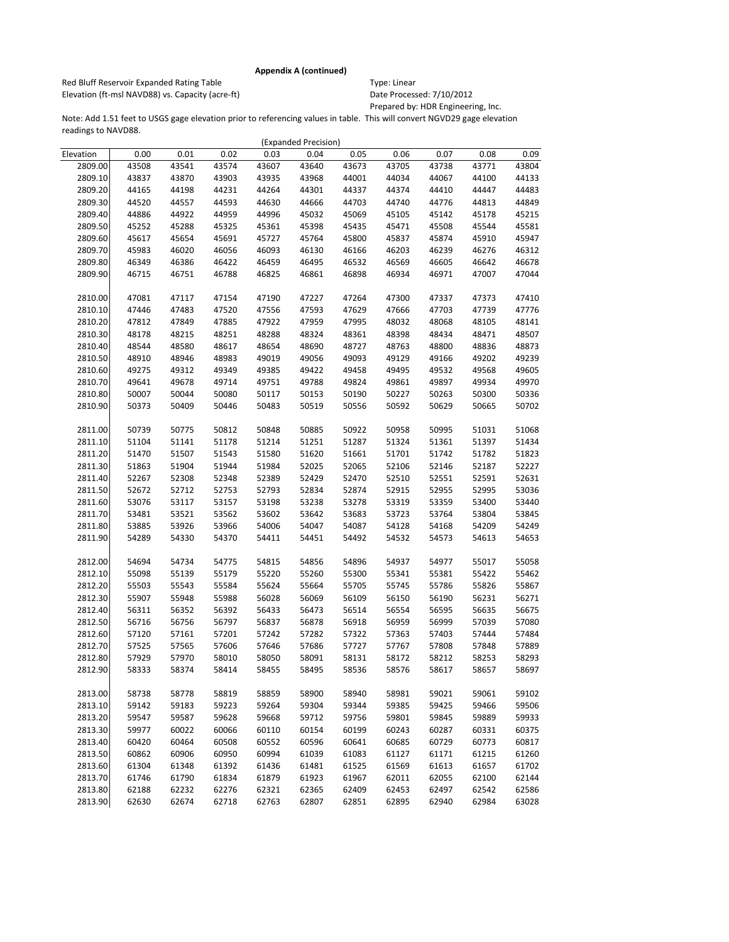Red Bluff Reservoir Expanded Rating Table Table Type: Linear Elevation (ft-msl NAVD88) vs. Capacity (acre-ft) Date Processed: 7/10/2012

Prepared by: HDR Engineering, Inc.

|           |       |       |       |       | (Expanded Precision) |       |       |       |       |       |
|-----------|-------|-------|-------|-------|----------------------|-------|-------|-------|-------|-------|
| Elevation | 0.00  | 0.01  | 0.02  | 0.03  | 0.04                 | 0.05  | 0.06  | 0.07  | 0.08  | 0.09  |
| 2809.00   | 43508 | 43541 | 43574 | 43607 | 43640                | 43673 | 43705 | 43738 | 43771 | 43804 |
| 2809.10   | 43837 | 43870 | 43903 | 43935 | 43968                | 44001 | 44034 | 44067 | 44100 | 44133 |
| 2809.20   | 44165 | 44198 | 44231 | 44264 | 44301                | 44337 | 44374 | 44410 | 44447 | 44483 |
| 2809.30   | 44520 | 44557 | 44593 | 44630 | 44666                | 44703 | 44740 | 44776 | 44813 | 44849 |
| 2809.40   | 44886 | 44922 | 44959 | 44996 | 45032                | 45069 | 45105 | 45142 | 45178 | 45215 |
| 2809.50   | 45252 | 45288 | 45325 | 45361 | 45398                | 45435 | 45471 | 45508 | 45544 | 45581 |
| 2809.60   | 45617 | 45654 | 45691 | 45727 | 45764                | 45800 | 45837 | 45874 | 45910 | 45947 |
| 2809.70   | 45983 | 46020 | 46056 | 46093 | 46130                | 46166 | 46203 | 46239 | 46276 | 46312 |
| 2809.80   | 46349 | 46386 | 46422 | 46459 | 46495                | 46532 | 46569 | 46605 | 46642 | 46678 |
| 2809.90   | 46715 | 46751 | 46788 | 46825 | 46861                | 46898 | 46934 | 46971 | 47007 | 47044 |
|           |       |       |       |       |                      |       |       |       |       |       |
| 2810.00   | 47081 | 47117 | 47154 | 47190 | 47227                | 47264 | 47300 | 47337 | 47373 | 47410 |
| 2810.10   | 47446 | 47483 | 47520 | 47556 | 47593                | 47629 | 47666 | 47703 | 47739 | 47776 |
| 2810.20   | 47812 | 47849 | 47885 | 47922 | 47959                | 47995 | 48032 | 48068 | 48105 | 48141 |
| 2810.30   | 48178 | 48215 | 48251 | 48288 | 48324                | 48361 | 48398 | 48434 | 48471 | 48507 |
| 2810.40   | 48544 | 48580 | 48617 | 48654 | 48690                | 48727 | 48763 | 48800 | 48836 | 48873 |
| 2810.50   | 48910 | 48946 | 48983 | 49019 | 49056                | 49093 | 49129 | 49166 | 49202 | 49239 |
| 2810.60   | 49275 | 49312 | 49349 | 49385 | 49422                | 49458 | 49495 | 49532 | 49568 | 49605 |
| 2810.70   | 49641 | 49678 | 49714 | 49751 | 49788                | 49824 | 49861 | 49897 | 49934 | 49970 |
| 2810.80   | 50007 | 50044 | 50080 | 50117 | 50153                | 50190 | 50227 | 50263 | 50300 | 50336 |
| 2810.90   | 50373 | 50409 | 50446 | 50483 | 50519                | 50556 | 50592 | 50629 | 50665 | 50702 |
|           |       |       |       |       |                      |       |       |       |       |       |
| 2811.00   | 50739 | 50775 | 50812 | 50848 | 50885                | 50922 | 50958 | 50995 | 51031 | 51068 |
| 2811.10   | 51104 | 51141 | 51178 | 51214 | 51251                | 51287 | 51324 | 51361 | 51397 | 51434 |
| 2811.20   | 51470 | 51507 | 51543 | 51580 | 51620                | 51661 | 51701 | 51742 | 51782 | 51823 |
| 2811.30   | 51863 | 51904 | 51944 | 51984 | 52025                | 52065 | 52106 | 52146 | 52187 | 52227 |
| 2811.40   | 52267 | 52308 | 52348 | 52389 | 52429                | 52470 | 52510 | 52551 | 52591 | 52631 |
| 2811.50   | 52672 | 52712 | 52753 | 52793 | 52834                | 52874 | 52915 | 52955 | 52995 | 53036 |
| 2811.60   | 53076 | 53117 | 53157 | 53198 | 53238                | 53278 | 53319 | 53359 | 53400 | 53440 |
| 2811.70   | 53481 | 53521 | 53562 | 53602 | 53642                | 53683 | 53723 | 53764 | 53804 | 53845 |
| 2811.80   | 53885 | 53926 | 53966 | 54006 | 54047                | 54087 | 54128 | 54168 | 54209 | 54249 |
| 2811.90   | 54289 | 54330 | 54370 | 54411 | 54451                | 54492 | 54532 | 54573 | 54613 | 54653 |
|           |       |       |       |       |                      |       |       |       |       |       |
| 2812.00   | 54694 | 54734 | 54775 | 54815 | 54856                | 54896 | 54937 | 54977 | 55017 | 55058 |
| 2812.10   | 55098 | 55139 | 55179 | 55220 | 55260                | 55300 | 55341 | 55381 | 55422 | 55462 |
| 2812.20   | 55503 | 55543 | 55584 | 55624 | 55664                | 55705 | 55745 | 55786 | 55826 | 55867 |
| 2812.30   | 55907 | 55948 | 55988 | 56028 | 56069                | 56109 | 56150 | 56190 | 56231 | 56271 |
| 2812.40   | 56311 | 56352 | 56392 | 56433 | 56473                | 56514 | 56554 | 56595 | 56635 | 56675 |
| 2812.50   | 56716 | 56756 | 56797 | 56837 | 56878                | 56918 | 56959 | 56999 | 57039 | 57080 |
| 2812.60   | 57120 | 57161 | 57201 | 57242 | 57282                | 57322 | 57363 | 57403 | 57444 | 57484 |
| 2812.70   | 57525 | 57565 | 57606 | 57646 | 57686                | 57727 | 57767 | 57808 | 57848 | 57889 |
| 2812.80   | 57929 | 57970 | 58010 | 58050 | 58091                | 58131 | 58172 | 58212 | 58253 | 58293 |
| 2812.90   | 58333 | 58374 | 58414 | 58455 | 58495                | 58536 | 58576 | 58617 | 58657 | 58697 |
|           |       |       |       |       |                      |       |       |       |       |       |
| 2813.00   | 58738 | 58778 | 58819 | 58859 | 58900                | 58940 | 58981 | 59021 | 59061 | 59102 |
| 2813.10   | 59142 | 59183 | 59223 | 59264 | 59304                | 59344 | 59385 | 59425 | 59466 | 59506 |
| 2813.20   | 59547 | 59587 | 59628 | 59668 | 59712                | 59756 | 59801 | 59845 | 59889 | 59933 |
| 2813.30   | 59977 | 60022 | 60066 | 60110 | 60154                | 60199 | 60243 | 60287 | 60331 | 60375 |
| 2813.40   | 60420 | 60464 | 60508 | 60552 | 60596                | 60641 | 60685 | 60729 | 60773 | 60817 |
| 2813.50   | 60862 | 60906 | 60950 | 60994 | 61039                | 61083 | 61127 | 61171 | 61215 | 61260 |
| 2813.60   | 61304 | 61348 | 61392 | 61436 | 61481                | 61525 | 61569 | 61613 | 61657 | 61702 |
| 2813.70   | 61746 | 61790 | 61834 | 61879 | 61923                | 61967 | 62011 | 62055 | 62100 | 62144 |
| 2813.80   | 62188 | 62232 | 62276 | 62321 | 62365                | 62409 | 62453 | 62497 | 62542 | 62586 |
| 2813.90   | 62630 | 62674 | 62718 | 62763 | 62807                | 62851 | 62895 | 62940 | 62984 | 63028 |
|           |       |       |       |       |                      |       |       |       |       |       |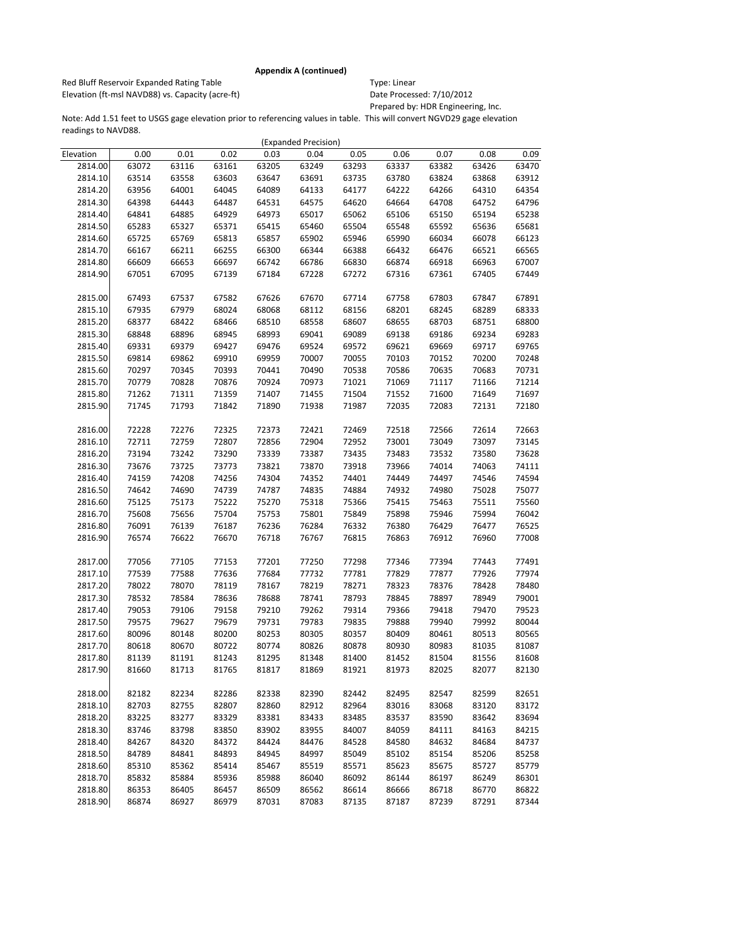Red Bluff Reservoir Expanded Rating Table Table Type: Linear Elevation (ft-msl NAVD88) vs. Capacity (acre-ft) Date Processed: 7/10/2012

Prepared by: HDR Engineering, Inc.

|           |       |       |       |       | (Expanded Precision) |       |       |       |       |       |
|-----------|-------|-------|-------|-------|----------------------|-------|-------|-------|-------|-------|
| Elevation | 0.00  | 0.01  | 0.02  | 0.03  | 0.04                 | 0.05  | 0.06  | 0.07  | 0.08  | 0.09  |
| 2814.00   | 63072 | 63116 | 63161 | 63205 | 63249                | 63293 | 63337 | 63382 | 63426 | 63470 |
| 2814.10   | 63514 | 63558 | 63603 | 63647 | 63691                | 63735 | 63780 | 63824 | 63868 | 63912 |
| 2814.20   | 63956 | 64001 | 64045 | 64089 | 64133                | 64177 | 64222 | 64266 | 64310 | 64354 |
| 2814.30   | 64398 | 64443 | 64487 | 64531 | 64575                | 64620 | 64664 | 64708 | 64752 | 64796 |
| 2814.40   | 64841 | 64885 | 64929 | 64973 | 65017                | 65062 | 65106 | 65150 | 65194 | 65238 |
| 2814.50   | 65283 | 65327 | 65371 | 65415 | 65460                | 65504 | 65548 | 65592 | 65636 | 65681 |
| 2814.60   | 65725 | 65769 | 65813 | 65857 | 65902                | 65946 | 65990 | 66034 | 66078 | 66123 |
| 2814.70   | 66167 | 66211 | 66255 | 66300 | 66344                | 66388 | 66432 | 66476 | 66521 | 66565 |
| 2814.80   | 66609 | 66653 | 66697 | 66742 | 66786                | 66830 | 66874 | 66918 | 66963 | 67007 |
| 2814.90   | 67051 | 67095 | 67139 | 67184 | 67228                | 67272 | 67316 | 67361 | 67405 | 67449 |
|           |       |       |       |       |                      |       |       |       |       |       |
| 2815.00   | 67493 | 67537 | 67582 | 67626 | 67670                | 67714 | 67758 | 67803 | 67847 | 67891 |
| 2815.10   | 67935 | 67979 | 68024 | 68068 | 68112                | 68156 | 68201 | 68245 | 68289 | 68333 |
| 2815.20   | 68377 | 68422 | 68466 | 68510 | 68558                | 68607 | 68655 | 68703 | 68751 | 68800 |
| 2815.30   | 68848 | 68896 | 68945 | 68993 | 69041                | 69089 | 69138 | 69186 | 69234 | 69283 |
| 2815.40   | 69331 | 69379 | 69427 | 69476 | 69524                | 69572 | 69621 | 69669 | 69717 | 69765 |
| 2815.50   | 69814 | 69862 | 69910 | 69959 | 70007                | 70055 | 70103 | 70152 | 70200 | 70248 |
| 2815.60   | 70297 | 70345 | 70393 | 70441 | 70490                | 70538 | 70586 | 70635 | 70683 | 70731 |
| 2815.70   | 70779 | 70828 | 70876 | 70924 | 70973                | 71021 | 71069 | 71117 | 71166 | 71214 |
| 2815.80   | 71262 | 71311 | 71359 | 71407 | 71455                | 71504 | 71552 | 71600 | 71649 | 71697 |
| 2815.90   | 71745 | 71793 | 71842 | 71890 | 71938                | 71987 | 72035 | 72083 | 72131 | 72180 |
|           |       |       |       |       |                      |       |       |       |       |       |
| 2816.00   | 72228 | 72276 | 72325 | 72373 | 72421                | 72469 | 72518 | 72566 | 72614 | 72663 |
| 2816.10   | 72711 | 72759 | 72807 | 72856 | 72904                | 72952 | 73001 | 73049 | 73097 | 73145 |
| 2816.20   |       |       | 73290 | 73339 |                      |       |       |       | 73580 |       |
|           | 73194 | 73242 |       |       | 73387                | 73435 | 73483 | 73532 |       | 73628 |
| 2816.30   | 73676 | 73725 | 73773 | 73821 | 73870                | 73918 | 73966 | 74014 | 74063 | 74111 |
| 2816.40   | 74159 | 74208 | 74256 | 74304 | 74352                | 74401 | 74449 | 74497 | 74546 | 74594 |
| 2816.50   | 74642 | 74690 | 74739 | 74787 | 74835                | 74884 | 74932 | 74980 | 75028 | 75077 |
| 2816.60   | 75125 | 75173 | 75222 | 75270 | 75318                | 75366 | 75415 | 75463 | 75511 | 75560 |
| 2816.70   | 75608 | 75656 | 75704 | 75753 | 75801                | 75849 | 75898 | 75946 | 75994 | 76042 |
| 2816.80   | 76091 | 76139 | 76187 | 76236 | 76284                | 76332 | 76380 | 76429 | 76477 | 76525 |
| 2816.90   | 76574 | 76622 | 76670 | 76718 | 76767                | 76815 | 76863 | 76912 | 76960 | 77008 |
|           |       |       |       |       |                      |       |       |       |       |       |
| 2817.00   | 77056 | 77105 | 77153 | 77201 | 77250                | 77298 | 77346 | 77394 | 77443 | 77491 |
| 2817.10   | 77539 | 77588 | 77636 | 77684 | 77732                | 77781 | 77829 | 77877 | 77926 | 77974 |
| 2817.20   | 78022 | 78070 | 78119 | 78167 | 78219                | 78271 | 78323 | 78376 | 78428 | 78480 |
| 2817.30   | 78532 | 78584 | 78636 | 78688 | 78741                | 78793 | 78845 | 78897 | 78949 | 79001 |
| 2817.40   | 79053 | 79106 | 79158 | 79210 | 79262                | 79314 | 79366 | 79418 | 79470 | 79523 |
| 2817.50   | 79575 | 79627 | 79679 | 79731 | 79783                | 79835 | 79888 | 79940 | 79992 | 80044 |
| 2817.60   | 80096 | 80148 | 80200 | 80253 | 80305                | 80357 | 80409 | 80461 | 80513 | 80565 |
| 2817.70   | 80618 | 80670 | 80722 | 80774 | 80826                | 80878 | 80930 | 80983 | 81035 | 81087 |
| 2817.80   | 81139 | 81191 | 81243 | 81295 | 81348                | 81400 | 81452 | 81504 | 81556 | 81608 |
| 2817.90   | 81660 | 81713 | 81765 | 81817 | 81869                | 81921 | 81973 | 82025 | 82077 | 82130 |
|           |       |       |       |       |                      |       |       |       |       |       |
| 2818.00   | 82182 | 82234 | 82286 | 82338 | 82390                | 82442 | 82495 | 82547 | 82599 | 82651 |
| 2818.10   | 82703 | 82755 | 82807 | 82860 | 82912                | 82964 | 83016 | 83068 | 83120 | 83172 |
| 2818.20   | 83225 | 83277 | 83329 | 83381 | 83433                | 83485 | 83537 | 83590 | 83642 | 83694 |
| 2818.30   | 83746 | 83798 | 83850 | 83902 | 83955                | 84007 | 84059 | 84111 | 84163 | 84215 |
| 2818.40   | 84267 | 84320 | 84372 | 84424 | 84476                | 84528 | 84580 | 84632 | 84684 | 84737 |
| 2818.50   | 84789 | 84841 | 84893 | 84945 | 84997                | 85049 | 85102 | 85154 | 85206 | 85258 |
| 2818.60   | 85310 | 85362 | 85414 | 85467 | 85519                | 85571 | 85623 | 85675 | 85727 | 85779 |
| 2818.70   | 85832 | 85884 | 85936 | 85988 | 86040                | 86092 | 86144 | 86197 | 86249 | 86301 |
| 2818.80   | 86353 | 86405 | 86457 | 86509 | 86562                | 86614 | 86666 | 86718 | 86770 | 86822 |
| 2818.90   | 86874 | 86927 | 86979 | 87031 | 87083                | 87135 | 87187 | 87239 | 87291 | 87344 |
|           |       |       |       |       |                      |       |       |       |       |       |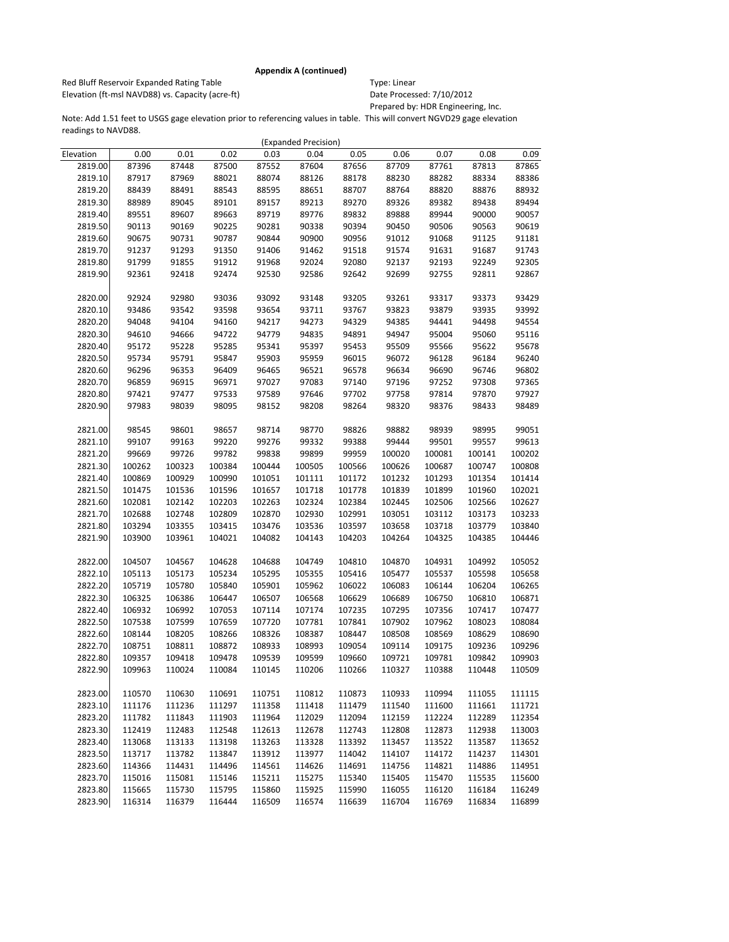Red Bluff Reservoir Expanded Rating Table Table Type: Linear Elevation (ft-msl NAVD88) vs. Capacity (acre-ft) Date Processed: 7/10/2012

Prepared by: HDR Engineering, Inc.

|           |        |        |        |        | (Expanded Precision) |        |        |        |        |        |
|-----------|--------|--------|--------|--------|----------------------|--------|--------|--------|--------|--------|
| Elevation | 0.00   | 0.01   | 0.02   | 0.03   | 0.04                 | 0.05   | 0.06   | 0.07   | 0.08   | 0.09   |
| 2819.00   | 87396  | 87448  | 87500  | 87552  | 87604                | 87656  | 87709  | 87761  | 87813  | 87865  |
| 2819.10   | 87917  | 87969  | 88021  | 88074  | 88126                | 88178  | 88230  | 88282  | 88334  | 88386  |
| 2819.20   | 88439  | 88491  | 88543  | 88595  | 88651                | 88707  | 88764  | 88820  | 88876  | 88932  |
| 2819.30   | 88989  | 89045  | 89101  | 89157  | 89213                | 89270  | 89326  | 89382  | 89438  | 89494  |
| 2819.40   | 89551  | 89607  | 89663  | 89719  | 89776                | 89832  | 89888  | 89944  | 90000  | 90057  |
| 2819.50   | 90113  | 90169  | 90225  | 90281  | 90338                | 90394  | 90450  | 90506  | 90563  | 90619  |
| 2819.60   | 90675  | 90731  | 90787  | 90844  | 90900                | 90956  | 91012  | 91068  | 91125  | 91181  |
| 2819.70   | 91237  | 91293  | 91350  | 91406  | 91462                | 91518  | 91574  | 91631  | 91687  | 91743  |
| 2819.80   | 91799  | 91855  | 91912  | 91968  | 92024                | 92080  | 92137  | 92193  | 92249  | 92305  |
| 2819.90   | 92361  | 92418  | 92474  | 92530  | 92586                | 92642  | 92699  | 92755  | 92811  | 92867  |
|           |        |        |        |        |                      |        |        |        |        |        |
| 2820.00   | 92924  | 92980  | 93036  | 93092  | 93148                | 93205  | 93261  | 93317  | 93373  | 93429  |
| 2820.10   | 93486  | 93542  | 93598  | 93654  | 93711                | 93767  | 93823  | 93879  | 93935  | 93992  |
| 2820.20   | 94048  | 94104  | 94160  | 94217  | 94273                | 94329  | 94385  | 94441  | 94498  | 94554  |
| 2820.30   | 94610  | 94666  | 94722  | 94779  | 94835                | 94891  | 94947  | 95004  | 95060  | 95116  |
| 2820.40   | 95172  | 95228  | 95285  | 95341  | 95397                | 95453  | 95509  | 95566  | 95622  | 95678  |
| 2820.50   | 95734  | 95791  | 95847  | 95903  | 95959                | 96015  | 96072  | 96128  | 96184  | 96240  |
| 2820.60   | 96296  | 96353  | 96409  | 96465  | 96521                | 96578  | 96634  | 96690  | 96746  | 96802  |
| 2820.70   | 96859  | 96915  | 96971  | 97027  | 97083                | 97140  | 97196  | 97252  | 97308  | 97365  |
| 2820.80   | 97421  | 97477  | 97533  | 97589  | 97646                | 97702  | 97758  | 97814  | 97870  | 97927  |
| 2820.90   | 97983  | 98039  | 98095  | 98152  | 98208                | 98264  | 98320  | 98376  | 98433  | 98489  |
|           |        |        |        |        |                      |        |        |        |        |        |
| 2821.00   | 98545  | 98601  | 98657  | 98714  | 98770                | 98826  | 98882  | 98939  | 98995  | 99051  |
| 2821.10   | 99107  | 99163  | 99220  | 99276  | 99332                | 99388  | 99444  | 99501  | 99557  | 99613  |
| 2821.20   | 99669  | 99726  | 99782  | 99838  | 99899                | 99959  | 100020 | 100081 | 100141 | 100202 |
| 2821.30   | 100262 | 100323 | 100384 | 100444 | 100505               | 100566 | 100626 | 100687 | 100747 | 100808 |
| 2821.40   | 100869 | 100929 | 100990 | 101051 | 101111               | 101172 | 101232 | 101293 | 101354 | 101414 |
| 2821.50   | 101475 | 101536 | 101596 | 101657 | 101718               | 101778 | 101839 | 101899 | 101960 | 102021 |
| 2821.60   | 102081 | 102142 | 102203 | 102263 | 102324               | 102384 | 102445 | 102506 | 102566 | 102627 |
| 2821.70   | 102688 | 102748 | 102809 | 102870 | 102930               | 102991 | 103051 | 103112 | 103173 | 103233 |
| 2821.80   | 103294 | 103355 | 103415 | 103476 | 103536               | 103597 | 103658 | 103718 | 103779 | 103840 |
| 2821.90   | 103900 | 103961 | 104021 | 104082 | 104143               | 104203 | 104264 | 104325 | 104385 | 104446 |
|           |        |        |        |        |                      |        |        |        |        |        |
| 2822.00   | 104507 | 104567 | 104628 | 104688 | 104749               | 104810 | 104870 | 104931 | 104992 | 105052 |
| 2822.10   | 105113 | 105173 | 105234 | 105295 | 105355               | 105416 | 105477 | 105537 | 105598 | 105658 |
| 2822.20   | 105719 | 105780 | 105840 | 105901 | 105962               | 106022 | 106083 | 106144 | 106204 | 106265 |
| 2822.30   | 106325 | 106386 | 106447 | 106507 | 106568               | 106629 | 106689 | 106750 | 106810 | 106871 |
| 2822.40   | 106932 | 106992 | 107053 | 107114 | 107174               | 107235 | 107295 | 107356 | 107417 | 107477 |
| 2822.50   | 107538 | 107599 | 107659 | 107720 | 107781               | 107841 | 107902 | 107962 | 108023 | 108084 |
| 2822.60   | 108144 | 108205 | 108266 | 108326 | 108387               | 108447 | 108508 | 108569 | 108629 | 108690 |
| 2822.70   | 108751 | 108811 | 108872 | 108933 | 108993               | 109054 | 109114 | 109175 | 109236 | 109296 |
| 2822.80   | 109357 | 109418 | 109478 | 109539 | 109599               | 109660 | 109721 | 109781 | 109842 | 109903 |
| 2822.90   | 109963 | 110024 | 110084 | 110145 | 110206               | 110266 | 110327 | 110388 | 110448 | 110509 |
|           |        |        |        |        |                      |        |        |        |        |        |
| 2823.00   | 110570 | 110630 | 110691 | 110751 | 110812               | 110873 | 110933 | 110994 | 111055 | 111115 |
| 2823.10   | 111176 | 111236 | 111297 | 111358 | 111418               | 111479 | 111540 | 111600 | 111661 | 111721 |
| 2823.20   | 111782 | 111843 | 111903 | 111964 | 112029               | 112094 | 112159 | 112224 | 112289 | 112354 |
| 2823.30   | 112419 | 112483 | 112548 | 112613 | 112678               | 112743 | 112808 | 112873 | 112938 | 113003 |
| 2823.40   | 113068 | 113133 | 113198 | 113263 | 113328               | 113392 | 113457 | 113522 | 113587 | 113652 |
| 2823.50   | 113717 | 113782 | 113847 | 113912 | 113977               | 114042 | 114107 | 114172 | 114237 | 114301 |
| 2823.60   | 114366 | 114431 | 114496 | 114561 | 114626               | 114691 | 114756 | 114821 | 114886 | 114951 |
| 2823.70   | 115016 | 115081 | 115146 | 115211 | 115275               | 115340 | 115405 | 115470 | 115535 | 115600 |
| 2823.80   | 115665 | 115730 | 115795 | 115860 | 115925               | 115990 | 116055 | 116120 | 116184 | 116249 |
| 2823.90   | 116314 | 116379 | 116444 | 116509 | 116574               | 116639 | 116704 | 116769 | 116834 | 116899 |
|           |        |        |        |        |                      |        |        |        |        |        |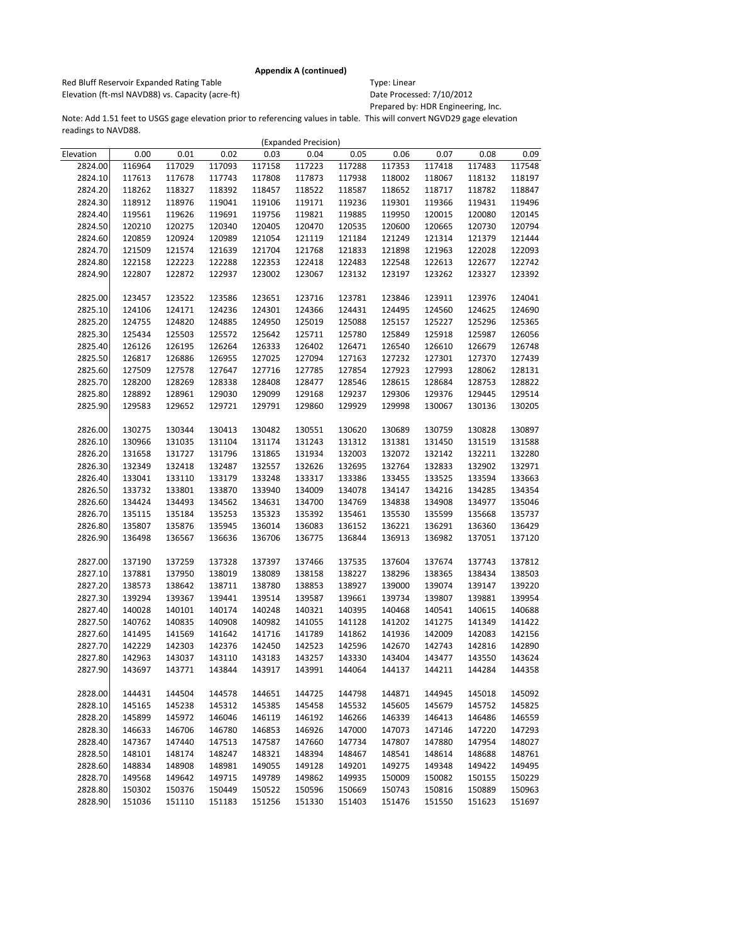Red Bluff Reservoir Expanded Rating Table Table Type: Linear Elevation (ft-msl NAVD88) vs. Capacity (acre-ft) Date Processed: 7/10/2012

Prepared by: HDR Engineering, Inc.

|           |        |        |        |        | (Expanded Precision) |        |        |        |        |        |
|-----------|--------|--------|--------|--------|----------------------|--------|--------|--------|--------|--------|
| Elevation | 0.00   | 0.01   | 0.02   | 0.03   | 0.04                 | 0.05   | 0.06   | 0.07   | 0.08   | 0.09   |
| 2824.00   | 116964 | 117029 | 117093 | 117158 | 117223               | 117288 | 117353 | 117418 | 117483 | 117548 |
| 2824.10   | 117613 | 117678 | 117743 | 117808 | 117873               | 117938 | 118002 | 118067 | 118132 | 118197 |
| 2824.20   | 118262 | 118327 | 118392 | 118457 | 118522               | 118587 | 118652 | 118717 | 118782 | 118847 |
| 2824.30   | 118912 | 118976 | 119041 | 119106 | 119171               | 119236 | 119301 | 119366 | 119431 | 119496 |
| 2824.40   | 119561 | 119626 | 119691 | 119756 | 119821               | 119885 | 119950 | 120015 | 120080 | 120145 |
| 2824.50   | 120210 | 120275 | 120340 | 120405 | 120470               | 120535 | 120600 | 120665 | 120730 | 120794 |
| 2824.60   | 120859 | 120924 | 120989 | 121054 | 121119               | 121184 | 121249 | 121314 | 121379 | 121444 |
| 2824.70   | 121509 | 121574 | 121639 | 121704 | 121768               | 121833 | 121898 | 121963 | 122028 | 122093 |
| 2824.80   | 122158 | 122223 | 122288 | 122353 | 122418               | 122483 | 122548 | 122613 | 122677 | 122742 |
| 2824.90   | 122807 | 122872 | 122937 | 123002 | 123067               | 123132 | 123197 | 123262 | 123327 | 123392 |
|           |        |        |        |        |                      |        |        |        |        |        |
| 2825.00   | 123457 | 123522 | 123586 | 123651 | 123716               | 123781 | 123846 | 123911 | 123976 | 124041 |
| 2825.10   | 124106 | 124171 | 124236 | 124301 | 124366               | 124431 | 124495 | 124560 | 124625 | 124690 |
| 2825.20   | 124755 | 124820 | 124885 | 124950 | 125019               | 125088 | 125157 | 125227 | 125296 | 125365 |
| 2825.30   | 125434 | 125503 | 125572 | 125642 | 125711               | 125780 | 125849 | 125918 | 125987 | 126056 |
| 2825.40   | 126126 | 126195 | 126264 | 126333 | 126402               | 126471 | 126540 | 126610 | 126679 | 126748 |
| 2825.50   | 126817 | 126886 | 126955 | 127025 | 127094               | 127163 | 127232 | 127301 | 127370 | 127439 |
| 2825.60   | 127509 | 127578 | 127647 | 127716 | 127785               | 127854 | 127923 | 127993 | 128062 | 128131 |
| 2825.70   | 128200 | 128269 | 128338 | 128408 | 128477               | 128546 | 128615 | 128684 | 128753 | 128822 |
| 2825.80   | 128892 | 128961 | 129030 | 129099 | 129168               | 129237 | 129306 | 129376 | 129445 | 129514 |
| 2825.90   | 129583 | 129652 | 129721 | 129791 | 129860               | 129929 | 129998 | 130067 | 130136 | 130205 |
|           |        |        |        |        |                      |        |        |        |        |        |
| 2826.00   | 130275 | 130344 | 130413 | 130482 | 130551               | 130620 | 130689 | 130759 | 130828 | 130897 |
| 2826.10   | 130966 | 131035 | 131104 | 131174 | 131243               | 131312 | 131381 | 131450 | 131519 | 131588 |
| 2826.20   | 131658 | 131727 | 131796 | 131865 | 131934               | 132003 | 132072 | 132142 | 132211 | 132280 |
| 2826.30   | 132349 | 132418 | 132487 | 132557 | 132626               | 132695 | 132764 | 132833 | 132902 | 132971 |
| 2826.40   | 133041 | 133110 | 133179 | 133248 | 133317               | 133386 | 133455 | 133525 | 133594 | 133663 |
| 2826.50   | 133732 | 133801 | 133870 | 133940 | 134009               | 134078 | 134147 | 134216 | 134285 | 134354 |
| 2826.60   | 134424 | 134493 | 134562 | 134631 | 134700               | 134769 | 134838 | 134908 | 134977 | 135046 |
| 2826.70   | 135115 | 135184 | 135253 | 135323 | 135392               | 135461 | 135530 | 135599 | 135668 | 135737 |
| 2826.80   | 135807 | 135876 | 135945 | 136014 | 136083               | 136152 | 136221 | 136291 | 136360 | 136429 |
| 2826.90   | 136498 | 136567 | 136636 | 136706 | 136775               | 136844 | 136913 | 136982 | 137051 | 137120 |
|           |        |        |        |        |                      |        |        |        |        |        |
| 2827.00   | 137190 | 137259 | 137328 | 137397 | 137466               | 137535 | 137604 | 137674 | 137743 | 137812 |
| 2827.10   | 137881 | 137950 | 138019 | 138089 | 138158               | 138227 | 138296 | 138365 | 138434 | 138503 |
| 2827.20   | 138573 | 138642 | 138711 | 138780 | 138853               | 138927 | 139000 | 139074 | 139147 | 139220 |
| 2827.30   | 139294 | 139367 | 139441 | 139514 | 139587               | 139661 | 139734 | 139807 | 139881 | 139954 |
| 2827.40   | 140028 | 140101 | 140174 | 140248 | 140321               | 140395 | 140468 | 140541 | 140615 | 140688 |
| 2827.50   | 140762 | 140835 | 140908 | 140982 | 141055               | 141128 | 141202 | 141275 | 141349 | 141422 |
| 2827.60   | 141495 | 141569 | 141642 | 141716 | 141789               | 141862 | 141936 | 142009 | 142083 | 142156 |
| 2827.70   | 142229 | 142303 | 142376 | 142450 | 142523               | 142596 | 142670 | 142743 | 142816 | 142890 |
| 2827.80   | 142963 | 143037 | 143110 | 143183 | 143257               | 143330 | 143404 | 143477 | 143550 | 143624 |
| 2827.90   | 143697 | 143771 | 143844 | 143917 | 143991               | 144064 | 144137 | 144211 | 144284 | 144358 |
|           |        |        |        |        |                      |        |        |        |        |        |
| 2828.00   | 144431 | 144504 | 144578 | 144651 | 144725               | 144798 | 144871 | 144945 | 145018 | 145092 |
| 2828.10   | 145165 | 145238 | 145312 | 145385 | 145458               | 145532 | 145605 | 145679 | 145752 | 145825 |
| 2828.20   | 145899 | 145972 | 146046 | 146119 | 146192               | 146266 | 146339 | 146413 | 146486 | 146559 |
| 2828.30   | 146633 | 146706 | 146780 | 146853 | 146926               | 147000 | 147073 | 147146 | 147220 | 147293 |
| 2828.40   | 147367 | 147440 | 147513 | 147587 | 147660               | 147734 | 147807 | 147880 | 147954 | 148027 |
| 2828.50   | 148101 | 148174 | 148247 | 148321 | 148394               | 148467 | 148541 | 148614 | 148688 | 148761 |
| 2828.60   | 148834 | 148908 | 148981 | 149055 | 149128               | 149201 | 149275 | 149348 | 149422 | 149495 |
| 2828.70   | 149568 | 149642 | 149715 | 149789 | 149862               | 149935 | 150009 | 150082 | 150155 | 150229 |
| 2828.80   | 150302 | 150376 | 150449 | 150522 | 150596               | 150669 | 150743 | 150816 | 150889 | 150963 |
| 2828.90   | 151036 | 151110 | 151183 | 151256 | 151330               | 151403 | 151476 | 151550 | 151623 | 151697 |
|           |        |        |        |        |                      |        |        |        |        |        |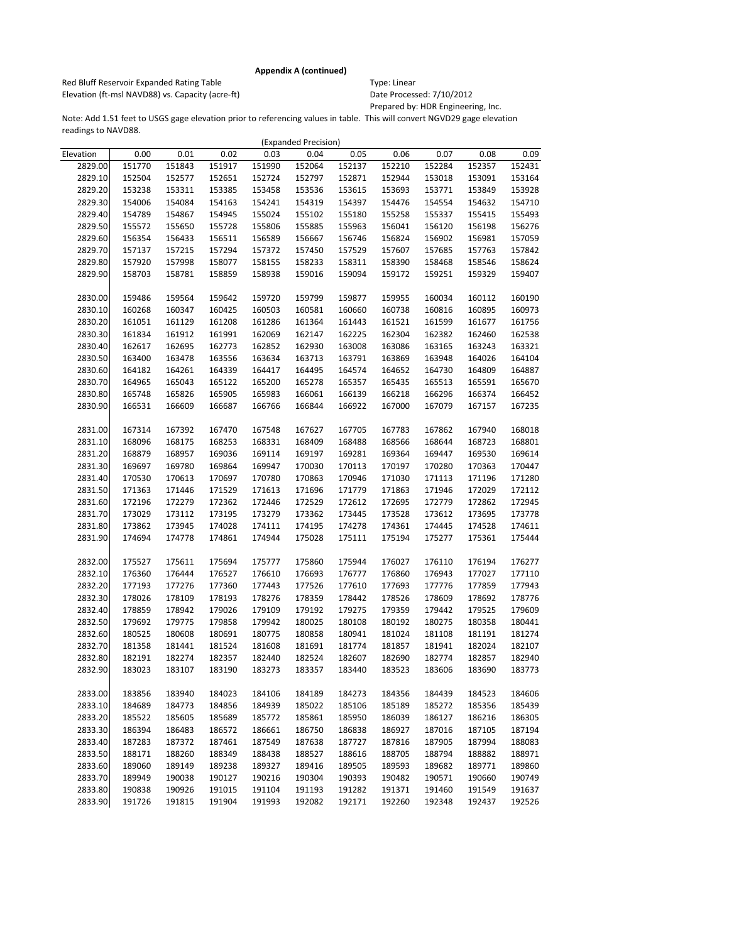Red Bluff Reservoir Expanded Rating Table Table Type: Linear Elevation (ft-msl NAVD88) vs. Capacity (acre-ft) Date Processed: 7/10/2012

Prepared by: HDR Engineering, Inc.

|           |        |        |        |        | (Expanded Precision) |        |        |        |        |        |
|-----------|--------|--------|--------|--------|----------------------|--------|--------|--------|--------|--------|
| Elevation | 0.00   | 0.01   | 0.02   | 0.03   | 0.04                 | 0.05   | 0.06   | 0.07   | 0.08   | 0.09   |
| 2829.00   | 151770 | 151843 | 151917 | 151990 | 152064               | 152137 | 152210 | 152284 | 152357 | 152431 |
| 2829.10   | 152504 | 152577 | 152651 | 152724 | 152797               | 152871 | 152944 | 153018 | 153091 | 153164 |
| 2829.20   | 153238 | 153311 | 153385 | 153458 | 153536               | 153615 | 153693 | 153771 | 153849 | 153928 |
| 2829.30   | 154006 | 154084 | 154163 | 154241 | 154319               | 154397 | 154476 | 154554 | 154632 | 154710 |
| 2829.40   | 154789 | 154867 | 154945 | 155024 | 155102               | 155180 | 155258 | 155337 | 155415 | 155493 |
| 2829.50   | 155572 | 155650 | 155728 | 155806 | 155885               | 155963 | 156041 | 156120 | 156198 | 156276 |
| 2829.60   | 156354 | 156433 | 156511 | 156589 | 156667               | 156746 | 156824 | 156902 | 156981 | 157059 |
| 2829.70   | 157137 | 157215 | 157294 | 157372 | 157450               | 157529 | 157607 | 157685 | 157763 | 157842 |
| 2829.80   | 157920 | 157998 | 158077 | 158155 | 158233               | 158311 | 158390 | 158468 | 158546 | 158624 |
| 2829.90   | 158703 | 158781 | 158859 | 158938 | 159016               | 159094 | 159172 | 159251 | 159329 | 159407 |
|           |        |        |        |        |                      |        |        |        |        |        |
| 2830.00   | 159486 | 159564 | 159642 | 159720 | 159799               | 159877 | 159955 | 160034 | 160112 | 160190 |
| 2830.10   | 160268 | 160347 | 160425 | 160503 | 160581               | 160660 | 160738 | 160816 | 160895 | 160973 |
| 2830.20   | 161051 | 161129 | 161208 | 161286 | 161364               | 161443 | 161521 | 161599 | 161677 | 161756 |
| 2830.30   | 161834 | 161912 | 161991 | 162069 | 162147               | 162225 | 162304 | 162382 | 162460 | 162538 |
| 2830.40   | 162617 | 162695 | 162773 | 162852 | 162930               | 163008 | 163086 | 163165 | 163243 | 163321 |
| 2830.50   | 163400 | 163478 | 163556 | 163634 | 163713               | 163791 | 163869 | 163948 | 164026 | 164104 |
| 2830.60   | 164182 | 164261 | 164339 | 164417 | 164495               | 164574 | 164652 | 164730 | 164809 | 164887 |
| 2830.70   | 164965 | 165043 | 165122 | 165200 | 165278               | 165357 | 165435 | 165513 | 165591 | 165670 |
| 2830.80   | 165748 | 165826 | 165905 | 165983 | 166061               | 166139 | 166218 | 166296 | 166374 | 166452 |
| 2830.90   | 166531 | 166609 | 166687 | 166766 | 166844               | 166922 | 167000 | 167079 | 167157 | 167235 |
|           |        |        |        |        |                      |        |        |        |        |        |
| 2831.00   | 167314 | 167392 | 167470 | 167548 | 167627               | 167705 | 167783 | 167862 | 167940 | 168018 |
| 2831.10   | 168096 | 168175 | 168253 | 168331 | 168409               | 168488 | 168566 | 168644 | 168723 | 168801 |
| 2831.20   | 168879 | 168957 | 169036 | 169114 | 169197               | 169281 | 169364 | 169447 | 169530 | 169614 |
| 2831.30   | 169697 | 169780 | 169864 | 169947 | 170030               | 170113 | 170197 | 170280 | 170363 | 170447 |
| 2831.40   | 170530 | 170613 | 170697 | 170780 | 170863               | 170946 | 171030 | 171113 | 171196 | 171280 |
| 2831.50   | 171363 | 171446 | 171529 | 171613 | 171696               | 171779 | 171863 | 171946 | 172029 | 172112 |
| 2831.60   | 172196 | 172279 | 172362 | 172446 | 172529               | 172612 | 172695 | 172779 | 172862 | 172945 |
| 2831.70   | 173029 | 173112 | 173195 | 173279 | 173362               | 173445 | 173528 | 173612 | 173695 | 173778 |
| 2831.80   | 173862 | 173945 | 174028 | 174111 | 174195               | 174278 | 174361 | 174445 | 174528 | 174611 |
| 2831.90   | 174694 | 174778 | 174861 | 174944 | 175028               | 175111 | 175194 | 175277 | 175361 | 175444 |
|           |        |        |        |        |                      |        |        |        |        |        |
| 2832.00   | 175527 | 175611 | 175694 | 175777 | 175860               | 175944 | 176027 | 176110 | 176194 | 176277 |
| 2832.10   | 176360 | 176444 | 176527 | 176610 | 176693               | 176777 | 176860 | 176943 | 177027 | 177110 |
| 2832.20   | 177193 | 177276 | 177360 | 177443 | 177526               | 177610 | 177693 | 177776 | 177859 | 177943 |
| 2832.30   | 178026 | 178109 | 178193 | 178276 | 178359               | 178442 | 178526 | 178609 | 178692 | 178776 |
| 2832.40   | 178859 | 178942 | 179026 | 179109 | 179192               | 179275 | 179359 | 179442 | 179525 | 179609 |
| 2832.50   | 179692 | 179775 | 179858 | 179942 | 180025               | 180108 | 180192 | 180275 | 180358 | 180441 |
| 2832.60   | 180525 | 180608 | 180691 | 180775 | 180858               | 180941 | 181024 | 181108 | 181191 | 181274 |
| 2832.70   | 181358 | 181441 | 181524 | 181608 | 181691               | 181774 | 181857 | 181941 | 182024 | 182107 |
| 2832.80   | 182191 | 182274 | 182357 | 182440 | 182524               | 182607 | 182690 | 182774 | 182857 | 182940 |
| 2832.90   | 183023 | 183107 | 183190 | 183273 | 183357               | 183440 | 183523 | 183606 | 183690 | 183773 |
|           |        |        |        |        |                      |        |        |        |        |        |
| 2833.00   | 183856 | 183940 | 184023 | 184106 | 184189               | 184273 | 184356 | 184439 | 184523 | 184606 |
| 2833.10   | 184689 | 184773 | 184856 | 184939 | 185022               | 185106 | 185189 | 185272 | 185356 | 185439 |
| 2833.20   | 185522 | 185605 | 185689 | 185772 | 185861               | 185950 | 186039 | 186127 | 186216 | 186305 |
| 2833.30   | 186394 | 186483 | 186572 | 186661 | 186750               | 186838 | 186927 | 187016 | 187105 | 187194 |
| 2833.40   | 187283 | 187372 | 187461 | 187549 | 187638               | 187727 | 187816 | 187905 | 187994 | 188083 |
| 2833.50   | 188171 | 188260 | 188349 | 188438 | 188527               | 188616 | 188705 | 188794 | 188882 | 188971 |
| 2833.60   | 189060 | 189149 | 189238 | 189327 | 189416               | 189505 | 189593 | 189682 | 189771 | 189860 |
| 2833.70   | 189949 | 190038 | 190127 | 190216 | 190304               | 190393 | 190482 | 190571 | 190660 | 190749 |
| 2833.80   | 190838 | 190926 | 191015 | 191104 | 191193               | 191282 | 191371 | 191460 | 191549 | 191637 |
| 2833.90   | 191726 | 191815 | 191904 | 191993 | 192082               | 192171 | 192260 | 192348 | 192437 | 192526 |
|           |        |        |        |        |                      |        |        |        |        |        |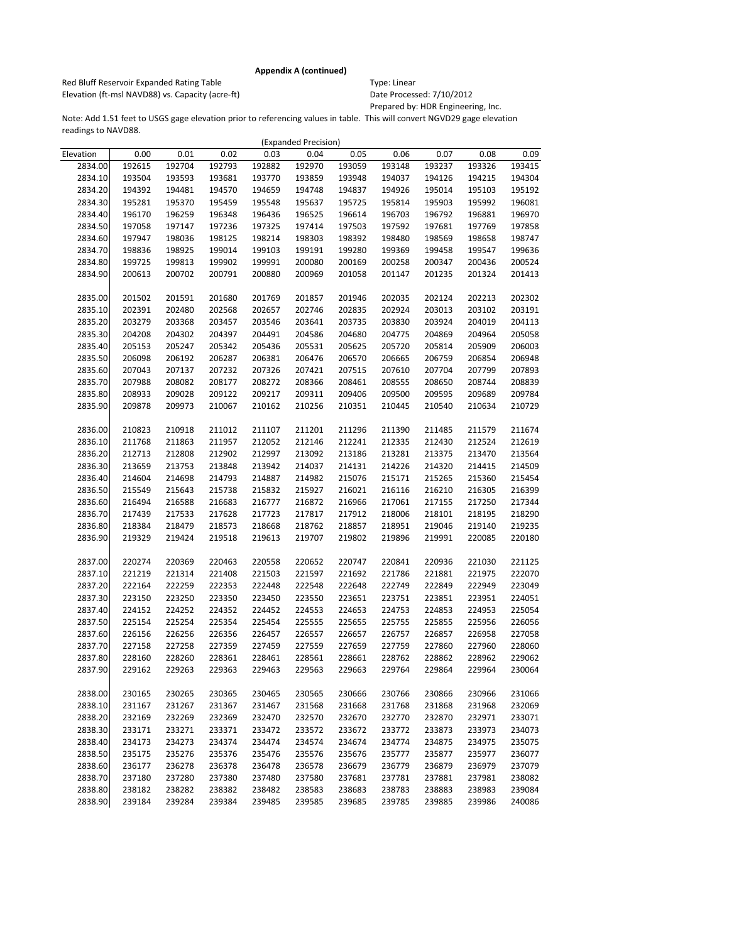Red Bluff Reservoir Expanded Rating Table Table Type: Linear Elevation (ft-msl NAVD88) vs. Capacity (acre-ft) Date Processed: 7/10/2012

Prepared by: HDR Engineering, Inc.

|           |        |        |        |        | (Expanded Precision) |        |        |        |        |        |
|-----------|--------|--------|--------|--------|----------------------|--------|--------|--------|--------|--------|
| Elevation | 0.00   | 0.01   | 0.02   | 0.03   | 0.04                 | 0.05   | 0.06   | 0.07   | 0.08   | 0.09   |
| 2834.00   | 192615 | 192704 | 192793 | 192882 | 192970               | 193059 | 193148 | 193237 | 193326 | 193415 |
| 2834.10   | 193504 | 193593 | 193681 | 193770 | 193859               | 193948 | 194037 | 194126 | 194215 | 194304 |
| 2834.20   | 194392 | 194481 | 194570 | 194659 | 194748               | 194837 | 194926 | 195014 | 195103 | 195192 |
| 2834.30   | 195281 | 195370 | 195459 | 195548 | 195637               | 195725 | 195814 | 195903 | 195992 | 196081 |
| 2834.40   | 196170 | 196259 | 196348 | 196436 | 196525               | 196614 | 196703 | 196792 | 196881 | 196970 |
| 2834.50   | 197058 | 197147 | 197236 | 197325 | 197414               | 197503 | 197592 | 197681 | 197769 | 197858 |
| 2834.60   | 197947 | 198036 | 198125 | 198214 | 198303               | 198392 | 198480 | 198569 | 198658 | 198747 |
| 2834.70   | 198836 | 198925 | 199014 | 199103 | 199191               | 199280 | 199369 | 199458 | 199547 | 199636 |
| 2834.80   | 199725 | 199813 | 199902 | 199991 | 200080               | 200169 | 200258 | 200347 | 200436 | 200524 |
| 2834.90   | 200613 | 200702 | 200791 | 200880 | 200969               | 201058 | 201147 | 201235 | 201324 | 201413 |
|           |        |        |        |        |                      |        |        |        |        |        |
| 2835.00   | 201502 | 201591 | 201680 | 201769 | 201857               | 201946 | 202035 | 202124 | 202213 | 202302 |
| 2835.10   | 202391 | 202480 | 202568 | 202657 | 202746               | 202835 | 202924 | 203013 | 203102 | 203191 |
| 2835.20   | 203279 | 203368 | 203457 | 203546 | 203641               | 203735 | 203830 | 203924 | 204019 | 204113 |
| 2835.30   | 204208 | 204302 | 204397 | 204491 | 204586               | 204680 | 204775 | 204869 | 204964 | 205058 |
| 2835.40   | 205153 | 205247 | 205342 | 205436 | 205531               | 205625 | 205720 | 205814 | 205909 | 206003 |
| 2835.50   | 206098 | 206192 | 206287 | 206381 | 206476               | 206570 | 206665 | 206759 | 206854 | 206948 |
| 2835.60   | 207043 | 207137 | 207232 | 207326 | 207421               | 207515 | 207610 | 207704 | 207799 | 207893 |
| 2835.70   | 207988 | 208082 | 208177 | 208272 | 208366               | 208461 | 208555 | 208650 | 208744 | 208839 |
| 2835.80   | 208933 | 209028 | 209122 | 209217 | 209311               | 209406 | 209500 | 209595 | 209689 | 209784 |
| 2835.90   | 209878 | 209973 | 210067 | 210162 | 210256               | 210351 | 210445 | 210540 | 210634 | 210729 |
|           |        |        |        |        |                      |        |        |        |        |        |
| 2836.00   | 210823 | 210918 | 211012 | 211107 | 211201               | 211296 | 211390 | 211485 | 211579 | 211674 |
| 2836.10   | 211768 | 211863 | 211957 | 212052 | 212146               | 212241 | 212335 | 212430 | 212524 | 212619 |
| 2836.20   | 212713 | 212808 | 212902 | 212997 | 213092               | 213186 | 213281 | 213375 | 213470 | 213564 |
| 2836.30   | 213659 | 213753 | 213848 | 213942 | 214037               | 214131 | 214226 | 214320 | 214415 | 214509 |
| 2836.40   | 214604 | 214698 | 214793 | 214887 | 214982               | 215076 | 215171 | 215265 | 215360 | 215454 |
| 2836.50   | 215549 | 215643 | 215738 | 215832 | 215927               | 216021 | 216116 | 216210 | 216305 | 216399 |
| 2836.60   | 216494 | 216588 | 216683 | 216777 | 216872               | 216966 | 217061 | 217155 | 217250 | 217344 |
| 2836.70   | 217439 | 217533 | 217628 | 217723 | 217817               | 217912 | 218006 | 218101 | 218195 | 218290 |
| 2836.80   | 218384 | 218479 | 218573 | 218668 | 218762               | 218857 | 218951 | 219046 | 219140 | 219235 |
| 2836.90   | 219329 | 219424 | 219518 | 219613 | 219707               | 219802 | 219896 | 219991 | 220085 | 220180 |
|           |        |        |        |        |                      |        |        |        |        |        |
| 2837.00   | 220274 | 220369 | 220463 | 220558 | 220652               | 220747 | 220841 | 220936 | 221030 | 221125 |
| 2837.10   | 221219 | 221314 | 221408 | 221503 | 221597               | 221692 | 221786 | 221881 | 221975 | 222070 |
| 2837.20   | 222164 | 222259 | 222353 | 222448 | 222548               | 222648 | 222749 | 222849 | 222949 | 223049 |
| 2837.30   | 223150 | 223250 | 223350 | 223450 | 223550               | 223651 | 223751 | 223851 | 223951 | 224051 |
| 2837.40   | 224152 | 224252 | 224352 | 224452 | 224553               | 224653 | 224753 | 224853 | 224953 | 225054 |
| 2837.50   | 225154 | 225254 | 225354 | 225454 | 225555               | 225655 | 225755 | 225855 | 225956 | 226056 |
| 2837.60   | 226156 | 226256 | 226356 | 226457 | 226557               | 226657 | 226757 | 226857 | 226958 | 227058 |
| 2837.70   | 227158 | 227258 | 227359 | 227459 | 227559               | 227659 | 227759 | 227860 | 227960 | 228060 |
| 2837.80   | 228160 | 228260 | 228361 | 228461 | 228561               | 228661 | 228762 | 228862 | 228962 | 229062 |
| 2837.90   | 229162 | 229263 | 229363 | 229463 | 229563               | 229663 | 229764 | 229864 | 229964 | 230064 |
|           |        |        |        |        |                      |        |        |        |        |        |
| 2838.00   | 230165 | 230265 | 230365 | 230465 | 230565               | 230666 | 230766 | 230866 | 230966 | 231066 |
| 2838.10   | 231167 | 231267 | 231367 | 231467 | 231568               | 231668 | 231768 | 231868 | 231968 | 232069 |
| 2838.20   | 232169 | 232269 | 232369 | 232470 | 232570               | 232670 | 232770 | 232870 | 232971 | 233071 |
| 2838.30   | 233171 | 233271 | 233371 | 233472 | 233572               | 233672 | 233772 | 233873 | 233973 | 234073 |
| 2838.40   | 234173 | 234273 | 234374 | 234474 | 234574               | 234674 | 234774 | 234875 | 234975 | 235075 |
| 2838.50   | 235175 | 235276 | 235376 | 235476 | 235576               | 235676 | 235777 | 235877 | 235977 | 236077 |
| 2838.60   | 236177 | 236278 | 236378 | 236478 | 236578               | 236679 | 236779 | 236879 | 236979 | 237079 |
| 2838.70   | 237180 | 237280 | 237380 | 237480 | 237580               | 237681 | 237781 | 237881 | 237981 | 238082 |
| 2838.80   | 238182 | 238282 | 238382 | 238482 | 238583               | 238683 | 238783 | 238883 | 238983 | 239084 |
| 2838.90   | 239184 | 239284 | 239384 | 239485 | 239585               | 239685 | 239785 | 239885 | 239986 | 240086 |
|           |        |        |        |        |                      |        |        |        |        |        |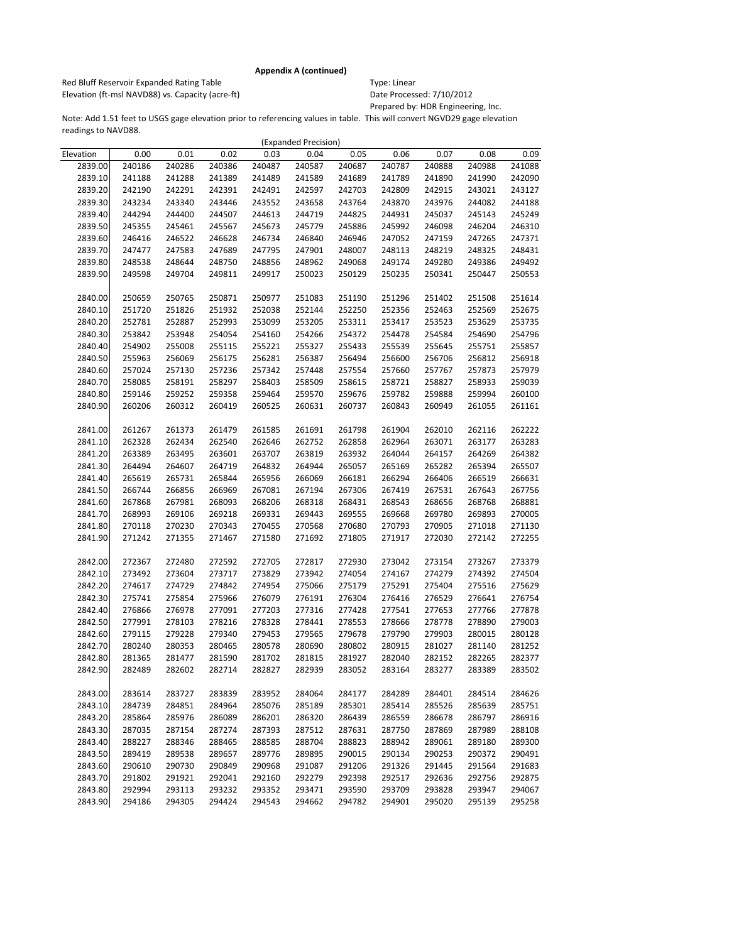Red Bluff Reservoir Expanded Rating Table Table Type: Linear Elevation (ft-msl NAVD88) vs. Capacity (acre-ft) Date Processed: 7/10/2012

Prepared by: HDR Engineering, Inc.

|           |        |        |        |        | (Expanded Precision) |        |        |        |        |        |
|-----------|--------|--------|--------|--------|----------------------|--------|--------|--------|--------|--------|
| Elevation | 0.00   | 0.01   | 0.02   | 0.03   | 0.04                 | 0.05   | 0.06   | 0.07   | 0.08   | 0.09   |
| 2839.00   | 240186 | 240286 | 240386 | 240487 | 240587               | 240687 | 240787 | 240888 | 240988 | 241088 |
| 2839.10   | 241188 | 241288 | 241389 | 241489 | 241589               | 241689 | 241789 | 241890 | 241990 | 242090 |
| 2839.20   | 242190 | 242291 | 242391 | 242491 | 242597               | 242703 | 242809 | 242915 | 243021 | 243127 |
| 2839.30   | 243234 | 243340 | 243446 | 243552 | 243658               | 243764 | 243870 | 243976 | 244082 | 244188 |
| 2839.40   | 244294 | 244400 | 244507 | 244613 | 244719               | 244825 | 244931 | 245037 | 245143 | 245249 |
| 2839.50   | 245355 | 245461 | 245567 | 245673 | 245779               | 245886 | 245992 | 246098 | 246204 | 246310 |
| 2839.60   | 246416 | 246522 | 246628 | 246734 | 246840               | 246946 | 247052 | 247159 | 247265 | 247371 |
| 2839.70   | 247477 | 247583 | 247689 | 247795 | 247901               | 248007 | 248113 | 248219 | 248325 | 248431 |
| 2839.80   | 248538 | 248644 | 248750 | 248856 | 248962               | 249068 | 249174 | 249280 | 249386 | 249492 |
| 2839.90   | 249598 | 249704 | 249811 | 249917 | 250023               | 250129 | 250235 | 250341 | 250447 | 250553 |
|           |        |        |        |        |                      |        |        |        |        |        |
| 2840.00   | 250659 | 250765 | 250871 | 250977 | 251083               | 251190 | 251296 | 251402 | 251508 | 251614 |
| 2840.10   | 251720 | 251826 | 251932 | 252038 | 252144               | 252250 | 252356 | 252463 | 252569 | 252675 |
| 2840.20   | 252781 | 252887 | 252993 | 253099 | 253205               | 253311 | 253417 | 253523 | 253629 | 253735 |
| 2840.30   | 253842 | 253948 | 254054 | 254160 | 254266               | 254372 | 254478 | 254584 | 254690 | 254796 |
| 2840.40   | 254902 | 255008 | 255115 | 255221 | 255327               | 255433 | 255539 | 255645 | 255751 | 255857 |
| 2840.50   | 255963 | 256069 | 256175 | 256281 | 256387               | 256494 | 256600 | 256706 | 256812 | 256918 |
| 2840.60   | 257024 | 257130 | 257236 | 257342 | 257448               | 257554 | 257660 | 257767 | 257873 | 257979 |
| 2840.70   | 258085 | 258191 | 258297 | 258403 | 258509               | 258615 | 258721 | 258827 | 258933 | 259039 |
| 2840.80   | 259146 | 259252 | 259358 | 259464 | 259570               | 259676 | 259782 | 259888 | 259994 | 260100 |
| 2840.90   | 260206 | 260312 | 260419 | 260525 | 260631               | 260737 | 260843 | 260949 | 261055 | 261161 |
|           |        |        |        |        |                      |        |        |        |        |        |
| 2841.00   | 261267 | 261373 | 261479 | 261585 | 261691               | 261798 | 261904 | 262010 | 262116 | 262222 |
| 2841.10   | 262328 | 262434 | 262540 | 262646 | 262752               | 262858 | 262964 | 263071 | 263177 | 263283 |
| 2841.20   | 263389 | 263495 | 263601 | 263707 | 263819               | 263932 | 264044 | 264157 | 264269 | 264382 |
| 2841.30   | 264494 | 264607 | 264719 | 264832 | 264944               | 265057 | 265169 | 265282 | 265394 | 265507 |
| 2841.40   | 265619 | 265731 | 265844 | 265956 | 266069               | 266181 | 266294 | 266406 | 266519 | 266631 |
| 2841.50   | 266744 | 266856 | 266969 | 267081 | 267194               | 267306 | 267419 | 267531 | 267643 | 267756 |
| 2841.60   | 267868 | 267981 | 268093 | 268206 | 268318               | 268431 | 268543 | 268656 | 268768 | 268881 |
| 2841.70   | 268993 | 269106 | 269218 | 269331 | 269443               | 269555 | 269668 | 269780 | 269893 | 270005 |
| 2841.80   | 270118 | 270230 | 270343 | 270455 | 270568               | 270680 | 270793 | 270905 | 271018 | 271130 |
| 2841.90   | 271242 | 271355 | 271467 | 271580 | 271692               | 271805 | 271917 | 272030 | 272142 | 272255 |
|           |        |        |        |        |                      |        |        |        |        |        |
| 2842.00   | 272367 | 272480 | 272592 | 272705 | 272817               | 272930 | 273042 | 273154 | 273267 | 273379 |
| 2842.10   | 273492 | 273604 | 273717 | 273829 | 273942               | 274054 | 274167 | 274279 | 274392 | 274504 |
| 2842.20   | 274617 | 274729 | 274842 | 274954 | 275066               | 275179 | 275291 | 275404 | 275516 | 275629 |
| 2842.30   | 275741 | 275854 | 275966 | 276079 | 276191               | 276304 | 276416 | 276529 | 276641 | 276754 |
| 2842.40   | 276866 | 276978 | 277091 | 277203 | 277316               | 277428 | 277541 | 277653 | 277766 | 277878 |
| 2842.50   | 277991 | 278103 | 278216 | 278328 | 278441               | 278553 | 278666 | 278778 | 278890 | 279003 |
| 2842.60   | 279115 | 279228 | 279340 | 279453 | 279565               | 279678 | 279790 | 279903 | 280015 | 280128 |
| 2842.70   | 280240 | 280353 | 280465 | 280578 | 280690               | 280802 | 280915 | 281027 | 281140 | 281252 |
| 2842.80   | 281365 | 281477 | 281590 | 281702 | 281815               | 281927 | 282040 | 282152 | 282265 | 282377 |
| 2842.90   | 282489 | 282602 | 282714 | 282827 | 282939               | 283052 | 283164 | 283277 | 283389 | 283502 |
|           |        |        |        |        |                      |        |        |        |        |        |
| 2843.00   | 283614 | 283727 | 283839 | 283952 | 284064               | 284177 | 284289 | 284401 | 284514 | 284626 |
| 2843.10   | 284739 | 284851 | 284964 | 285076 | 285189               | 285301 | 285414 | 285526 | 285639 | 285751 |
| 2843.20   | 285864 | 285976 | 286089 | 286201 | 286320               | 286439 | 286559 | 286678 | 286797 | 286916 |
| 2843.30   | 287035 | 287154 | 287274 | 287393 | 287512               | 287631 | 287750 | 287869 | 287989 | 288108 |
| 2843.40   | 288227 | 288346 | 288465 | 288585 | 288704               | 288823 | 288942 | 289061 | 289180 | 289300 |
| 2843.50   | 289419 | 289538 | 289657 | 289776 | 289895               | 290015 | 290134 | 290253 | 290372 | 290491 |
| 2843.60   | 290610 | 290730 | 290849 | 290968 | 291087               | 291206 | 291326 | 291445 | 291564 | 291683 |
| 2843.70   | 291802 | 291921 | 292041 | 292160 | 292279               | 292398 | 292517 | 292636 | 292756 | 292875 |
| 2843.80   | 292994 | 293113 | 293232 | 293352 | 293471               | 293590 | 293709 | 293828 | 293947 | 294067 |
| 2843.90   | 294186 | 294305 | 294424 | 294543 | 294662               | 294782 | 294901 | 295020 | 295139 | 295258 |
|           |        |        |        |        |                      |        |        |        |        |        |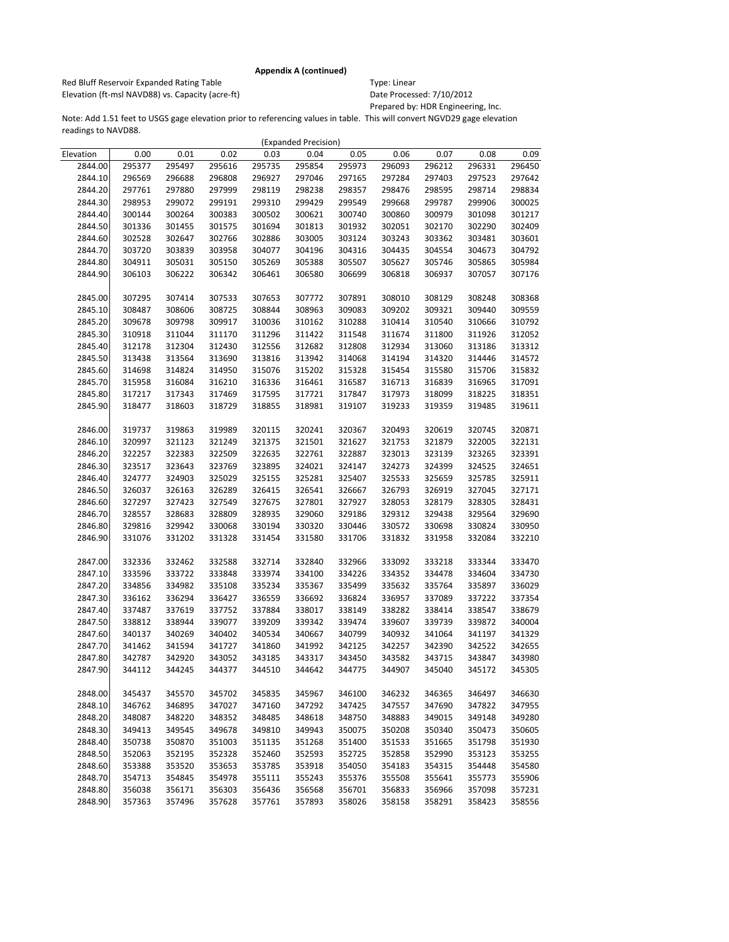Red Bluff Reservoir Expanded Rating Table Table Type: Linear Elevation (ft-msl NAVD88) vs. Capacity (acre-ft) Date Processed: 7/10/2012

Prepared by: HDR Engineering, Inc.

|           |        |        |        |        | (Expanded Precision) |        |        |        |        |        |
|-----------|--------|--------|--------|--------|----------------------|--------|--------|--------|--------|--------|
| Elevation | 0.00   | 0.01   | 0.02   | 0.03   | 0.04                 | 0.05   | 0.06   | 0.07   | 0.08   | 0.09   |
| 2844.00   | 295377 | 295497 | 295616 | 295735 | 295854               | 295973 | 296093 | 296212 | 296331 | 296450 |
| 2844.10   | 296569 | 296688 | 296808 | 296927 | 297046               | 297165 | 297284 | 297403 | 297523 | 297642 |
| 2844.20   | 297761 | 297880 | 297999 | 298119 | 298238               | 298357 | 298476 | 298595 | 298714 | 298834 |
| 2844.30   | 298953 | 299072 | 299191 | 299310 | 299429               | 299549 | 299668 | 299787 | 299906 | 300025 |
| 2844.40   | 300144 | 300264 | 300383 | 300502 | 300621               | 300740 | 300860 | 300979 | 301098 | 301217 |
| 2844.50   | 301336 | 301455 | 301575 | 301694 | 301813               | 301932 | 302051 | 302170 | 302290 | 302409 |
| 2844.60   | 302528 | 302647 | 302766 | 302886 | 303005               | 303124 | 303243 | 303362 | 303481 | 303601 |
| 2844.70   | 303720 | 303839 | 303958 | 304077 | 304196               | 304316 | 304435 | 304554 | 304673 | 304792 |
| 2844.80   | 304911 | 305031 | 305150 | 305269 | 305388               | 305507 | 305627 | 305746 | 305865 | 305984 |
| 2844.90   | 306103 | 306222 | 306342 | 306461 | 306580               | 306699 | 306818 | 306937 | 307057 | 307176 |
|           |        |        |        |        |                      |        |        |        |        |        |
| 2845.00   | 307295 | 307414 | 307533 | 307653 | 307772               | 307891 | 308010 | 308129 | 308248 | 308368 |
| 2845.10   | 308487 | 308606 | 308725 | 308844 | 308963               | 309083 | 309202 | 309321 | 309440 | 309559 |
| 2845.20   | 309678 | 309798 | 309917 | 310036 | 310162               | 310288 | 310414 | 310540 | 310666 | 310792 |
| 2845.30   | 310918 | 311044 | 311170 | 311296 | 311422               | 311548 | 311674 | 311800 | 311926 | 312052 |
| 2845.40   | 312178 | 312304 | 312430 | 312556 | 312682               | 312808 | 312934 | 313060 | 313186 | 313312 |
| 2845.50   | 313438 | 313564 | 313690 | 313816 | 313942               | 314068 | 314194 | 314320 | 314446 | 314572 |
| 2845.60   | 314698 | 314824 | 314950 | 315076 | 315202               | 315328 | 315454 | 315580 | 315706 | 315832 |
| 2845.70   | 315958 | 316084 | 316210 | 316336 | 316461               | 316587 | 316713 | 316839 | 316965 | 317091 |
| 2845.80   | 317217 | 317343 | 317469 | 317595 | 317721               | 317847 | 317973 | 318099 | 318225 | 318351 |
| 2845.90   | 318477 | 318603 | 318729 | 318855 | 318981               | 319107 | 319233 | 319359 | 319485 | 319611 |
|           |        |        |        |        |                      |        |        |        |        |        |
| 2846.00   | 319737 | 319863 | 319989 | 320115 | 320241               | 320367 | 320493 | 320619 | 320745 | 320871 |
| 2846.10   | 320997 | 321123 | 321249 | 321375 | 321501               | 321627 | 321753 | 321879 | 322005 | 322131 |
| 2846.20   | 322257 | 322383 | 322509 | 322635 | 322761               | 322887 | 323013 | 323139 | 323265 | 323391 |
| 2846.30   | 323517 | 323643 | 323769 | 323895 | 324021               | 324147 | 324273 | 324399 | 324525 | 324651 |
| 2846.40   | 324777 | 324903 | 325029 | 325155 | 325281               | 325407 | 325533 | 325659 | 325785 | 325911 |
| 2846.50   | 326037 | 326163 | 326289 | 326415 | 326541               | 326667 | 326793 | 326919 | 327045 | 327171 |
| 2846.60   | 327297 | 327423 | 327549 | 327675 | 327801               | 327927 | 328053 | 328179 | 328305 | 328431 |
| 2846.70   | 328557 | 328683 | 328809 | 328935 | 329060               | 329186 | 329312 | 329438 | 329564 | 329690 |
| 2846.80   | 329816 | 329942 | 330068 | 330194 | 330320               | 330446 | 330572 | 330698 | 330824 | 330950 |
| 2846.90   | 331076 | 331202 | 331328 | 331454 | 331580               | 331706 | 331832 | 331958 | 332084 | 332210 |
|           |        |        |        |        |                      |        |        |        |        |        |
| 2847.00   | 332336 | 332462 | 332588 | 332714 | 332840               | 332966 | 333092 | 333218 | 333344 | 333470 |
| 2847.10   | 333596 | 333722 | 333848 | 333974 | 334100               | 334226 | 334352 | 334478 | 334604 | 334730 |
| 2847.20   | 334856 | 334982 | 335108 | 335234 | 335367               | 335499 | 335632 | 335764 | 335897 | 336029 |
| 2847.30   | 336162 | 336294 | 336427 | 336559 | 336692               | 336824 | 336957 | 337089 | 337222 | 337354 |
| 2847.40   | 337487 | 337619 | 337752 | 337884 | 338017               | 338149 | 338282 | 338414 | 338547 | 338679 |
| 2847.50   | 338812 | 338944 | 339077 | 339209 | 339342               | 339474 | 339607 | 339739 | 339872 | 340004 |
| 2847.60   | 340137 | 340269 | 340402 | 340534 | 340667               | 340799 | 340932 | 341064 | 341197 | 341329 |
| 2847.70   | 341462 | 341594 | 341727 | 341860 | 341992               | 342125 | 342257 | 342390 | 342522 | 342655 |
| 2847.80   | 342787 | 342920 | 343052 | 343185 | 343317               | 343450 | 343582 | 343715 | 343847 | 343980 |
| 2847.90   | 344112 | 344245 | 344377 | 344510 | 344642               | 344775 | 344907 | 345040 | 345172 | 345305 |
|           |        |        |        |        |                      |        |        |        |        |        |
| 2848.00   | 345437 | 345570 | 345702 | 345835 | 345967               | 346100 | 346232 | 346365 | 346497 | 346630 |
| 2848.10   | 346762 | 346895 | 347027 | 347160 | 347292               | 347425 | 347557 | 347690 | 347822 | 347955 |
| 2848.20   | 348087 | 348220 | 348352 | 348485 | 348618               | 348750 | 348883 | 349015 | 349148 | 349280 |
| 2848.30   | 349413 | 349545 | 349678 | 349810 | 349943               | 350075 | 350208 | 350340 | 350473 | 350605 |
| 2848.40   | 350738 | 350870 | 351003 | 351135 | 351268               | 351400 | 351533 | 351665 | 351798 | 351930 |
| 2848.50   | 352063 | 352195 | 352328 | 352460 | 352593               | 352725 | 352858 | 352990 | 353123 | 353255 |
| 2848.60   | 353388 | 353520 | 353653 | 353785 | 353918               | 354050 | 354183 | 354315 | 354448 | 354580 |
| 2848.70   | 354713 | 354845 | 354978 | 355111 | 355243               | 355376 | 355508 | 355641 | 355773 | 355906 |
| 2848.80   | 356038 | 356171 | 356303 | 356436 | 356568               | 356701 | 356833 | 356966 | 357098 | 357231 |
| 2848.90   | 357363 | 357496 | 357628 | 357761 | 357893               | 358026 | 358158 | 358291 | 358423 | 358556 |
|           |        |        |        |        |                      |        |        |        |        |        |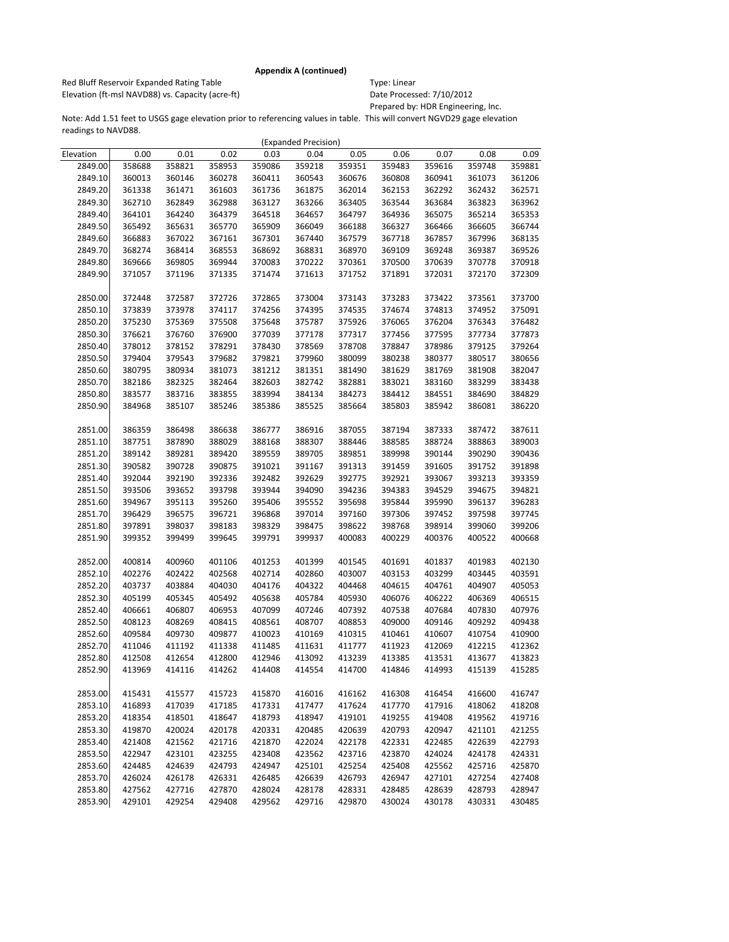Red Bluff Reservoir Expanded Rating Table Table Type: Linear Elevation (ft-msl NAVD88) vs. Capacity (acre-ft) Date Processed: 7/10/2012

Prepared by: HDR Engineering, Inc.

|           |        |        |        |        | (Expanded Precision) |        |        |        |        |        |
|-----------|--------|--------|--------|--------|----------------------|--------|--------|--------|--------|--------|
| Elevation | 0.00   | 0.01   | 0.02   | 0.03   | 0.04                 | 0.05   | 0.06   | 0.07   | 0.08   | 0.09   |
| 2849.00   | 358688 | 358821 | 358953 | 359086 | 359218               | 359351 | 359483 | 359616 | 359748 | 359881 |
| 2849.10   | 360013 | 360146 | 360278 | 360411 | 360543               | 360676 | 360808 | 360941 | 361073 | 361206 |
| 2849.20   | 361338 | 361471 | 361603 | 361736 | 361875               | 362014 | 362153 | 362292 | 362432 | 362571 |
| 2849.30   | 362710 | 362849 | 362988 | 363127 | 363266               | 363405 | 363544 | 363684 | 363823 | 363962 |
| 2849.40   | 364101 | 364240 | 364379 | 364518 | 364657               | 364797 | 364936 | 365075 | 365214 | 365353 |
| 2849.50   | 365492 | 365631 | 365770 | 365909 | 366049               | 366188 | 366327 | 366466 | 366605 | 366744 |
| 2849.60   | 366883 | 367022 | 367161 | 367301 | 367440               | 367579 | 367718 | 367857 | 367996 | 368135 |
| 2849.70   | 368274 | 368414 | 368553 | 368692 | 368831               | 368970 | 369109 | 369248 | 369387 | 369526 |
| 2849.80   | 369666 | 369805 | 369944 | 370083 | 370222               | 370361 | 370500 | 370639 | 370778 | 370918 |
| 2849.90   | 371057 | 371196 | 371335 | 371474 | 371613               | 371752 | 371891 | 372031 | 372170 | 372309 |
|           |        |        |        |        |                      |        |        |        |        |        |
| 2850.00   | 372448 | 372587 | 372726 | 372865 | 373004               | 373143 | 373283 | 373422 | 373561 | 373700 |
| 2850.10   | 373839 | 373978 | 374117 | 374256 | 374395               | 374535 | 374674 | 374813 | 374952 | 375091 |
| 2850.20   | 375230 | 375369 | 375508 | 375648 | 375787               | 375926 | 376065 | 376204 | 376343 | 376482 |
| 2850.30   | 376621 | 376760 | 376900 | 377039 | 377178               | 377317 | 377456 | 377595 | 377734 | 377873 |
| 2850.40   | 378012 | 378152 | 378291 | 378430 | 378569               | 378708 | 378847 | 378986 | 379125 | 379264 |
| 2850.50   | 379404 | 379543 | 379682 | 379821 | 379960               | 380099 | 380238 | 380377 | 380517 | 380656 |
| 2850.60   | 380795 | 380934 | 381073 | 381212 | 381351               | 381490 | 381629 | 381769 | 381908 | 382047 |
| 2850.70   | 382186 | 382325 | 382464 | 382603 | 382742               | 382881 | 383021 | 383160 | 383299 | 383438 |
| 2850.80   | 383577 | 383716 | 383855 | 383994 | 384134               | 384273 | 384412 | 384551 | 384690 | 384829 |
| 2850.90   | 384968 | 385107 | 385246 | 385386 | 385525               | 385664 | 385803 | 385942 | 386081 | 386220 |
|           |        |        |        |        |                      |        |        |        |        |        |
| 2851.00   | 386359 | 386498 | 386638 | 386777 | 386916               | 387055 | 387194 | 387333 | 387472 | 387611 |
| 2851.10   | 387751 | 387890 | 388029 | 388168 | 388307               | 388446 | 388585 | 388724 | 388863 | 389003 |
| 2851.20   | 389142 | 389281 | 389420 | 389559 | 389705               | 389851 | 389998 | 390144 | 390290 | 390436 |
| 2851.30   | 390582 | 390728 | 390875 | 391021 | 391167               | 391313 | 391459 | 391605 | 391752 | 391898 |
| 2851.40   | 392044 | 392190 | 392336 | 392482 | 392629               | 392775 | 392921 | 393067 | 393213 | 393359 |
| 2851.50   | 393506 | 393652 | 393798 | 393944 | 394090               | 394236 | 394383 | 394529 | 394675 | 394821 |
| 2851.60   | 394967 | 395113 | 395260 | 395406 | 395552               | 395698 | 395844 | 395990 | 396137 | 396283 |
| 2851.70   | 396429 | 396575 | 396721 | 396868 | 397014               | 397160 | 397306 | 397452 | 397598 | 397745 |
| 2851.80   | 397891 | 398037 | 398183 | 398329 | 398475               | 398622 | 398768 | 398914 | 399060 | 399206 |
| 2851.90   | 399352 | 399499 | 399645 | 399791 | 399937               | 400083 | 400229 | 400376 | 400522 | 400668 |
|           |        |        |        |        |                      |        |        |        |        |        |
| 2852.00   | 400814 | 400960 | 401106 | 401253 | 401399               | 401545 | 401691 | 401837 | 401983 | 402130 |
| 2852.10   | 402276 | 402422 | 402568 | 402714 | 402860               | 403007 | 403153 | 403299 | 403445 | 403591 |
| 2852.20   | 403737 | 403884 | 404030 | 404176 | 404322               | 404468 | 404615 | 404761 | 404907 | 405053 |
| 2852.30   | 405199 | 405345 | 405492 | 405638 | 405784               | 405930 | 406076 | 406222 | 406369 | 406515 |
| 2852.40   | 406661 | 406807 | 406953 | 407099 | 407246               | 407392 | 407538 | 407684 | 407830 | 407976 |
| 2852.50   | 408123 | 408269 | 408415 | 408561 | 408707               | 408853 | 409000 | 409146 | 409292 | 409438 |
| 2852.60   | 409584 | 409730 | 409877 | 410023 | 410169               | 410315 | 410461 | 410607 | 410754 | 410900 |
| 2852.70   | 411046 | 411192 | 411338 | 411485 | 411631               | 411777 | 411923 | 412069 | 412215 | 412362 |
| 2852.80   | 412508 | 412654 | 412800 | 412946 | 413092               | 413239 | 413385 | 413531 | 413677 | 413823 |
| 2852.90   | 413969 | 414116 | 414262 | 414408 | 414554               | 414700 | 414846 | 414993 | 415139 | 415285 |
|           |        |        |        |        |                      |        |        |        |        |        |
| 2853.00   | 415431 | 415577 | 415723 | 415870 | 416016               | 416162 | 416308 | 416454 | 416600 | 416747 |
| 2853.10   | 416893 | 417039 | 417185 | 417331 | 417477               | 417624 | 417770 | 417916 | 418062 | 418208 |
| 2853.20   | 418354 | 418501 | 418647 | 418793 | 418947               | 419101 | 419255 | 419408 | 419562 | 419716 |
| 2853.30   | 419870 | 420024 | 420178 | 420331 | 420485               | 420639 | 420793 | 420947 | 421101 | 421255 |
| 2853.40   | 421408 | 421562 | 421716 | 421870 | 422024               | 422178 | 422331 | 422485 | 422639 | 422793 |
| 2853.50   | 422947 | 423101 | 423255 | 423408 | 423562               | 423716 | 423870 | 424024 | 424178 | 424331 |
| 2853.60   | 424485 | 424639 | 424793 | 424947 | 425101               | 425254 | 425408 | 425562 | 425716 | 425870 |
| 2853.70   | 426024 | 426178 | 426331 | 426485 | 426639               | 426793 | 426947 | 427101 | 427254 | 427408 |
| 2853.80   | 427562 | 427716 | 427870 | 428024 | 428178               | 428331 | 428485 | 428639 | 428793 | 428947 |
| 2853.90   | 429101 | 429254 | 429408 | 429562 | 429716               | 429870 | 430024 | 430178 | 430331 | 430485 |
|           |        |        |        |        |                      |        |        |        |        |        |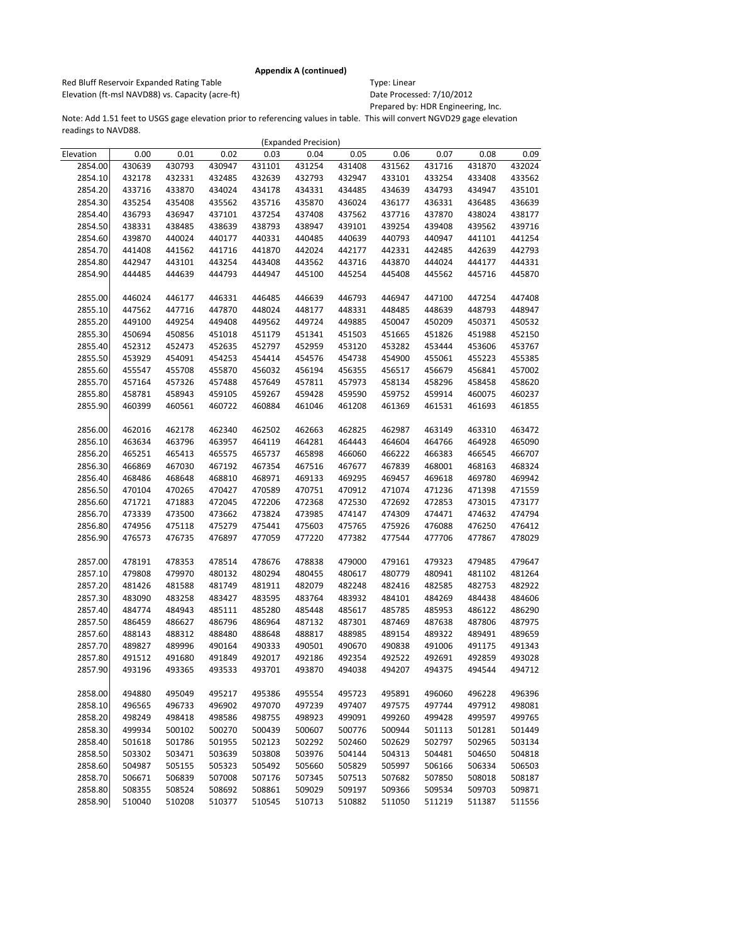Red Bluff Reservoir Expanded Rating Table Table Type: Linear Elevation (ft-msl NAVD88) vs. Capacity (acre-ft) Date Processed: 7/10/2012

Prepared by: HDR Engineering, Inc.

|           |        |        |        |        | (Expanded Precision) |        |        |        |        |        |
|-----------|--------|--------|--------|--------|----------------------|--------|--------|--------|--------|--------|
| Elevation | 0.00   | 0.01   | 0.02   | 0.03   | 0.04                 | 0.05   | 0.06   | 0.07   | 0.08   | 0.09   |
| 2854.00   | 430639 | 430793 | 430947 | 431101 | 431254               | 431408 | 431562 | 431716 | 431870 | 432024 |
| 2854.10   | 432178 | 432331 | 432485 | 432639 | 432793               | 432947 | 433101 | 433254 | 433408 | 433562 |
| 2854.20   | 433716 | 433870 | 434024 | 434178 | 434331               | 434485 | 434639 | 434793 | 434947 | 435101 |
| 2854.30   | 435254 | 435408 | 435562 | 435716 | 435870               | 436024 | 436177 | 436331 | 436485 | 436639 |
| 2854.40   | 436793 | 436947 | 437101 | 437254 | 437408               | 437562 | 437716 | 437870 | 438024 | 438177 |
| 2854.50   | 438331 | 438485 | 438639 | 438793 | 438947               | 439101 | 439254 | 439408 | 439562 | 439716 |
| 2854.60   | 439870 | 440024 | 440177 | 440331 | 440485               | 440639 | 440793 | 440947 | 441101 | 441254 |
| 2854.70   | 441408 | 441562 | 441716 | 441870 | 442024               | 442177 | 442331 | 442485 | 442639 | 442793 |
| 2854.80   | 442947 | 443101 | 443254 | 443408 | 443562               | 443716 | 443870 | 444024 | 444177 | 444331 |
| 2854.90   | 444485 | 444639 | 444793 | 444947 | 445100               | 445254 | 445408 | 445562 | 445716 | 445870 |
|           |        |        |        |        |                      |        |        |        |        |        |
| 2855.00   | 446024 | 446177 | 446331 | 446485 | 446639               | 446793 | 446947 | 447100 | 447254 | 447408 |
| 2855.10   | 447562 | 447716 | 447870 | 448024 | 448177               | 448331 | 448485 | 448639 | 448793 | 448947 |
| 2855.20   | 449100 | 449254 | 449408 | 449562 | 449724               | 449885 | 450047 | 450209 | 450371 | 450532 |
| 2855.30   | 450694 | 450856 | 451018 | 451179 | 451341               | 451503 | 451665 | 451826 | 451988 | 452150 |
| 2855.40   | 452312 | 452473 | 452635 | 452797 | 452959               | 453120 | 453282 | 453444 | 453606 | 453767 |
| 2855.50   | 453929 | 454091 | 454253 | 454414 | 454576               | 454738 | 454900 | 455061 | 455223 | 455385 |
| 2855.60   | 455547 | 455708 | 455870 | 456032 | 456194               | 456355 | 456517 | 456679 | 456841 | 457002 |
| 2855.70   | 457164 | 457326 | 457488 | 457649 | 457811               | 457973 | 458134 | 458296 | 458458 | 458620 |
| 2855.80   | 458781 | 458943 | 459105 | 459267 | 459428               | 459590 | 459752 | 459914 | 460075 | 460237 |
| 2855.90   | 460399 | 460561 | 460722 | 460884 | 461046               | 461208 | 461369 | 461531 | 461693 | 461855 |
|           |        |        |        |        |                      |        |        |        |        |        |
| 2856.00   | 462016 | 462178 | 462340 | 462502 | 462663               | 462825 | 462987 | 463149 | 463310 | 463472 |
| 2856.10   | 463634 | 463796 | 463957 | 464119 | 464281               | 464443 | 464604 | 464766 | 464928 | 465090 |
| 2856.20   | 465251 | 465413 | 465575 | 465737 | 465898               | 466060 | 466222 | 466383 | 466545 | 466707 |
| 2856.30   | 466869 | 467030 | 467192 | 467354 | 467516               | 467677 | 467839 | 468001 | 468163 | 468324 |
| 2856.40   | 468486 | 468648 | 468810 | 468971 | 469133               | 469295 | 469457 | 469618 | 469780 | 469942 |
| 2856.50   | 470104 | 470265 | 470427 | 470589 | 470751               | 470912 | 471074 | 471236 | 471398 | 471559 |
| 2856.60   | 471721 | 471883 | 472045 | 472206 | 472368               | 472530 | 472692 | 472853 | 473015 | 473177 |
| 2856.70   | 473339 | 473500 | 473662 | 473824 | 473985               | 474147 | 474309 | 474471 | 474632 | 474794 |
| 2856.80   | 474956 | 475118 | 475279 | 475441 | 475603               | 475765 | 475926 | 476088 | 476250 | 476412 |
| 2856.90   | 476573 | 476735 | 476897 | 477059 | 477220               | 477382 | 477544 | 477706 | 477867 | 478029 |
|           |        |        |        |        |                      |        |        |        |        |        |
| 2857.00   | 478191 | 478353 | 478514 | 478676 | 478838               | 479000 | 479161 | 479323 | 479485 | 479647 |
| 2857.10   | 479808 | 479970 | 480132 | 480294 | 480455               | 480617 | 480779 | 480941 | 481102 | 481264 |
| 2857.20   | 481426 | 481588 | 481749 | 481911 | 482079               | 482248 | 482416 | 482585 | 482753 | 482922 |
| 2857.30   | 483090 | 483258 | 483427 | 483595 | 483764               | 483932 | 484101 | 484269 | 484438 | 484606 |
| 2857.40   | 484774 | 484943 | 485111 | 485280 | 485448               | 485617 | 485785 | 485953 | 486122 | 486290 |
| 2857.50   | 486459 | 486627 | 486796 | 486964 | 487132               | 487301 | 487469 | 487638 | 487806 | 487975 |
| 2857.60   | 488143 | 488312 | 488480 | 488648 | 488817               | 488985 | 489154 | 489322 | 489491 | 489659 |
| 2857.70   | 489827 | 489996 | 490164 | 490333 | 490501               | 490670 | 490838 | 491006 | 491175 | 491343 |
| 2857.80   | 491512 | 491680 | 491849 | 492017 | 492186               | 492354 | 492522 | 492691 | 492859 | 493028 |
| 2857.90   | 493196 | 493365 | 493533 | 493701 | 493870               | 494038 | 494207 | 494375 | 494544 | 494712 |
|           |        |        |        |        |                      |        |        |        |        |        |
| 2858.00   | 494880 | 495049 | 495217 | 495386 | 495554               | 495723 | 495891 | 496060 | 496228 | 496396 |
| 2858.10   | 496565 | 496733 | 496902 | 497070 | 497239               | 497407 | 497575 | 497744 | 497912 | 498081 |
| 2858.20   | 498249 | 498418 | 498586 | 498755 | 498923               | 499091 | 499260 | 499428 | 499597 | 499765 |
| 2858.30   | 499934 | 500102 | 500270 | 500439 | 500607               | 500776 | 500944 | 501113 | 501281 | 501449 |
| 2858.40   | 501618 | 501786 | 501955 | 502123 | 502292               | 502460 | 502629 | 502797 | 502965 | 503134 |
| 2858.50   | 503302 | 503471 | 503639 | 503808 | 503976               | 504144 | 504313 | 504481 | 504650 | 504818 |
| 2858.60   | 504987 | 505155 | 505323 | 505492 | 505660               | 505829 | 505997 | 506166 | 506334 | 506503 |
| 2858.70   | 506671 | 506839 | 507008 | 507176 | 507345               | 507513 | 507682 | 507850 | 508018 | 508187 |
| 2858.80   | 508355 | 508524 | 508692 | 508861 | 509029               | 509197 | 509366 | 509534 | 509703 | 509871 |
| 2858.90   | 510040 | 510208 | 510377 | 510545 | 510713               | 510882 | 511050 | 511219 | 511387 | 511556 |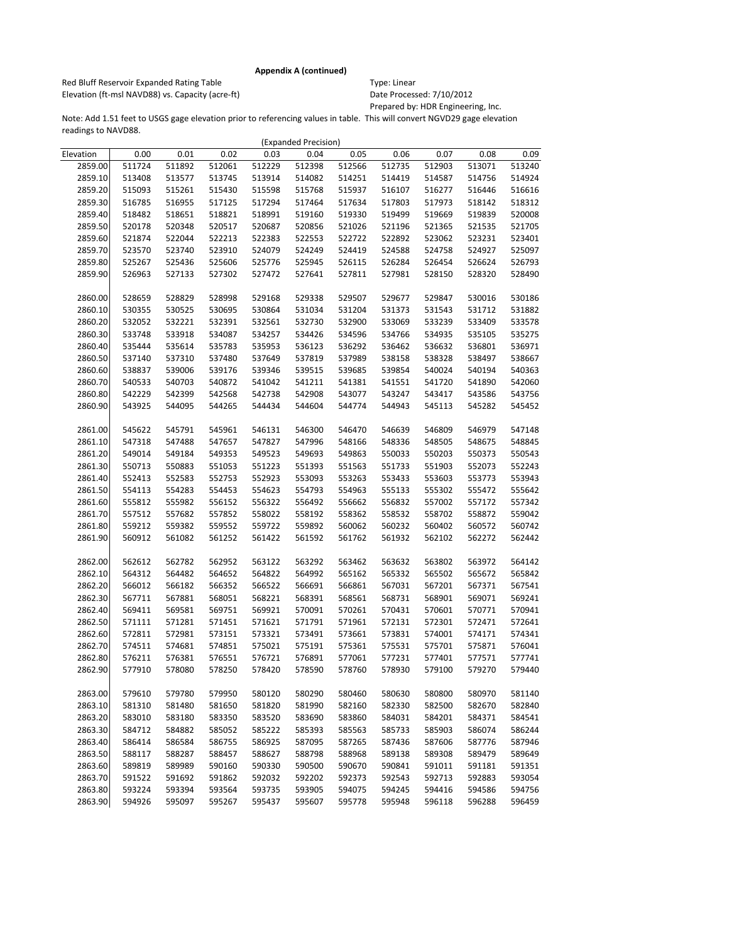Red Bluff Reservoir Expanded Rating Table Table Type: Linear Elevation (ft-msl NAVD88) vs. Capacity (acre-ft) Date Processed: 7/10/2012

Prepared by: HDR Engineering, Inc.

|           |        |        |        |        | (Expanded Precision) |        |        |        |        |        |
|-----------|--------|--------|--------|--------|----------------------|--------|--------|--------|--------|--------|
| Elevation | 0.00   | 0.01   | 0.02   | 0.03   | 0.04                 | 0.05   | 0.06   | 0.07   | 0.08   | 0.09   |
| 2859.00   | 511724 | 511892 | 512061 | 512229 | 512398               | 512566 | 512735 | 512903 | 513071 | 513240 |
| 2859.10   | 513408 | 513577 | 513745 | 513914 | 514082               | 514251 | 514419 | 514587 | 514756 | 514924 |
| 2859.20   | 515093 | 515261 | 515430 | 515598 | 515768               | 515937 | 516107 | 516277 | 516446 | 516616 |
| 2859.30   | 516785 | 516955 | 517125 | 517294 | 517464               | 517634 | 517803 | 517973 | 518142 | 518312 |
| 2859.40   | 518482 | 518651 | 518821 | 518991 | 519160               | 519330 | 519499 | 519669 | 519839 | 520008 |
| 2859.50   | 520178 | 520348 | 520517 | 520687 | 520856               | 521026 | 521196 | 521365 | 521535 | 521705 |
| 2859.60   | 521874 | 522044 | 522213 | 522383 | 522553               | 522722 | 522892 | 523062 | 523231 | 523401 |
| 2859.70   | 523570 | 523740 | 523910 | 524079 | 524249               | 524419 | 524588 | 524758 | 524927 | 525097 |
| 2859.80   | 525267 | 525436 | 525606 | 525776 | 525945               | 526115 | 526284 | 526454 | 526624 | 526793 |
| 2859.90   | 526963 | 527133 | 527302 | 527472 | 527641               | 527811 | 527981 | 528150 | 528320 | 528490 |
|           |        |        |        |        |                      |        |        |        |        |        |
| 2860.00   | 528659 | 528829 | 528998 | 529168 | 529338               | 529507 | 529677 | 529847 | 530016 | 530186 |
| 2860.10   | 530355 | 530525 | 530695 | 530864 | 531034               | 531204 | 531373 | 531543 | 531712 | 531882 |
| 2860.20   | 532052 | 532221 | 532391 | 532561 | 532730               | 532900 | 533069 | 533239 | 533409 | 533578 |
| 2860.30   | 533748 | 533918 | 534087 | 534257 | 534426               | 534596 | 534766 | 534935 | 535105 | 535275 |
| 2860.40   | 535444 | 535614 | 535783 | 535953 | 536123               | 536292 | 536462 | 536632 | 536801 | 536971 |
| 2860.50   | 537140 | 537310 | 537480 | 537649 | 537819               | 537989 | 538158 | 538328 | 538497 | 538667 |
| 2860.60   | 538837 | 539006 | 539176 | 539346 | 539515               | 539685 | 539854 | 540024 | 540194 | 540363 |
| 2860.70   | 540533 | 540703 | 540872 | 541042 | 541211               | 541381 | 541551 | 541720 | 541890 | 542060 |
| 2860.80   | 542229 | 542399 | 542568 | 542738 | 542908               | 543077 | 543247 | 543417 | 543586 | 543756 |
| 2860.90   | 543925 | 544095 | 544265 | 544434 | 544604               | 544774 | 544943 | 545113 | 545282 | 545452 |
|           |        |        |        |        |                      |        |        |        |        |        |
| 2861.00   | 545622 | 545791 | 545961 | 546131 | 546300               | 546470 | 546639 | 546809 | 546979 | 547148 |
| 2861.10   | 547318 | 547488 | 547657 | 547827 | 547996               | 548166 | 548336 | 548505 | 548675 | 548845 |
| 2861.20   | 549014 | 549184 | 549353 | 549523 | 549693               | 549863 | 550033 | 550203 | 550373 | 550543 |
| 2861.30   | 550713 | 550883 | 551053 | 551223 | 551393               | 551563 | 551733 | 551903 | 552073 | 552243 |
| 2861.40   | 552413 | 552583 | 552753 | 552923 | 553093               | 553263 | 553433 | 553603 | 553773 | 553943 |
| 2861.50   | 554113 | 554283 | 554453 | 554623 | 554793               | 554963 | 555133 | 555302 | 555472 | 555642 |
| 2861.60   | 555812 | 555982 | 556152 | 556322 | 556492               | 556662 | 556832 | 557002 | 557172 | 557342 |
| 2861.70   | 557512 | 557682 | 557852 | 558022 | 558192               | 558362 | 558532 | 558702 | 558872 | 559042 |
| 2861.80   | 559212 | 559382 | 559552 | 559722 | 559892               | 560062 | 560232 | 560402 | 560572 | 560742 |
| 2861.90   | 560912 | 561082 | 561252 | 561422 | 561592               | 561762 | 561932 | 562102 | 562272 | 562442 |
|           |        |        |        |        |                      |        |        |        |        |        |
| 2862.00   | 562612 | 562782 | 562952 | 563122 | 563292               | 563462 | 563632 | 563802 | 563972 | 564142 |
| 2862.10   | 564312 | 564482 | 564652 | 564822 | 564992               | 565162 | 565332 | 565502 | 565672 | 565842 |
| 2862.20   | 566012 | 566182 | 566352 | 566522 | 566691               | 566861 | 567031 | 567201 | 567371 | 567541 |
| 2862.30   | 567711 | 567881 | 568051 | 568221 | 568391               | 568561 | 568731 | 568901 | 569071 | 569241 |
| 2862.40   | 569411 | 569581 | 569751 | 569921 | 570091               | 570261 | 570431 | 570601 | 570771 | 570941 |
| 2862.50   | 571111 | 571281 | 571451 | 571621 | 571791               | 571961 | 572131 | 572301 | 572471 | 572641 |
| 2862.60   | 572811 | 572981 | 573151 | 573321 | 573491               | 573661 | 573831 | 574001 | 574171 | 574341 |
| 2862.70   | 574511 | 574681 | 574851 | 575021 | 575191               | 575361 | 575531 | 575701 | 575871 | 576041 |
| 2862.80   | 576211 | 576381 | 576551 | 576721 | 576891               | 577061 | 577231 | 577401 | 577571 | 577741 |
| 2862.90   | 577910 | 578080 | 578250 | 578420 | 578590               | 578760 | 578930 | 579100 | 579270 | 579440 |
|           |        |        |        |        |                      |        |        |        |        |        |
| 2863.00   | 579610 | 579780 | 579950 | 580120 | 580290               | 580460 | 580630 | 580800 | 580970 | 581140 |
| 2863.10   | 581310 | 581480 | 581650 | 581820 | 581990               | 582160 | 582330 | 582500 | 582670 | 582840 |
| 2863.20   | 583010 | 583180 | 583350 | 583520 | 583690               | 583860 | 584031 | 584201 | 584371 | 584541 |
| 2863.30   | 584712 | 584882 | 585052 | 585222 | 585393               | 585563 | 585733 | 585903 | 586074 | 586244 |
| 2863.40   | 586414 | 586584 | 586755 | 586925 | 587095               | 587265 | 587436 | 587606 | 587776 | 587946 |
| 2863.50   | 588117 | 588287 | 588457 | 588627 | 588798               | 588968 | 589138 | 589308 | 589479 | 589649 |
| 2863.60   | 589819 | 589989 | 590160 | 590330 | 590500               | 590670 | 590841 | 591011 | 591181 | 591351 |
| 2863.70   | 591522 | 591692 | 591862 | 592032 | 592202               | 592373 | 592543 | 592713 | 592883 | 593054 |
| 2863.80   | 593224 | 593394 | 593564 | 593735 | 593905               | 594075 | 594245 | 594416 | 594586 | 594756 |
| 2863.90   | 594926 | 595097 | 595267 | 595437 | 595607               | 595778 | 595948 | 596118 | 596288 | 596459 |
|           |        |        |        |        |                      |        |        |        |        |        |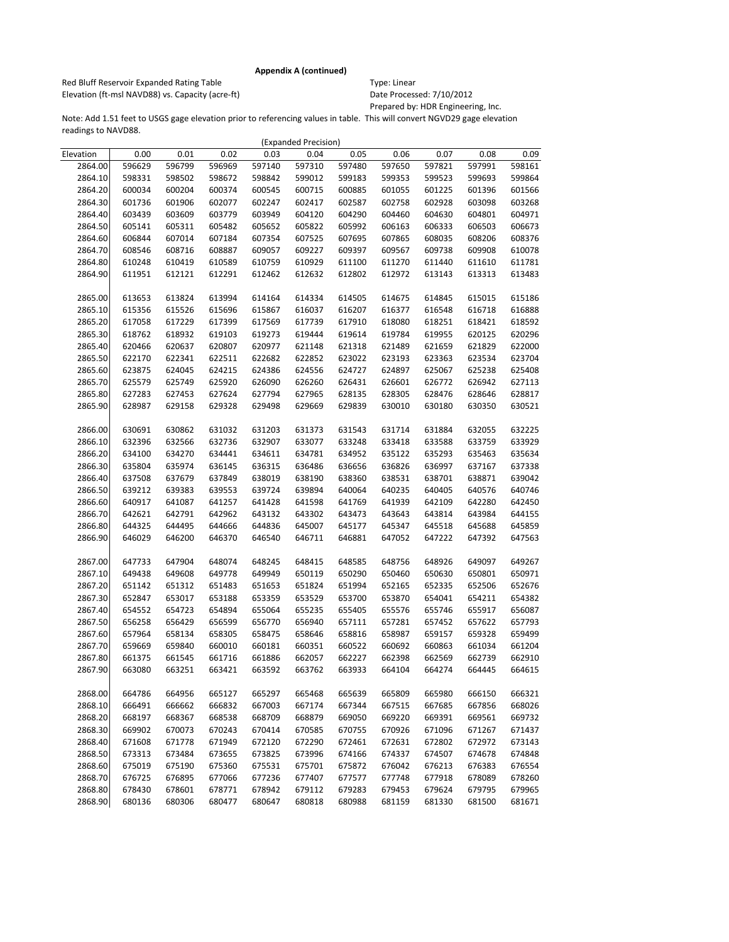Red Bluff Reservoir Expanded Rating Table Table Type: Linear Elevation (ft-msl NAVD88) vs. Capacity (acre-ft) Date Processed: 7/10/2012

Prepared by: HDR Engineering, Inc.

|           |        |        |        |        | (Expanded Precision) |        |        |        |        |        |
|-----------|--------|--------|--------|--------|----------------------|--------|--------|--------|--------|--------|
| Elevation | 0.00   | 0.01   | 0.02   | 0.03   | 0.04                 | 0.05   | 0.06   | 0.07   | 0.08   | 0.09   |
| 2864.00   | 596629 | 596799 | 596969 | 597140 | 597310               | 597480 | 597650 | 597821 | 597991 | 598161 |
| 2864.10   | 598331 | 598502 | 598672 | 598842 | 599012               | 599183 | 599353 | 599523 | 599693 | 599864 |
| 2864.20   | 600034 | 600204 | 600374 | 600545 | 600715               | 600885 | 601055 | 601225 | 601396 | 601566 |
| 2864.30   | 601736 | 601906 | 602077 | 602247 | 602417               | 602587 | 602758 | 602928 | 603098 | 603268 |
| 2864.40   | 603439 | 603609 | 603779 | 603949 | 604120               | 604290 | 604460 | 604630 | 604801 | 604971 |
| 2864.50   | 605141 | 605311 | 605482 | 605652 | 605822               | 605992 | 606163 | 606333 | 606503 | 606673 |
| 2864.60   | 606844 | 607014 | 607184 | 607354 | 607525               | 607695 | 607865 | 608035 | 608206 | 608376 |
| 2864.70   | 608546 | 608716 | 608887 | 609057 | 609227               | 609397 | 609567 | 609738 | 609908 | 610078 |
| 2864.80   | 610248 | 610419 | 610589 | 610759 | 610929               | 611100 | 611270 | 611440 | 611610 | 611781 |
| 2864.90   | 611951 | 612121 | 612291 | 612462 | 612632               | 612802 | 612972 | 613143 | 613313 | 613483 |
|           |        |        |        |        |                      |        |        |        |        |        |
| 2865.00   | 613653 | 613824 | 613994 | 614164 | 614334               | 614505 | 614675 | 614845 | 615015 | 615186 |
| 2865.10   | 615356 | 615526 | 615696 | 615867 | 616037               | 616207 | 616377 | 616548 | 616718 | 616888 |
| 2865.20   | 617058 | 617229 | 617399 | 617569 | 617739               | 617910 | 618080 | 618251 | 618421 | 618592 |
| 2865.30   | 618762 | 618932 | 619103 | 619273 | 619444               | 619614 | 619784 | 619955 | 620125 | 620296 |
| 2865.40   | 620466 | 620637 | 620807 | 620977 | 621148               | 621318 | 621489 | 621659 | 621829 | 622000 |
| 2865.50   | 622170 | 622341 | 622511 | 622682 | 622852               | 623022 | 623193 | 623363 | 623534 | 623704 |
| 2865.60   | 623875 | 624045 | 624215 | 624386 | 624556               | 624727 | 624897 | 625067 | 625238 | 625408 |
| 2865.70   | 625579 | 625749 | 625920 | 626090 | 626260               | 626431 | 626601 | 626772 | 626942 | 627113 |
| 2865.80   | 627283 | 627453 | 627624 | 627794 | 627965               | 628135 | 628305 | 628476 | 628646 | 628817 |
| 2865.90   | 628987 | 629158 | 629328 | 629498 | 629669               | 629839 | 630010 | 630180 | 630350 | 630521 |
|           |        |        |        |        |                      |        |        |        |        |        |
| 2866.00   | 630691 | 630862 | 631032 | 631203 | 631373               | 631543 | 631714 | 631884 | 632055 | 632225 |
| 2866.10   | 632396 | 632566 | 632736 | 632907 | 633077               | 633248 | 633418 | 633588 | 633759 | 633929 |
| 2866.20   | 634100 | 634270 | 634441 | 634611 | 634781               | 634952 | 635122 | 635293 | 635463 | 635634 |
| 2866.30   | 635804 | 635974 | 636145 | 636315 | 636486               | 636656 | 636826 | 636997 | 637167 | 637338 |
| 2866.40   | 637508 | 637679 | 637849 | 638019 | 638190               | 638360 | 638531 | 638701 | 638871 | 639042 |
| 2866.50   | 639212 | 639383 | 639553 | 639724 | 639894               | 640064 | 640235 | 640405 | 640576 | 640746 |
| 2866.60   | 640917 | 641087 | 641257 | 641428 | 641598               | 641769 | 641939 | 642109 | 642280 | 642450 |
| 2866.70   | 642621 | 642791 | 642962 | 643132 | 643302               | 643473 | 643643 | 643814 | 643984 | 644155 |
| 2866.80   | 644325 | 644495 | 644666 | 644836 | 645007               | 645177 | 645347 | 645518 | 645688 | 645859 |
| 2866.90   | 646029 | 646200 | 646370 | 646540 | 646711               | 646881 | 647052 | 647222 | 647392 | 647563 |
|           |        |        |        |        |                      |        |        |        |        |        |
| 2867.00   | 647733 | 647904 | 648074 | 648245 | 648415               | 648585 | 648756 | 648926 | 649097 | 649267 |
| 2867.10   | 649438 | 649608 | 649778 | 649949 | 650119               | 650290 | 650460 | 650630 | 650801 | 650971 |
| 2867.20   | 651142 | 651312 | 651483 | 651653 | 651824               | 651994 | 652165 | 652335 | 652506 | 652676 |
| 2867.30   | 652847 | 653017 | 653188 | 653359 | 653529               | 653700 | 653870 | 654041 | 654211 | 654382 |
| 2867.40   | 654552 | 654723 | 654894 | 655064 | 655235               | 655405 | 655576 | 655746 | 655917 | 656087 |
| 2867.50   | 656258 | 656429 | 656599 | 656770 | 656940               | 657111 | 657281 | 657452 | 657622 | 657793 |
| 2867.60   | 657964 | 658134 | 658305 | 658475 | 658646               | 658816 | 658987 | 659157 | 659328 | 659499 |
| 2867.70   | 659669 | 659840 | 660010 | 660181 | 660351               | 660522 | 660692 | 660863 | 661034 | 661204 |
| 2867.80   | 661375 | 661545 | 661716 | 661886 | 662057               | 662227 | 662398 | 662569 | 662739 | 662910 |
| 2867.90   | 663080 | 663251 | 663421 | 663592 | 663762               | 663933 | 664104 | 664274 | 664445 | 664615 |
|           |        |        |        |        |                      |        |        |        |        |        |
| 2868.00   | 664786 | 664956 | 665127 | 665297 | 665468               | 665639 | 665809 | 665980 | 666150 | 666321 |
| 2868.10   | 666491 | 666662 | 666832 | 667003 | 667174               | 667344 | 667515 | 667685 | 667856 | 668026 |
| 2868.20   | 668197 | 668367 | 668538 | 668709 | 668879               | 669050 | 669220 | 669391 | 669561 | 669732 |
| 2868.30   | 669902 | 670073 | 670243 | 670414 | 670585               | 670755 | 670926 | 671096 | 671267 | 671437 |
| 2868.40   | 671608 | 671778 | 671949 | 672120 | 672290               | 672461 | 672631 | 672802 | 672972 | 673143 |
| 2868.50   | 673313 | 673484 | 673655 | 673825 | 673996               | 674166 | 674337 | 674507 | 674678 | 674848 |
| 2868.60   | 675019 | 675190 | 675360 | 675531 | 675701               | 675872 | 676042 | 676213 | 676383 | 676554 |
| 2868.70   | 676725 | 676895 | 677066 | 677236 | 677407               | 677577 | 677748 | 677918 | 678089 | 678260 |
| 2868.80   | 678430 | 678601 | 678771 | 678942 | 679112               | 679283 | 679453 | 679624 | 679795 | 679965 |
| 2868.90   | 680136 | 680306 | 680477 | 680647 | 680818               | 680988 | 681159 | 681330 | 681500 | 681671 |
|           |        |        |        |        |                      |        |        |        |        |        |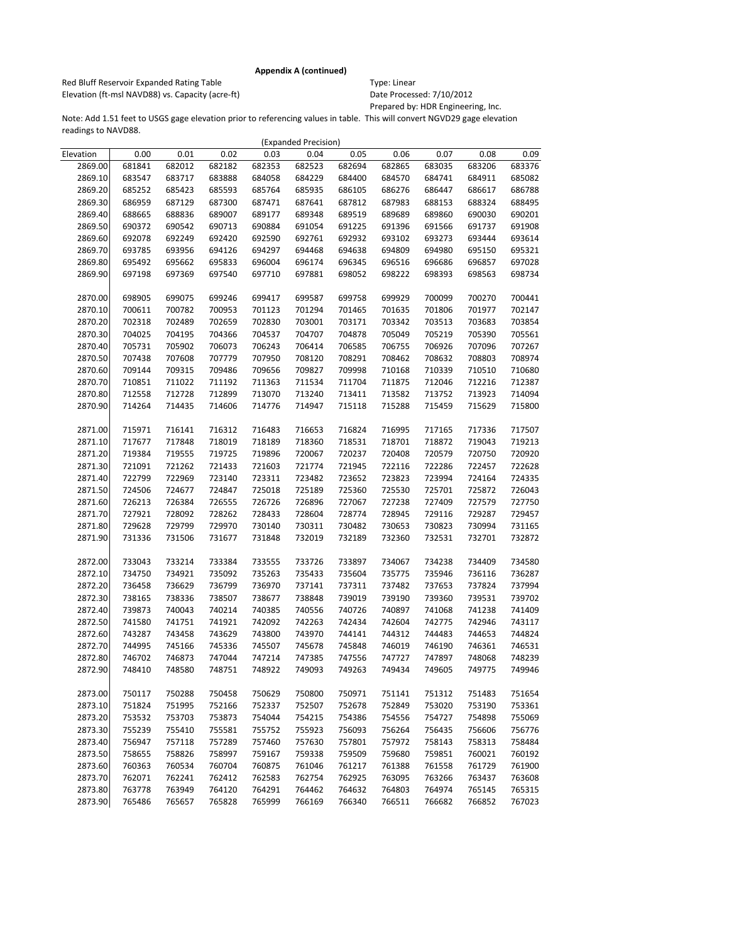Red Bluff Reservoir Expanded Rating Table Table Type: Linear Elevation (ft-msl NAVD88) vs. Capacity (acre-ft) Date Processed: 7/10/2012

Prepared by: HDR Engineering, Inc.

|           |        |        |        |        | (Expanded Precision) |        |        |        |        |        |
|-----------|--------|--------|--------|--------|----------------------|--------|--------|--------|--------|--------|
| Elevation | 0.00   | 0.01   | 0.02   | 0.03   | 0.04                 | 0.05   | 0.06   | 0.07   | 0.08   | 0.09   |
| 2869.00   | 681841 | 682012 | 682182 | 682353 | 682523               | 682694 | 682865 | 683035 | 683206 | 683376 |
| 2869.10   | 683547 | 683717 | 683888 | 684058 | 684229               | 684400 | 684570 | 684741 | 684911 | 685082 |
| 2869.20   | 685252 | 685423 | 685593 | 685764 | 685935               | 686105 | 686276 | 686447 | 686617 | 686788 |
| 2869.30   | 686959 | 687129 | 687300 | 687471 | 687641               | 687812 | 687983 | 688153 | 688324 | 688495 |
| 2869.40   | 688665 | 688836 | 689007 | 689177 | 689348               | 689519 | 689689 | 689860 | 690030 | 690201 |
| 2869.50   | 690372 | 690542 | 690713 | 690884 | 691054               | 691225 | 691396 | 691566 | 691737 | 691908 |
| 2869.60   | 692078 | 692249 | 692420 | 692590 | 692761               | 692932 | 693102 | 693273 | 693444 | 693614 |
| 2869.70   | 693785 | 693956 | 694126 | 694297 | 694468               | 694638 | 694809 | 694980 | 695150 | 695321 |
| 2869.80   | 695492 | 695662 | 695833 | 696004 | 696174               | 696345 | 696516 | 696686 | 696857 | 697028 |
| 2869.90   | 697198 | 697369 | 697540 | 697710 | 697881               | 698052 | 698222 | 698393 | 698563 | 698734 |
|           |        |        |        |        |                      |        |        |        |        |        |
| 2870.00   | 698905 | 699075 | 699246 | 699417 | 699587               | 699758 | 699929 | 700099 | 700270 | 700441 |
| 2870.10   | 700611 | 700782 | 700953 | 701123 | 701294               | 701465 | 701635 | 701806 | 701977 | 702147 |
| 2870.20   | 702318 | 702489 | 702659 | 702830 | 703001               | 703171 | 703342 | 703513 | 703683 | 703854 |
| 2870.30   | 704025 | 704195 | 704366 | 704537 | 704707               | 704878 | 705049 | 705219 | 705390 | 705561 |
| 2870.40   | 705731 | 705902 | 706073 | 706243 | 706414               | 706585 | 706755 | 706926 | 707096 | 707267 |
| 2870.50   | 707438 | 707608 | 707779 | 707950 | 708120               | 708291 | 708462 | 708632 | 708803 | 708974 |
| 2870.60   | 709144 | 709315 | 709486 | 709656 | 709827               | 709998 | 710168 | 710339 | 710510 | 710680 |
| 2870.70   | 710851 | 711022 | 711192 | 711363 | 711534               | 711704 | 711875 | 712046 | 712216 | 712387 |
| 2870.80   | 712558 | 712728 | 712899 | 713070 | 713240               | 713411 | 713582 | 713752 | 713923 | 714094 |
| 2870.90   | 714264 | 714435 | 714606 | 714776 | 714947               | 715118 | 715288 | 715459 | 715629 | 715800 |
|           |        |        |        |        |                      |        |        |        |        |        |
| 2871.00   | 715971 | 716141 | 716312 | 716483 | 716653               | 716824 | 716995 | 717165 | 717336 | 717507 |
| 2871.10   | 717677 | 717848 | 718019 | 718189 | 718360               | 718531 | 718701 | 718872 | 719043 | 719213 |
| 2871.20   | 719384 | 719555 | 719725 | 719896 | 720067               | 720237 | 720408 | 720579 | 720750 | 720920 |
| 2871.30   | 721091 | 721262 | 721433 | 721603 | 721774               | 721945 | 722116 | 722286 | 722457 | 722628 |
| 2871.40   | 722799 | 722969 | 723140 | 723311 | 723482               | 723652 | 723823 | 723994 | 724164 | 724335 |
| 2871.50   | 724506 | 724677 | 724847 | 725018 | 725189               | 725360 | 725530 | 725701 | 725872 | 726043 |
| 2871.60   | 726213 | 726384 | 726555 | 726726 | 726896               | 727067 | 727238 | 727409 | 727579 | 727750 |
| 2871.70   | 727921 | 728092 | 728262 | 728433 | 728604               | 728774 | 728945 | 729116 | 729287 | 729457 |
| 2871.80   | 729628 | 729799 | 729970 | 730140 | 730311               | 730482 | 730653 | 730823 | 730994 | 731165 |
| 2871.90   | 731336 | 731506 | 731677 | 731848 | 732019               | 732189 | 732360 | 732531 | 732701 | 732872 |
|           |        |        |        |        |                      |        |        |        |        |        |
| 2872.00   | 733043 | 733214 | 733384 | 733555 | 733726               | 733897 | 734067 | 734238 | 734409 | 734580 |
| 2872.10   | 734750 | 734921 | 735092 | 735263 | 735433               | 735604 | 735775 | 735946 | 736116 | 736287 |
| 2872.20   | 736458 | 736629 | 736799 | 736970 | 737141               | 737311 | 737482 | 737653 | 737824 | 737994 |
| 2872.30   | 738165 | 738336 | 738507 | 738677 | 738848               | 739019 | 739190 | 739360 | 739531 | 739702 |
| 2872.40   | 739873 | 740043 | 740214 | 740385 | 740556               | 740726 | 740897 | 741068 | 741238 | 741409 |
| 2872.50   | 741580 | 741751 | 741921 | 742092 | 742263               | 742434 | 742604 | 742775 | 742946 | 743117 |
| 2872.60   | 743287 | 743458 | 743629 | 743800 | 743970               | 744141 | 744312 | 744483 | 744653 | 744824 |
| 2872.70   | 744995 | 745166 | 745336 | 745507 | 745678               | 745848 | 746019 | 746190 | 746361 | 746531 |
| 2872.80   | 746702 | 746873 | 747044 | 747214 | 747385               | 747556 | 747727 | 747897 | 748068 | 748239 |
| 2872.90   | 748410 | 748580 | 748751 | 748922 | 749093               | 749263 | 749434 | 749605 | 749775 | 749946 |
|           |        |        |        |        |                      |        |        |        |        |        |
| 2873.00   | 750117 | 750288 | 750458 | 750629 | 750800               | 750971 | 751141 | 751312 | 751483 | 751654 |
| 2873.10   | 751824 | 751995 | 752166 | 752337 | 752507               | 752678 | 752849 | 753020 | 753190 | 753361 |
| 2873.20   | 753532 | 753703 | 753873 | 754044 | 754215               | 754386 | 754556 | 754727 | 754898 | 755069 |
| 2873.30   | 755239 | 755410 | 755581 | 755752 | 755923               | 756093 | 756264 | 756435 | 756606 | 756776 |
| 2873.40   | 756947 | 757118 | 757289 | 757460 | 757630               | 757801 | 757972 | 758143 | 758313 | 758484 |
| 2873.50   | 758655 | 758826 | 758997 | 759167 | 759338               | 759509 | 759680 | 759851 | 760021 | 760192 |
| 2873.60   | 760363 | 760534 | 760704 | 760875 | 761046               | 761217 | 761388 | 761558 | 761729 | 761900 |
| 2873.70   | 762071 | 762241 | 762412 | 762583 | 762754               | 762925 | 763095 | 763266 | 763437 | 763608 |
| 2873.80   | 763778 | 763949 | 764120 | 764291 | 764462               | 764632 | 764803 | 764974 | 765145 | 765315 |
| 2873.90   | 765486 | 765657 | 765828 | 765999 | 766169               | 766340 | 766511 | 766682 | 766852 | 767023 |
|           |        |        |        |        |                      |        |        |        |        |        |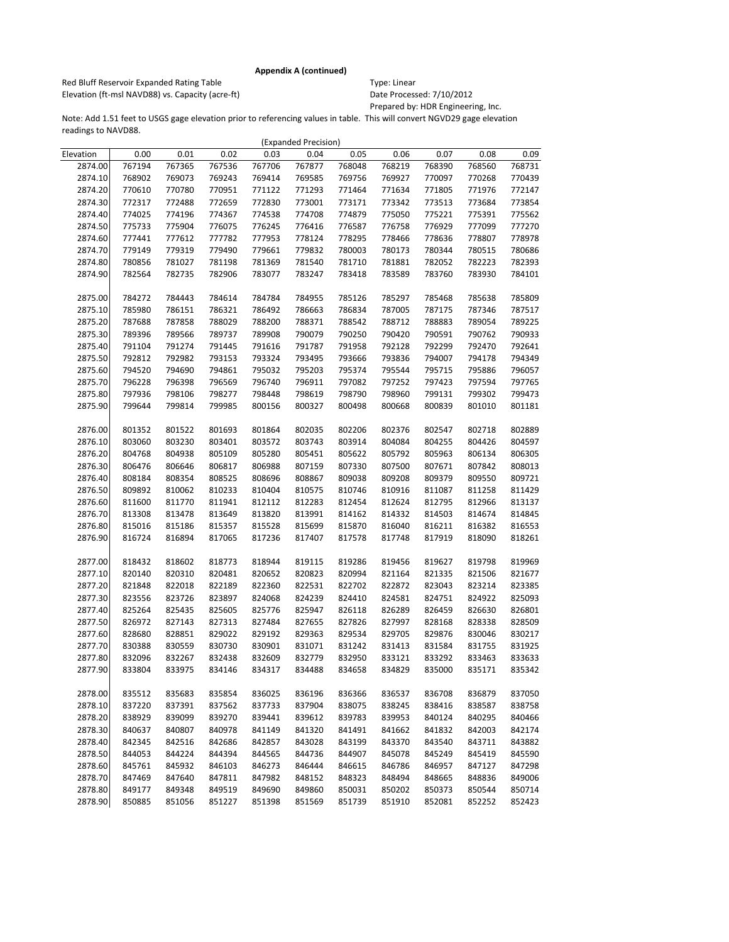Red Bluff Reservoir Expanded Rating Table Table Type: Linear Elevation (ft-msl NAVD88) vs. Capacity (acre-ft) Date Processed: 7/10/2012

Prepared by: HDR Engineering, Inc.

|           |        |        |        |        | (Expanded Precision) |        |        |        |        |        |
|-----------|--------|--------|--------|--------|----------------------|--------|--------|--------|--------|--------|
| Elevation | 0.00   | 0.01   | 0.02   | 0.03   | 0.04                 | 0.05   | 0.06   | 0.07   | 0.08   | 0.09   |
| 2874.00   | 767194 | 767365 | 767536 | 767706 | 767877               | 768048 | 768219 | 768390 | 768560 | 768731 |
| 2874.10   | 768902 | 769073 | 769243 | 769414 | 769585               | 769756 | 769927 | 770097 | 770268 | 770439 |
| 2874.20   | 770610 | 770780 | 770951 | 771122 | 771293               | 771464 | 771634 | 771805 | 771976 | 772147 |
| 2874.30   | 772317 | 772488 | 772659 | 772830 | 773001               | 773171 | 773342 | 773513 | 773684 | 773854 |
| 2874.40   | 774025 | 774196 | 774367 | 774538 | 774708               | 774879 | 775050 | 775221 | 775391 | 775562 |
| 2874.50   | 775733 | 775904 | 776075 | 776245 | 776416               | 776587 | 776758 | 776929 | 777099 | 777270 |
| 2874.60   | 777441 | 777612 | 777782 | 777953 | 778124               | 778295 | 778466 | 778636 | 778807 | 778978 |
| 2874.70   | 779149 | 779319 | 779490 | 779661 | 779832               | 780003 | 780173 | 780344 | 780515 | 780686 |
| 2874.80   | 780856 | 781027 | 781198 | 781369 | 781540               | 781710 | 781881 | 782052 | 782223 | 782393 |
| 2874.90   | 782564 | 782735 | 782906 | 783077 | 783247               | 783418 | 783589 | 783760 | 783930 | 784101 |
|           |        |        |        |        |                      |        |        |        |        |        |
| 2875.00   | 784272 | 784443 | 784614 | 784784 | 784955               | 785126 | 785297 | 785468 | 785638 | 785809 |
| 2875.10   | 785980 | 786151 | 786321 | 786492 | 786663               | 786834 | 787005 | 787175 | 787346 | 787517 |
| 2875.20   | 787688 | 787858 | 788029 | 788200 | 788371               | 788542 | 788712 | 788883 | 789054 | 789225 |
| 2875.30   | 789396 | 789566 | 789737 | 789908 | 790079               | 790250 | 790420 | 790591 | 790762 | 790933 |
| 2875.40   | 791104 | 791274 | 791445 | 791616 | 791787               | 791958 | 792128 | 792299 | 792470 | 792641 |
| 2875.50   | 792812 | 792982 | 793153 | 793324 | 793495               | 793666 | 793836 | 794007 | 794178 | 794349 |
| 2875.60   | 794520 | 794690 | 794861 | 795032 | 795203               | 795374 | 795544 | 795715 | 795886 | 796057 |
| 2875.70   | 796228 | 796398 | 796569 | 796740 | 796911               | 797082 | 797252 | 797423 | 797594 | 797765 |
| 2875.80   | 797936 | 798106 | 798277 | 798448 | 798619               | 798790 | 798960 | 799131 | 799302 | 799473 |
| 2875.90   | 799644 | 799814 | 799985 | 800156 | 800327               | 800498 | 800668 | 800839 | 801010 | 801181 |
|           |        |        |        |        |                      |        |        |        |        |        |
| 2876.00   | 801352 | 801522 | 801693 | 801864 | 802035               | 802206 | 802376 | 802547 | 802718 | 802889 |
| 2876.10   | 803060 | 803230 | 803401 | 803572 | 803743               | 803914 | 804084 | 804255 | 804426 | 804597 |
| 2876.20   | 804768 | 804938 | 805109 | 805280 | 805451               | 805622 | 805792 | 805963 | 806134 | 806305 |
| 2876.30   | 806476 | 806646 | 806817 | 806988 | 807159               | 807330 | 807500 | 807671 | 807842 | 808013 |
| 2876.40   | 808184 | 808354 | 808525 | 808696 | 808867               | 809038 | 809208 | 809379 | 809550 | 809721 |
| 2876.50   | 809892 | 810062 | 810233 | 810404 | 810575               | 810746 | 810916 | 811087 | 811258 | 811429 |
| 2876.60   | 811600 | 811770 | 811941 | 812112 | 812283               | 812454 | 812624 | 812795 | 812966 | 813137 |
| 2876.70   | 813308 | 813478 | 813649 | 813820 | 813991               | 814162 | 814332 | 814503 | 814674 | 814845 |
| 2876.80   | 815016 | 815186 | 815357 | 815528 | 815699               | 815870 | 816040 | 816211 | 816382 | 816553 |
| 2876.90   | 816724 | 816894 | 817065 | 817236 | 817407               | 817578 | 817748 | 817919 | 818090 | 818261 |
|           |        |        |        |        |                      |        |        |        |        |        |
| 2877.00   | 818432 | 818602 | 818773 | 818944 | 819115               | 819286 | 819456 | 819627 | 819798 | 819969 |
| 2877.10   | 820140 | 820310 | 820481 | 820652 | 820823               | 820994 | 821164 | 821335 | 821506 | 821677 |
| 2877.20   | 821848 | 822018 | 822189 | 822360 | 822531               | 822702 | 822872 | 823043 | 823214 | 823385 |
| 2877.30   | 823556 | 823726 | 823897 | 824068 | 824239               | 824410 | 824581 | 824751 | 824922 | 825093 |
| 2877.40   | 825264 | 825435 | 825605 | 825776 | 825947               | 826118 | 826289 | 826459 | 826630 | 826801 |
| 2877.50   | 826972 | 827143 | 827313 | 827484 | 827655               | 827826 | 827997 | 828168 | 828338 | 828509 |
| 2877.60   | 828680 | 828851 | 829022 | 829192 | 829363               | 829534 | 829705 | 829876 | 830046 | 830217 |
| 2877.70   | 830388 | 830559 | 830730 | 830901 | 831071               | 831242 | 831413 | 831584 | 831755 | 831925 |
| 2877.80   | 832096 | 832267 | 832438 | 832609 | 832779               | 832950 | 833121 | 833292 | 833463 | 833633 |
| 2877.90   | 833804 | 833975 | 834146 | 834317 | 834488               | 834658 | 834829 | 835000 | 835171 | 835342 |
|           |        |        |        |        |                      |        |        |        |        |        |
| 2878.00   | 835512 | 835683 | 835854 | 836025 | 836196               | 836366 | 836537 | 836708 | 836879 | 837050 |
| 2878.10   | 837220 | 837391 | 837562 | 837733 | 837904               | 838075 | 838245 | 838416 | 838587 | 838758 |
| 2878.20   | 838929 | 839099 | 839270 | 839441 | 839612               | 839783 | 839953 | 840124 | 840295 | 840466 |
| 2878.30   | 840637 | 840807 | 840978 | 841149 | 841320               | 841491 | 841662 | 841832 | 842003 | 842174 |
| 2878.40   | 842345 | 842516 | 842686 | 842857 | 843028               | 843199 | 843370 | 843540 | 843711 | 843882 |
| 2878.50   | 844053 | 844224 | 844394 | 844565 | 844736               | 844907 | 845078 | 845249 | 845419 | 845590 |
| 2878.60   | 845761 | 845932 | 846103 | 846273 | 846444               | 846615 | 846786 | 846957 | 847127 | 847298 |
| 2878.70   | 847469 | 847640 | 847811 | 847982 | 848152               | 848323 | 848494 | 848665 | 848836 | 849006 |
| 2878.80   | 849177 | 849348 | 849519 | 849690 | 849860               | 850031 | 850202 | 850373 | 850544 | 850714 |
| 2878.90   | 850885 | 851056 | 851227 | 851398 | 851569               | 851739 | 851910 | 852081 | 852252 | 852423 |
|           |        |        |        |        |                      |        |        |        |        |        |